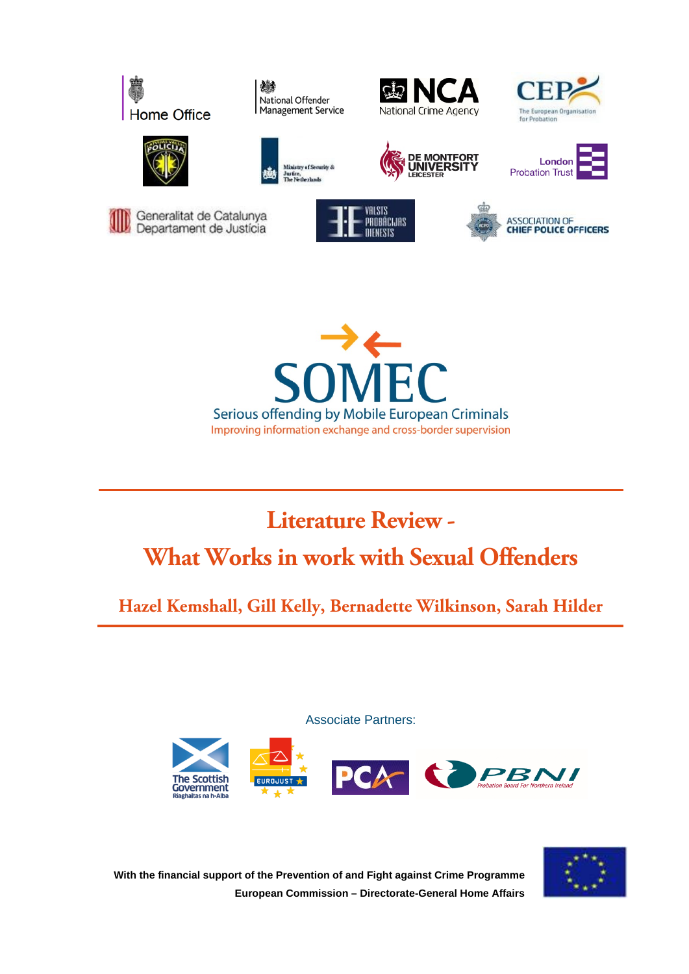

機 National Offender Management Service























# **Literature Review - What Works in work with Sexual Offenders**

**Hazel Kemshall, Gill Kelly, Bernadette Wilkinson, Sarah Hilder**

Associate Partners:





**With the financial support of the Prevention of and Fight against Crime Programme European Commission – Directorate-General Home Affairs**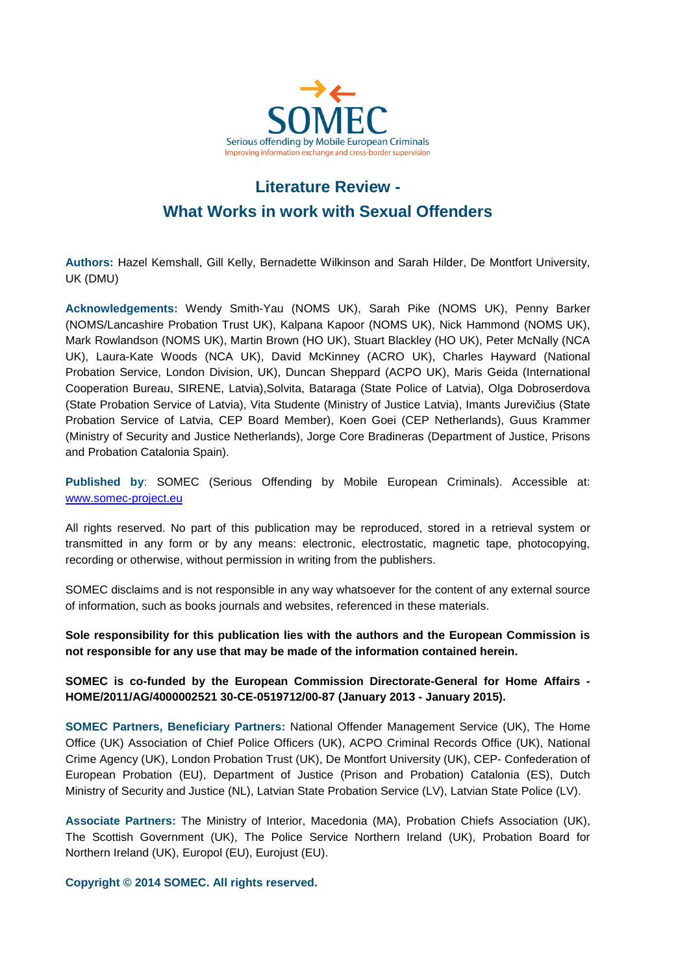

# **Literature Review - What Works in work with Sexual Offenders**

**Authors:** Hazel Kemshall, Gill Kelly, Bernadette Wilkinson and Sarah Hilder, De Montfort University, UK (DMU)

**Acknowledgements:** Wendy Smith-Yau (NOMS UK), Sarah Pike (NOMS UK), Penny Barker (NOMS/Lancashire Probation Trust UK), Kalpana Kapoor (NOMS UK), Nick Hammond (NOMS UK), Mark Rowlandson (NOMS UK), Martin Brown (HO UK), Stuart Blackley (HO UK), Peter McNally (NCA UK), Laura-Kate Woods (NCA UK), David McKinney (ACRO UK), Charles Hayward (National Probation Service, London Division, UK), Duncan Sheppard (ACPO UK), Maris Geida (International Cooperation Bureau, SIRENE, Latvia),Solvita, Bataraga (State Police of Latvia), Olga Dobroserdova (State Probation Service of Latvia), Vita Studente (Ministry of Justice Latvia), Imants Jurevičius (State Probation Service of Latvia, CEP Board Member), Koen Goei (CEP Netherlands), Guus Krammer (Ministry of Security and Justice Netherlands), Jorge Core Bradineras (Department of Justice, Prisons and Probation Catalonia Spain).

**Published by**: SOMEC (Serious Offending by Mobile European Criminals). Accessible at: [www.somec-project.eu](http://www.somec-project.eu/)

All rights reserved. No part of this publication may be reproduced, stored in a retrieval system or transmitted in any form or by any means: electronic, electrostatic, magnetic tape, photocopying, recording or otherwise, without permission in writing from the publishers.

SOMEC disclaims and is not responsible in any way whatsoever for the content of any external source of information, such as books journals and websites, referenced in these materials.

**Sole responsibility for this publication lies with the authors and the European Commission is not responsible for any use that may be made of the information contained herein.**

**SOMEC is co-funded by the European Commission Directorate-General for Home Affairs - HOME/2011/AG/4000002521 30-CE-0519712/00-87 (January 2013 - January 2015).**

**SOMEC Partners, Beneficiary Partners:** National Offender Management Service (UK), The Home Office (UK) Association of Chief Police Officers (UK), ACPO Criminal Records Office (UK), National Crime Agency (UK), London Probation Trust (UK), De Montfort University (UK), CEP- Confederation of European Probation (EU), Department of Justice (Prison and Probation) Catalonia (ES), Dutch Ministry of Security and Justice (NL), Latvian State Probation Service (LV), Latvian State Police (LV).

**Associate Partners:** The Ministry of Interior, Macedonia (MA), Probation Chiefs Association (UK), The Scottish Government (UK), The Police Service Northern Ireland (UK), Probation Board for Northern Ireland (UK), Europol (EU), Eurojust (EU).

**Copyright © 2014 SOMEC. All rights reserved.**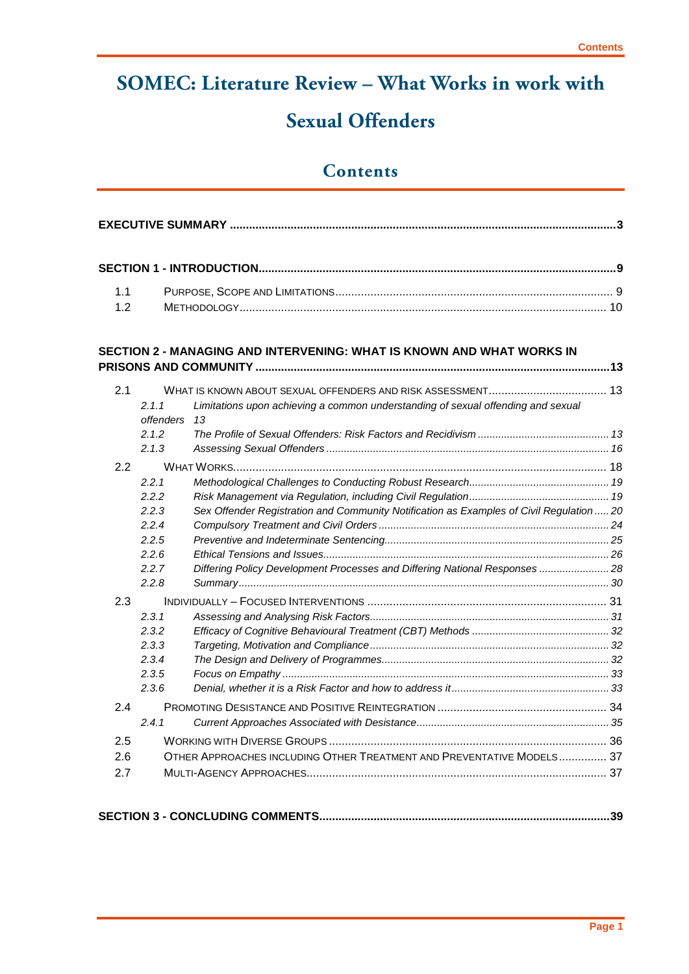# **SOMEC: Literature Review – What Works in work with Sexual Offenders**

# **Contents**

| 1.1 |                    |                                                                                          |  |
|-----|--------------------|------------------------------------------------------------------------------------------|--|
| 1.2 |                    |                                                                                          |  |
|     |                    | SECTION 2 - MANAGING AND INTERVENING: WHAT IS KNOWN AND WHAT WORKS IN                    |  |
|     |                    |                                                                                          |  |
| 2.1 |                    |                                                                                          |  |
|     | 2.1.1<br>offenders | Limitations upon achieving a common understanding of sexual offending and sexual<br>13   |  |
|     | 2.1.2              |                                                                                          |  |
|     | 2.1.3              |                                                                                          |  |
| 2.2 |                    |                                                                                          |  |
|     | 2.2.1              |                                                                                          |  |
|     | 2.2.2              |                                                                                          |  |
|     | 2.2.3              | Sex Offender Registration and Community Notification as Examples of Civil Regulation  20 |  |
|     | 2.2.4              |                                                                                          |  |
|     | 2.2.5              |                                                                                          |  |
|     | 2.2.6              |                                                                                          |  |
|     | 2.2.7              | Differing Policy Development Processes and Differing National Responses  28              |  |
|     | 2.2.8              |                                                                                          |  |
| 2.3 |                    |                                                                                          |  |
|     | 2.3.1              |                                                                                          |  |
|     | 2.3.2              |                                                                                          |  |
|     | 2.3.3              |                                                                                          |  |
|     | 2.3.4              |                                                                                          |  |
|     | 2.3.5              |                                                                                          |  |
|     | 2.3.6              |                                                                                          |  |
| 2.4 |                    |                                                                                          |  |
|     | 2.4.1              |                                                                                          |  |
| 2.5 |                    |                                                                                          |  |
| 2.6 |                    | OTHER APPROACHES INCLUDING OTHER TREATMENT AND PREVENTATIVE MODELS 37                    |  |
| 2.7 |                    |                                                                                          |  |
|     |                    |                                                                                          |  |

|--|--|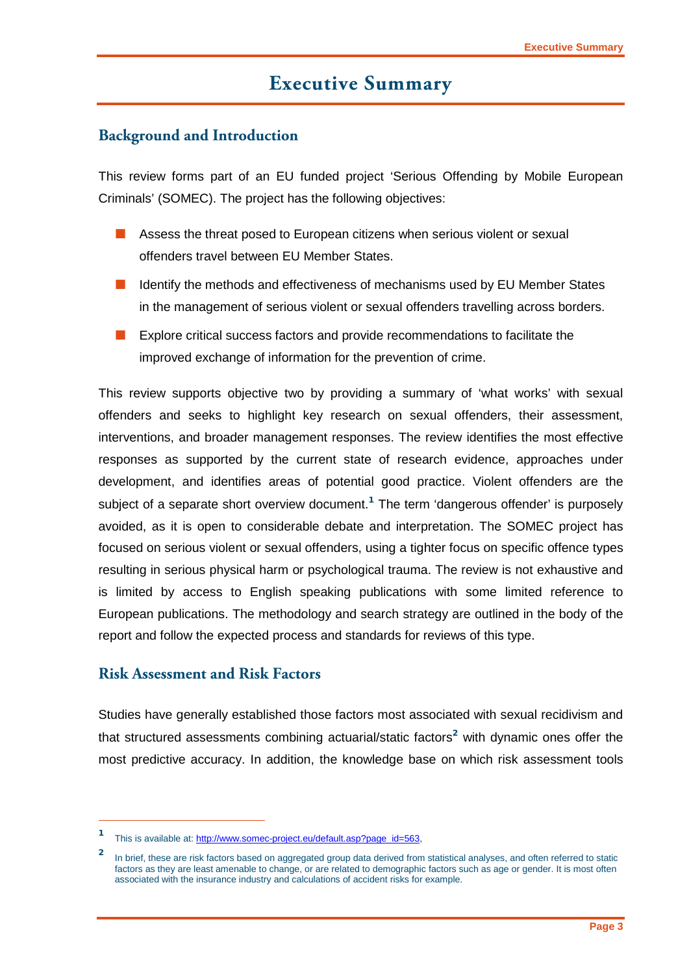# **Executive Summary**

### <span id="page-4-0"></span>**Background and Introduction**

This review forms part of an EU funded project 'Serious Offending by Mobile European Criminals' (SOMEC). The project has the following objectives:

- Assess the threat posed to European citizens when serious violent or sexual offenders travel between EU Member States.
- Identify the methods and effectiveness of mechanisms used by EU Member States in the management of serious violent or sexual offenders travelling across borders.
- Explore critical success factors and provide recommendations to facilitate the improved exchange of information for the prevention of crime.

This review supports objective two by providing a summary of 'what works' with sexual offenders and seeks to highlight key research on sexual offenders, their assessment, interventions, and broader management responses. The review identifies the most effective responses as supported by the current state of research evidence, approaches under development, and identifies areas of potential good practice. Violent offenders are the subject of a separate short overview document.**<sup>1</sup>** The term 'dangerous offender' is purposely avoided, as it is open to considerable debate and interpretation. The SOMEC project has focused on serious violent or sexual offenders, using a tighter focus on specific offence types resulting in serious physical harm or psychological trauma. The review is not exhaustive and is limited by access to English speaking publications with some limited reference to European publications. The methodology and search strategy are outlined in the body of the report and follow the expected process and standards for reviews of this type.

#### **Risk Assessment and Risk Factors**

-

Studies have generally established those factors most associated with sexual recidivism and that structured assessments combining actuarial/static factors**<sup>2</sup>** with dynamic ones offer the most predictive accuracy. In addition, the knowledge base on which risk assessment tools

This is available at[: http://www.somec-project.eu/default.asp?page\\_id=563,](http://www.somec-project.eu/default.asp?page_id=563)

**<sup>2</sup>** In brief, these are risk factors based on aggregated group data derived from statistical analyses, and often referred to static factors as they are least amenable to change, or are related to demographic factors such as age or gender. It is most often associated with the insurance industry and calculations of accident risks for example.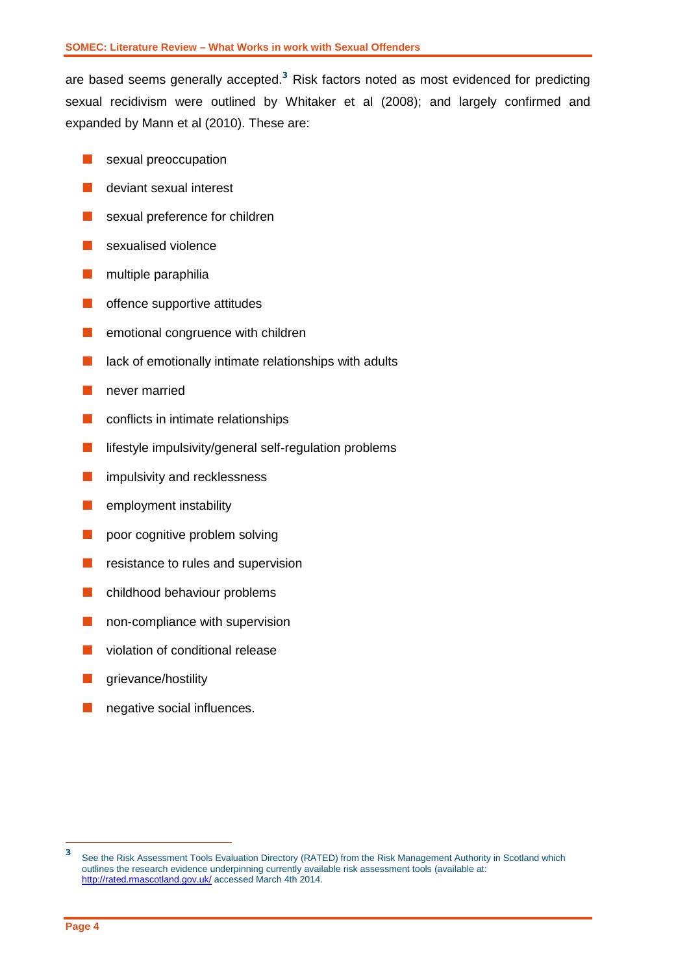are based seems generally accepted. **<sup>3</sup>** Risk factors noted as most evidenced for predicting sexual recidivism were outlined by Whitaker et al (2008); and largely confirmed and expanded by Mann et al (2010). These are:

- sexual preoccupation
- deviant sexual interest
- sexual preference for children
- sexualised violence
- $\blacksquare$  multiple paraphilia
- **n** offence supportive attitudes
- **E** emotional congruence with children
- $\blacksquare$  lack of emotionally intimate relationships with adults
- never married
- **Conflicts in intimate relationships**
- **lifestyle impulsivity/general self-regulation problems**
- **n** impulsivity and recklessness
- $\blacksquare$  employment instability
- **poor cognitive problem solving**
- $\blacksquare$  resistance to rules and supervision
- **n** childhood behaviour problems
- non-compliance with supervision
- **N** violation of conditional release
- grievance/hostility
- **n** negative social influences.

 $\overline{3}$ **<sup>3</sup>** See the Risk Assessment Tools Evaluation Directory (RATED) from the Risk Management Authority in Scotland which outlines the research evidence underpinning currently available risk assessment tools (available at: <http://rated.rmascotland.gov.uk/> accessed March 4th 2014.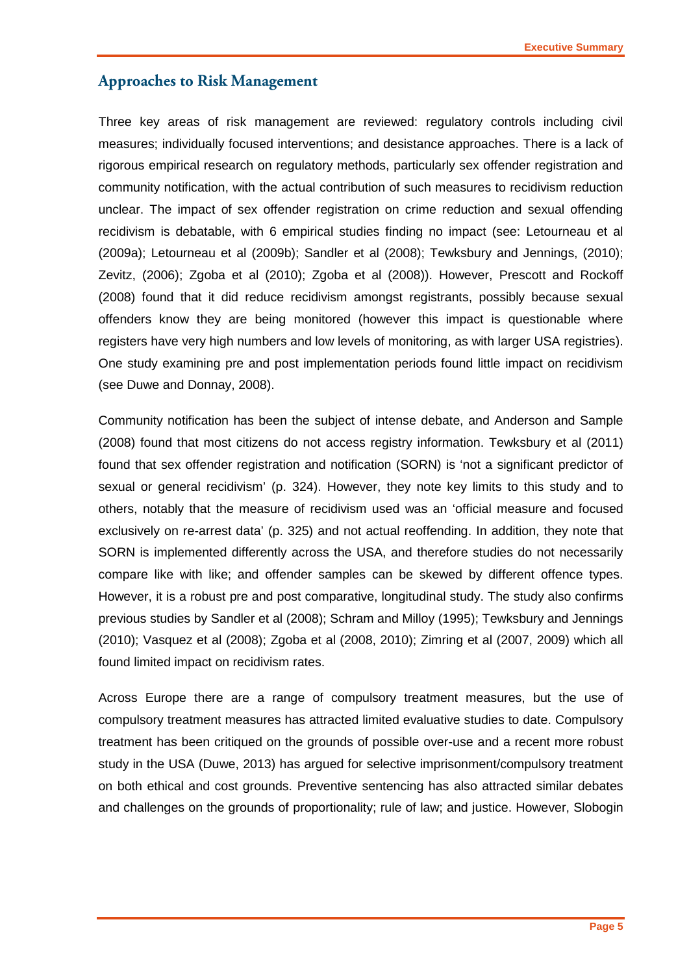### **Approaches to Risk Management**

Three key areas of risk management are reviewed: regulatory controls including civil measures; individually focused interventions; and desistance approaches. There is a lack of rigorous empirical research on regulatory methods, particularly sex offender registration and community notification, with the actual contribution of such measures to recidivism reduction unclear. The impact of sex offender registration on crime reduction and sexual offending recidivism is debatable, with 6 empirical studies finding no impact (see: Letourneau et al (2009a); Letourneau et al (2009b); Sandler et al (2008); Tewksbury and Jennings, (2010); Zevitz, (2006); Zgoba et al (2010); Zgoba et al (2008)). However, Prescott and Rockoff (2008) found that it did reduce recidivism amongst registrants, possibly because sexual offenders know they are being monitored (however this impact is questionable where registers have very high numbers and low levels of monitoring, as with larger USA registries). One study examining pre and post implementation periods found little impact on recidivism (see Duwe and Donnay, 2008).

Community notification has been the subject of intense debate, and Anderson and Sample (2008) found that most citizens do not access registry information. Tewksbury et al (2011) found that sex offender registration and notification (SORN) is 'not a significant predictor of sexual or general recidivism' (p. 324). However, they note key limits to this study and to others, notably that the measure of recidivism used was an 'official measure and focused exclusively on re-arrest data' (p. 325) and not actual reoffending. In addition, they note that SORN is implemented differently across the USA, and therefore studies do not necessarily compare like with like; and offender samples can be skewed by different offence types. However, it is a robust pre and post comparative, longitudinal study. The study also confirms previous studies by Sandler et al (2008); Schram and Milloy (1995); Tewksbury and Jennings (2010); Vasquez et al (2008); Zgoba et al (2008, 2010); Zimring et al (2007, 2009) which all found limited impact on recidivism rates.

Across Europe there are a range of compulsory treatment measures, but the use of compulsory treatment measures has attracted limited evaluative studies to date. Compulsory treatment has been critiqued on the grounds of possible over-use and a recent more robust study in the USA (Duwe, 2013) has argued for selective imprisonment/compulsory treatment on both ethical and cost grounds. Preventive sentencing has also attracted similar debates and challenges on the grounds of proportionality; rule of law; and justice. However, Slobogin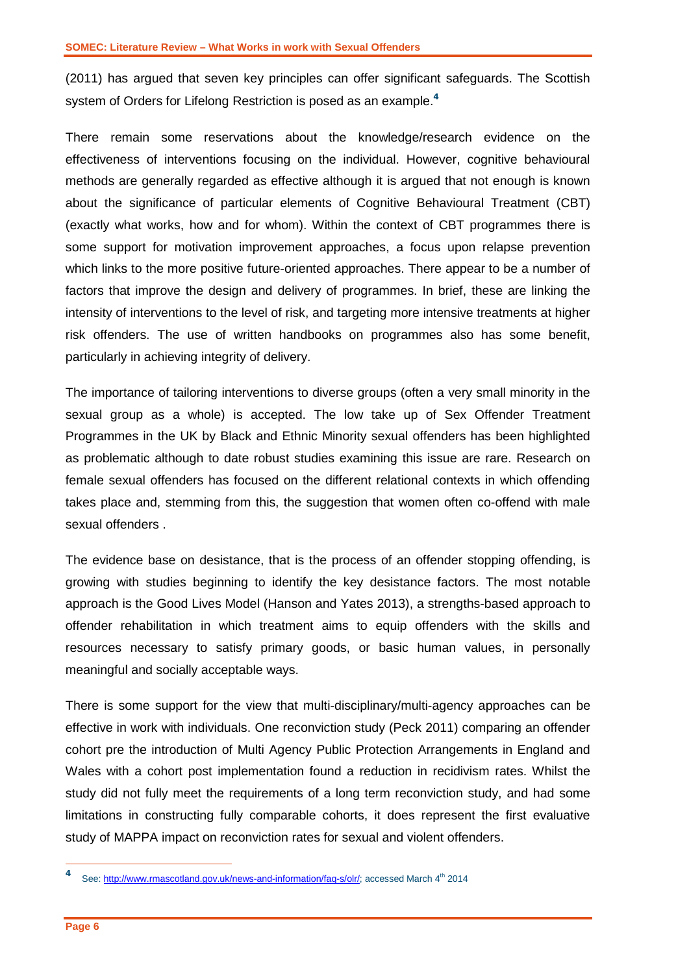(2011) has argued that seven key principles can offer significant safeguards. The Scottish system of Orders for Lifelong Restriction is posed as an example. **4**

There remain some reservations about the knowledge/research evidence on the effectiveness of interventions focusing on the individual. However, cognitive behavioural methods are generally regarded as effective although it is argued that not enough is known about the significance of particular elements of Cognitive Behavioural Treatment (CBT) (exactly what works, how and for whom). Within the context of CBT programmes there is some support for motivation improvement approaches, a focus upon relapse prevention which links to the more positive future-oriented approaches. There appear to be a number of factors that improve the design and delivery of programmes. In brief, these are linking the intensity of interventions to the level of risk, and targeting more intensive treatments at higher risk offenders. The use of written handbooks on programmes also has some benefit, particularly in achieving integrity of delivery.

The importance of tailoring interventions to diverse groups (often a very small minority in the sexual group as a whole) is accepted. The low take up of Sex Offender Treatment Programmes in the UK by Black and Ethnic Minority sexual offenders has been highlighted as problematic although to date robust studies examining this issue are rare. Research on female sexual offenders has focused on the different relational contexts in which offending takes place and, stemming from this, the suggestion that women often co-offend with male sexual offenders .

The evidence base on desistance, that is the process of an offender stopping offending, is growing with studies beginning to identify the key desistance factors. The most notable approach is the Good Lives Model (Hanson and Yates 2013), a strengths-based approach to offender rehabilitation in which treatment aims to equip offenders with the skills and resources necessary to satisfy primary goods, or basic human values, in personally meaningful and socially acceptable ways.

There is some support for the view that multi-disciplinary/multi-agency approaches can be effective in work with individuals. One reconviction study (Peck 2011) comparing an offender cohort pre the introduction of Multi Agency Public Protection Arrangements in England and Wales with a cohort post implementation found a reduction in recidivism rates. Whilst the study did not fully meet the requirements of a long term reconviction study, and had some limitations in constructing fully comparable cohorts, it does represent the first evaluative study of MAPPA impact on reconviction rates for sexual and violent offenders.

-

See[: http://www.rmascotland.gov.uk/news-and-information/faq-s/olr/;](http://www.rmascotland.gov.uk/news-and-information/faq-s/olr/) accessed March 4<sup>th</sup> 2014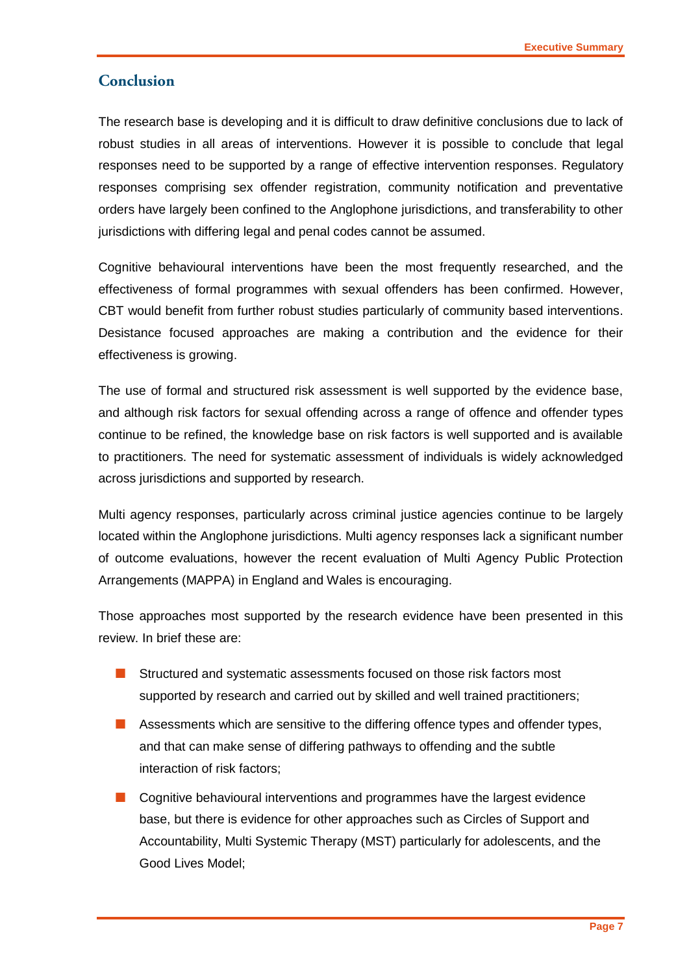#### **Conclusion**

The research base is developing and it is difficult to draw definitive conclusions due to lack of robust studies in all areas of interventions. However it is possible to conclude that legal responses need to be supported by a range of effective intervention responses. Regulatory responses comprising sex offender registration, community notification and preventative orders have largely been confined to the Anglophone jurisdictions, and transferability to other jurisdictions with differing legal and penal codes cannot be assumed.

Cognitive behavioural interventions have been the most frequently researched, and the effectiveness of formal programmes with sexual offenders has been confirmed. However, CBT would benefit from further robust studies particularly of community based interventions. Desistance focused approaches are making a contribution and the evidence for their effectiveness is growing.

The use of formal and structured risk assessment is well supported by the evidence base, and although risk factors for sexual offending across a range of offence and offender types continue to be refined, the knowledge base on risk factors is well supported and is available to practitioners. The need for systematic assessment of individuals is widely acknowledged across jurisdictions and supported by research.

Multi agency responses, particularly across criminal justice agencies continue to be largely located within the Anglophone jurisdictions. Multi agency responses lack a significant number of outcome evaluations, however the recent evaluation of Multi Agency Public Protection Arrangements (MAPPA) in England and Wales is encouraging.

Those approaches most supported by the research evidence have been presented in this review. In brief these are:

- Structured and systematic assessments focused on those risk factors most supported by research and carried out by skilled and well trained practitioners;
- **Assessments which are sensitive to the differing offence types and offender types,** and that can make sense of differing pathways to offending and the subtle interaction of risk factors;
- **Cognitive behavioural interventions and programmes have the largest evidence** base, but there is evidence for other approaches such as Circles of Support and Accountability, Multi Systemic Therapy (MST) particularly for adolescents, and the Good Lives Model;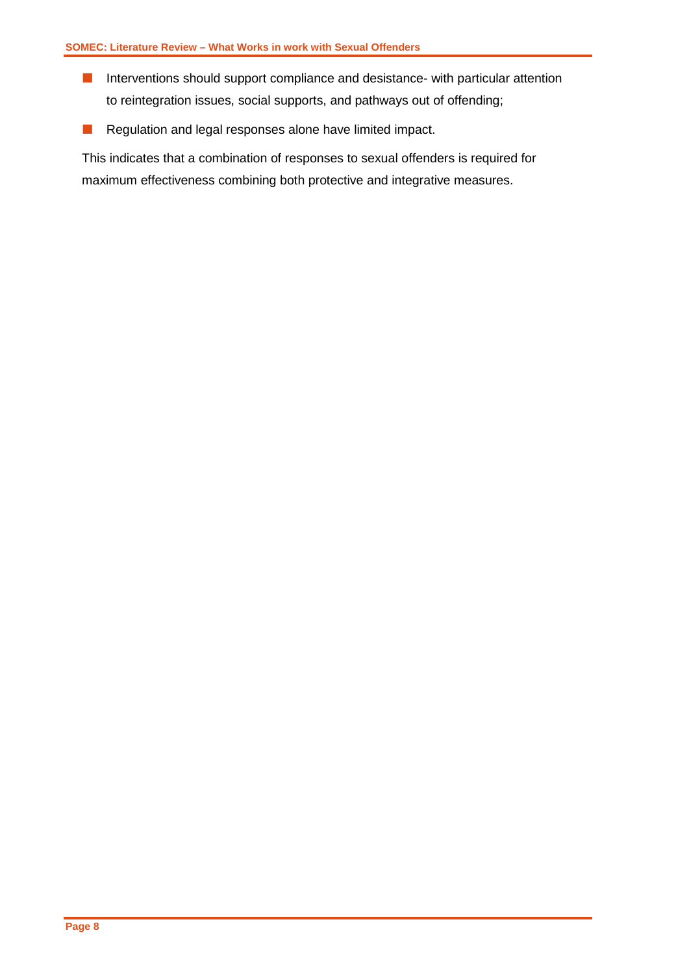- **Interventions should support compliance and desistance- with particular attention** to reintegration issues, social supports, and pathways out of offending;
- Regulation and legal responses alone have limited impact.

This indicates that a combination of responses to sexual offenders is required for maximum effectiveness combining both protective and integrative measures.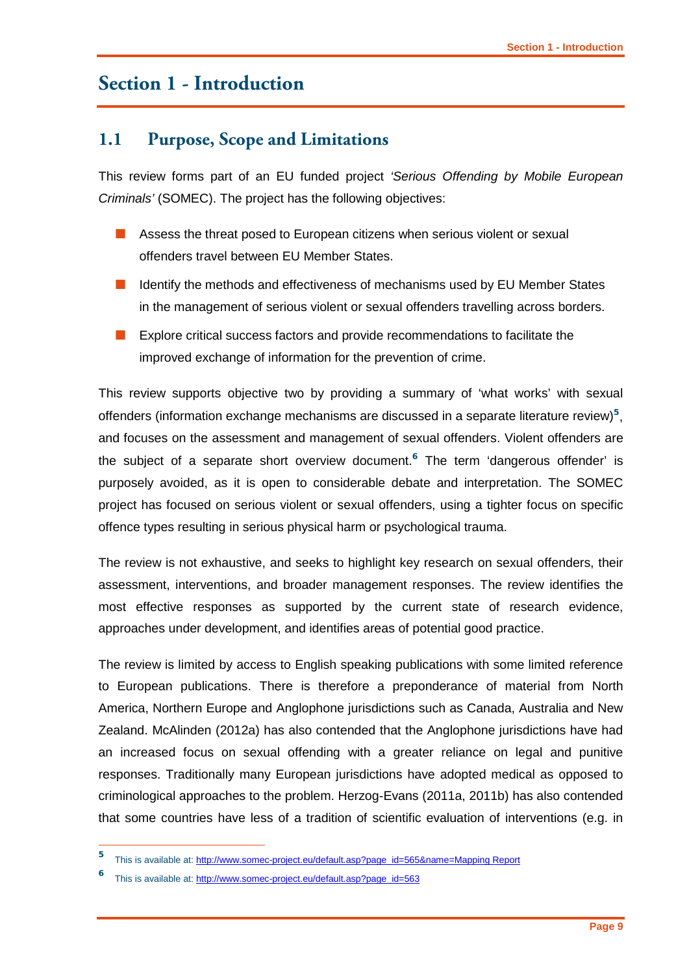# <span id="page-10-0"></span>**Section 1 - Introduction**

### <span id="page-10-1"></span>**1.1 Purpose, Scope and Limitations**

This review forms part of an EU funded project *'Serious Offending by Mobile European Criminals'* (SOMEC). The project has the following objectives:

- **Assess the threat posed to European citizens when serious violent or sexual** offenders travel between EU Member States.
- Identify the methods and effectiveness of mechanisms used by EU Member States in the management of serious violent or sexual offenders travelling across borders.
- **EXPLORE CRITE 2** Explore critical success factors and provide recommendations to facilitate the improved exchange of information for the prevention of crime.

This review supports objective two by providing a summary of 'what works' with sexual offenders (information exchange mechanisms are discussed in a separate literature review)**<sup>5</sup>** , and focuses on the assessment and management of sexual offenders. Violent offenders are the subject of a separate short overview document.**<sup>6</sup>** The term 'dangerous offender' is purposely avoided, as it is open to considerable debate and interpretation. The SOMEC project has focused on serious violent or sexual offenders, using a tighter focus on specific offence types resulting in serious physical harm or psychological trauma.

The review is not exhaustive, and seeks to highlight key research on sexual offenders, their assessment, interventions, and broader management responses. The review identifies the most effective responses as supported by the current state of research evidence, approaches under development, and identifies areas of potential good practice.

The review is limited by access to English speaking publications with some limited reference to European publications. There is therefore a preponderance of material from North America, Northern Europe and Anglophone jurisdictions such as Canada, Australia and New Zealand. McAlinden (2012a) has also contended that the Anglophone jurisdictions have had an increased focus on sexual offending with a greater reliance on legal and punitive responses. Traditionally many European jurisdictions have adopted medical as opposed to criminological approaches to the problem. Herzog-Evans (2011a, 2011b) has also contended that some countries have less of a tradition of scientific evaluation of interventions (e.g. in

<sup>5</sup> **<sup>5</sup>** This is available at[: http://www.somec-project.eu/default.asp?page\\_id=565&name=Mapping Report](http://www.somec-project.eu/default.asp?page_id=565&name=Mapping%20Report)

**<sup>6</sup>** This is available at[: http://www.somec-project.eu/default.asp?page\\_id=563](http://www.somec-project.eu/default.asp?page_id=563)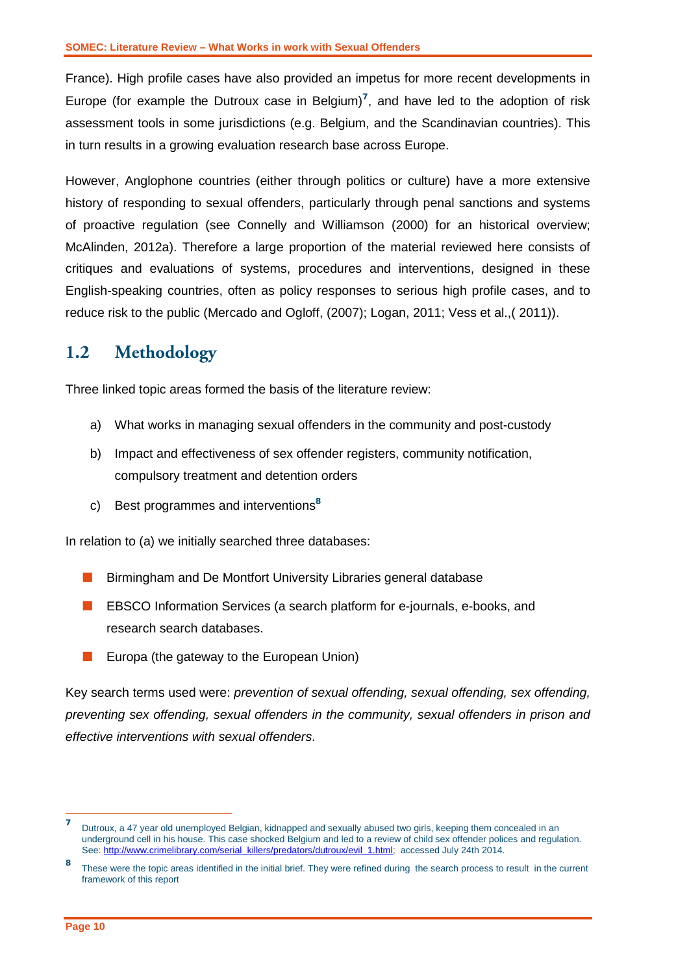France). High profile cases have also provided an impetus for more recent developments in Europe (for example the Dutroux case in Belgium)<sup>7</sup>, and have led to the adoption of risk assessment tools in some jurisdictions (e.g. Belgium, and the Scandinavian countries). This in turn results in a growing evaluation research base across Europe.

However, Anglophone countries (either through politics or culture) have a more extensive history of responding to sexual offenders, particularly through penal sanctions and systems of proactive regulation (see Connelly and Williamson (2000) for an historical overview; McAlinden, 2012a). Therefore a large proportion of the material reviewed here consists of critiques and evaluations of systems, procedures and interventions, designed in these English-speaking countries, often as policy responses to serious high profile cases, and to reduce risk to the public (Mercado and Ogloff, (2007); Logan, 2011; Vess et al.,( 2011)).

## <span id="page-11-0"></span>**1.2 Methodology**

Three linked topic areas formed the basis of the literature review:

- a) What works in managing sexual offenders in the community and post-custody
- b) Impact and effectiveness of sex offender registers, community notification, compulsory treatment and detention orders
- c) Best programmes and interventions**<sup>8</sup>**

In relation to (a) we initially searched three databases:

- **Birmingham and De Montfort University Libraries general database**
- **EBSCO Information Services (a search platform for e-journals, e-books, and** research search databases.
- **E** Europa (the gateway to the European Union)

Key search terms used were: *prevention of sexual offending, sexual offending, sex offending, preventing sex offending, sexual offenders in the community, sexual offenders in prison and effective interventions with sexual offenders*.

 $\overline{7}$ **<sup>7</sup>** Dutroux, a 47 year old unemployed Belgian, kidnapped and sexually abused two girls, keeping them concealed in an underground cell in his house. This case shocked Belgium and led to a review of child sex offender polices and regulation. See[: http://www.crimelibrary.com/serial\\_killers/predators/dutroux/evil\\_1.html;](http://www.crimelibrary.com/serial_killers/predators/dutroux/evil_1.html) accessed July 24th 2014.

**<sup>8</sup>** These were the topic areas identified in the initial brief. They were refined during the search process to result in the current framework of this report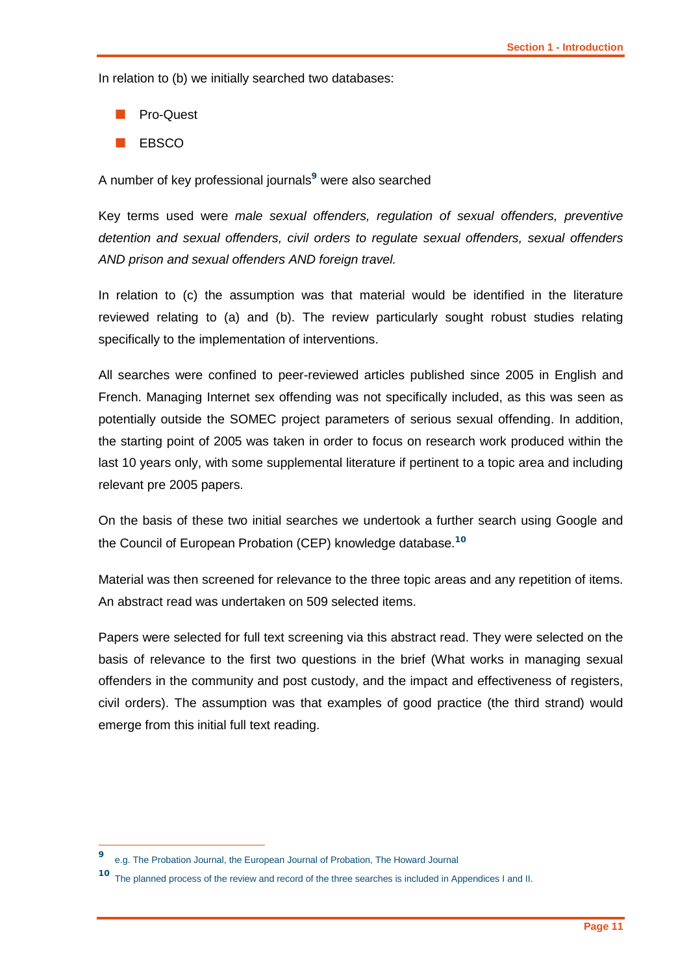In relation to (b) we initially searched two databases:

- Pro-Quest
- EBSCO

A number of key professional journals**<sup>9</sup>** were also searched

Key terms used were *male sexual offenders, regulation of sexual offenders, preventive detention and sexual offenders, civil orders to regulate sexual offenders, sexual offenders AND prison and sexual offenders AND foreign travel.*

In relation to (c) the assumption was that material would be identified in the literature reviewed relating to (a) and (b). The review particularly sought robust studies relating specifically to the implementation of interventions.

All searches were confined to peer-reviewed articles published since 2005 in English and French. Managing Internet sex offending was not specifically included, as this was seen as potentially outside the SOMEC project parameters of serious sexual offending. In addition, the starting point of 2005 was taken in order to focus on research work produced within the last 10 years only, with some supplemental literature if pertinent to a topic area and including relevant pre 2005 papers.

On the basis of these two initial searches we undertook a further search using Google and the Council of European Probation (CEP) knowledge database.**<sup>10</sup>**

Material was then screened for relevance to the three topic areas and any repetition of items. An abstract read was undertaken on 509 selected items.

Papers were selected for full text screening via this abstract read. They were selected on the basis of relevance to the first two questions in the brief (What works in managing sexual offenders in the community and post custody, and the impact and effectiveness of registers, civil orders). The assumption was that examples of good practice (the third strand) would emerge from this initial full text reading.

-

**<sup>9</sup>** e.g. The Probation Journal, the European Journal of Probation, The Howard Journal

**<sup>10</sup>** The planned process of the review and record of the three searches is included in Appendices I and II.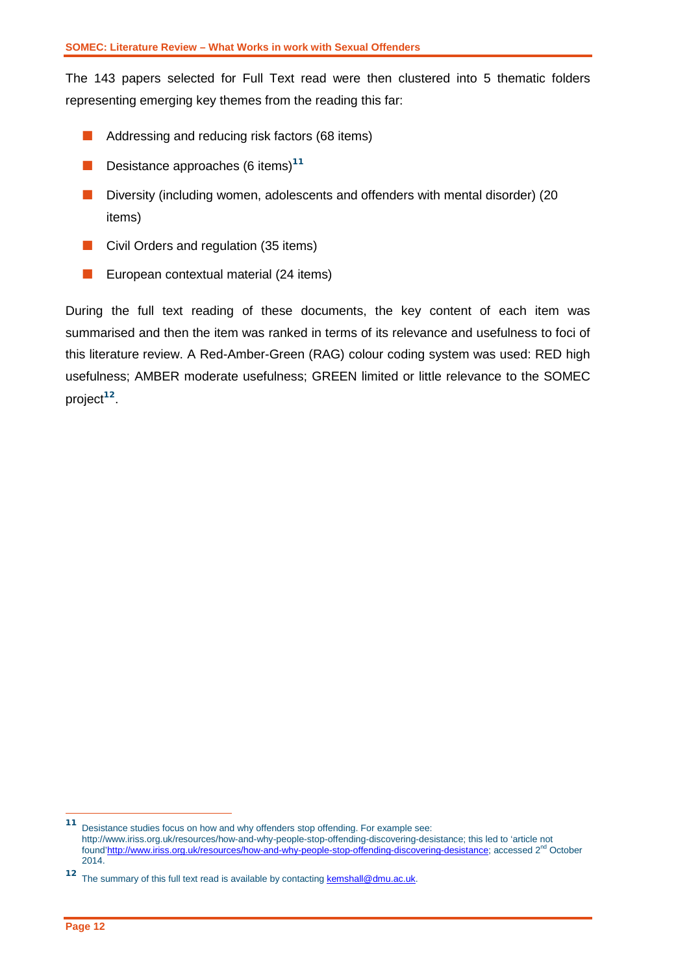The 143 papers selected for Full Text read were then clustered into 5 thematic folders representing emerging key themes from the reading this far:

- **Addressing and reducing risk factors (68 items)**
- **Desistance approaches (6 items)<sup>11</sup>**
- Diversity (including women, adolescents and offenders with mental disorder) (20 items)
- **Civil Orders and regulation (35 items)**
- **EU** European contextual material (24 items)

During the full text reading of these documents, the key content of each item was summarised and then the item was ranked in terms of its relevance and usefulness to foci of this literature review. A Red-Amber-Green (RAG) colour coding system was used: RED high usefulness; AMBER moderate usefulness; GREEN limited or little relevance to the SOMEC project**<sup>12</sup>**.

-

**<sup>11</sup>** Desistance studies focus on how and why offenders stop offending. For example see: http://www.iriss.org.uk/resources/how-and-why-people-stop-offending-discovering-desistance; this led to 'article not foun[d'http://www.iriss.org.uk/resources/how-and-why-people-stop-offending-discovering-desistance;](http://www.iriss.org.uk/resources/how-and-why-people-stop-offending-discovering-desistance) accessed 2<sup>nd</sup> October 2014.

**<sup>12</sup>** The summary of this full text read is available by contacting **kemshall@dmu.ac.uk**.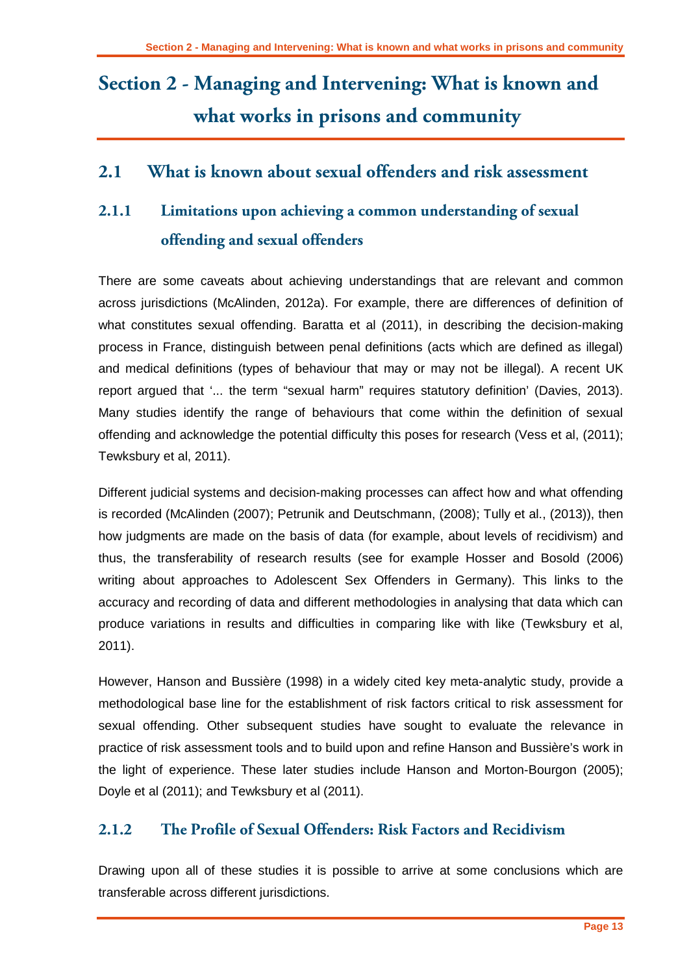# <span id="page-14-0"></span>**Section 2 - Managing and Intervening: What is known and what works in prisons and community**

### <span id="page-14-1"></span>**2.1 What is known about sexual offenders and risk assessment**

# <span id="page-14-2"></span>**2.1.1 Limitations upon achieving a common understanding of sexual offending and sexual offenders**

There are some caveats about achieving understandings that are relevant and common across jurisdictions (McAlinden, 2012a). For example, there are differences of definition of what constitutes sexual offending. Baratta et al (2011), in describing the decision-making process in France, distinguish between penal definitions (acts which are defined as illegal) and medical definitions (types of behaviour that may or may not be illegal). A recent UK report argued that '... the term "sexual harm" requires statutory definition' (Davies, 2013). Many studies identify the range of behaviours that come within the definition of sexual offending and acknowledge the potential difficulty this poses for research (Vess et al, (2011); Tewksbury et al, 2011).

Different judicial systems and decision-making processes can affect how and what offending is recorded (McAlinden (2007); Petrunik and Deutschmann, (2008); Tully et al., (2013)), then how judgments are made on the basis of data (for example, about levels of recidivism) and thus, the transferability of research results (see for example Hosser and Bosold (2006) writing about approaches to Adolescent Sex Offenders in Germany). This links to the accuracy and recording of data and different methodologies in analysing that data which can produce variations in results and difficulties in comparing like with like (Tewksbury et al, 2011).

However, Hanson and Bussière (1998) in a widely cited key meta-analytic study, provide a methodological base line for the establishment of risk factors critical to risk assessment for sexual offending. Other subsequent studies have sought to evaluate the relevance in practice of risk assessment tools and to build upon and refine Hanson and Bussière's work in the light of experience. These later studies include Hanson and Morton-Bourgon (2005); Doyle et al (2011); and Tewksbury et al (2011).

### <span id="page-14-3"></span>**2.1.2 The Profile of Sexual Offenders: Risk Factors and Recidivism**

Drawing upon all of these studies it is possible to arrive at some conclusions which are transferable across different jurisdictions.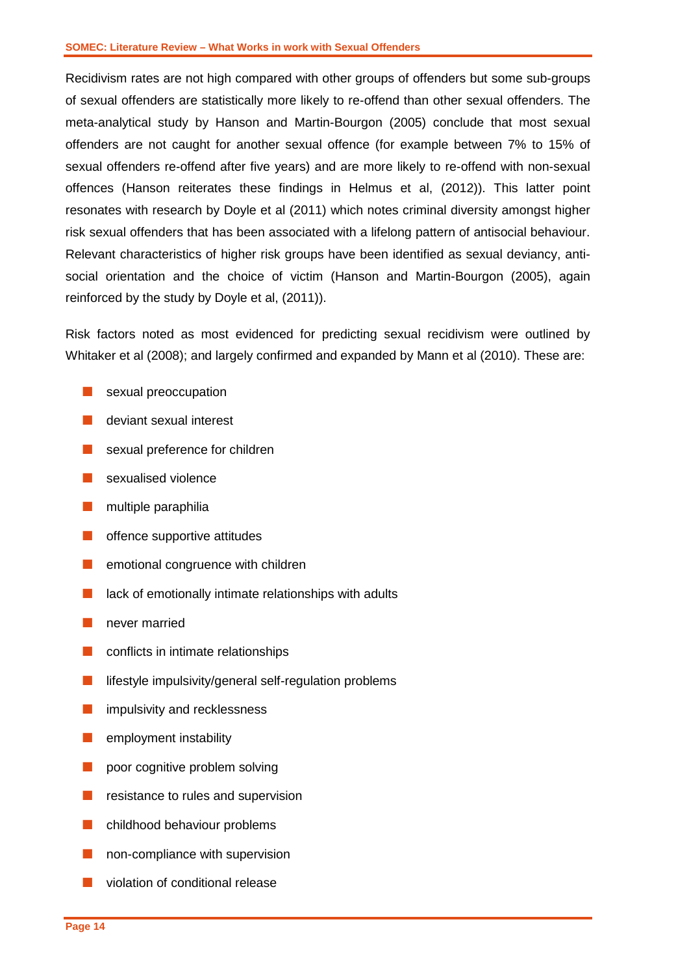Recidivism rates are not high compared with other groups of offenders but some sub-groups of sexual offenders are statistically more likely to re-offend than other sexual offenders. The meta-analytical study by Hanson and Martin-Bourgon (2005) conclude that most sexual offenders are not caught for another sexual offence (for example between 7% to 15% of sexual offenders re-offend after five years) and are more likely to re-offend with non-sexual offences (Hanson reiterates these findings in Helmus et al, (2012)). This latter point resonates with research by Doyle et al (2011) which notes criminal diversity amongst higher risk sexual offenders that has been associated with a lifelong pattern of antisocial behaviour. Relevant characteristics of higher risk groups have been identified as sexual deviancy, antisocial orientation and the choice of victim (Hanson and Martin-Bourgon (2005), again reinforced by the study by Doyle et al, (2011)).

Risk factors noted as most evidenced for predicting sexual recidivism were outlined by Whitaker et al (2008); and largely confirmed and expanded by Mann et al (2010). These are:

- sexual preoccupation
- **deviant sexual interest**
- sexual preference for children
- sexualised violence
- $\blacksquare$  multiple paraphilia
- **n** offence supportive attitudes
- $\blacksquare$  emotional congruence with children
- $\blacksquare$  lack of emotionally intimate relationships with adults
- **never married**
- **Conflicts in intimate relationships**
- $\blacksquare$  lifestyle impulsivity/general self-regulation problems
- **n** impulsivity and recklessness
- **E** employment instability
- poor cognitive problem solving
- **R** resistance to rules and supervision
- **n** childhood behaviour problems
- non-compliance with supervision
- violation of conditional release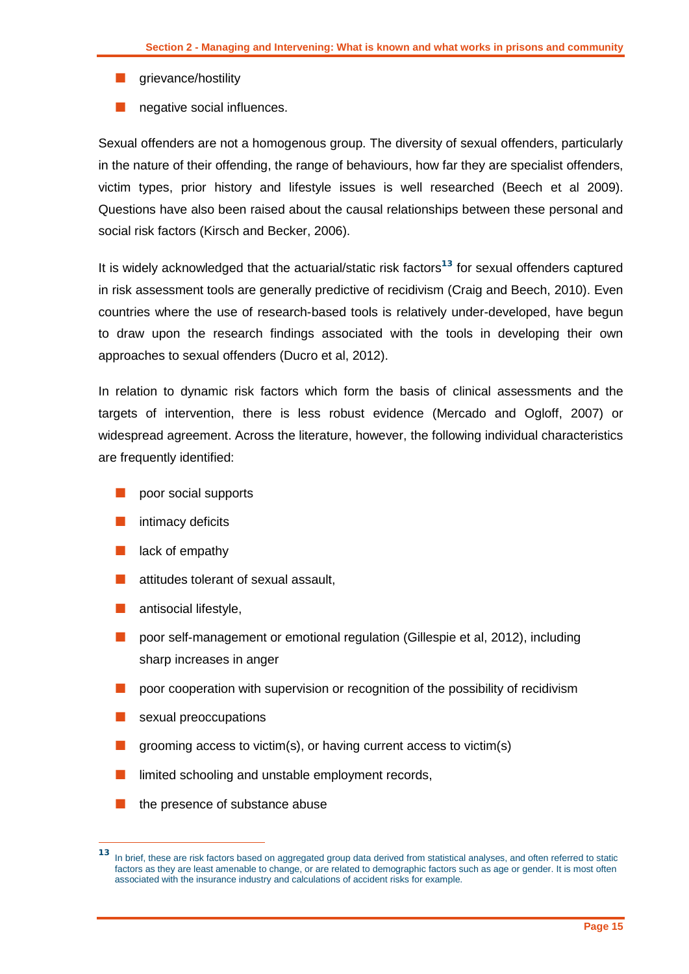- **grievance/hostility**
- negative social influences.

Sexual offenders are not a homogenous group. The diversity of sexual offenders, particularly in the nature of their offending, the range of behaviours, how far they are specialist offenders, victim types, prior history and lifestyle issues is well researched (Beech et al 2009). Questions have also been raised about the causal relationships between these personal and social risk factors (Kirsch and Becker, 2006).

It is widely acknowledged that the actuarial/static risk factors**<sup>13</sup>** for sexual offenders captured in risk assessment tools are generally predictive of recidivism (Craig and Beech, 2010). Even countries where the use of research-based tools is relatively under-developed, have begun to draw upon the research findings associated with the tools in developing their own approaches to sexual offenders (Ducro et al, 2012).

In relation to dynamic risk factors which form the basis of clinical assessments and the targets of intervention, there is less robust evidence (Mercado and Ogloff, 2007) or widespread agreement. Across the literature, however, the following individual characteristics are frequently identified:

- poor social supports
- intimacy deficits
- lack of empathy
- attitudes tolerant of sexual assault,
- antisocial lifestyle,
- poor self-management or emotional regulation (Gillespie et al, 2012), including sharp increases in anger
- poor cooperation with supervision or recognition of the possibility of recidivism
- sexual preoccupations
- grooming access to victim(s), or having current access to victim(s)
- limited schooling and unstable employment records,
- the presence of substance abuse

 $13$ **<sup>13</sup>** In brief, these are risk factors based on aggregated group data derived from statistical analyses, and often referred to static factors as they are least amenable to change, or are related to demographic factors such as age or gender. It is most often associated with the insurance industry and calculations of accident risks for example.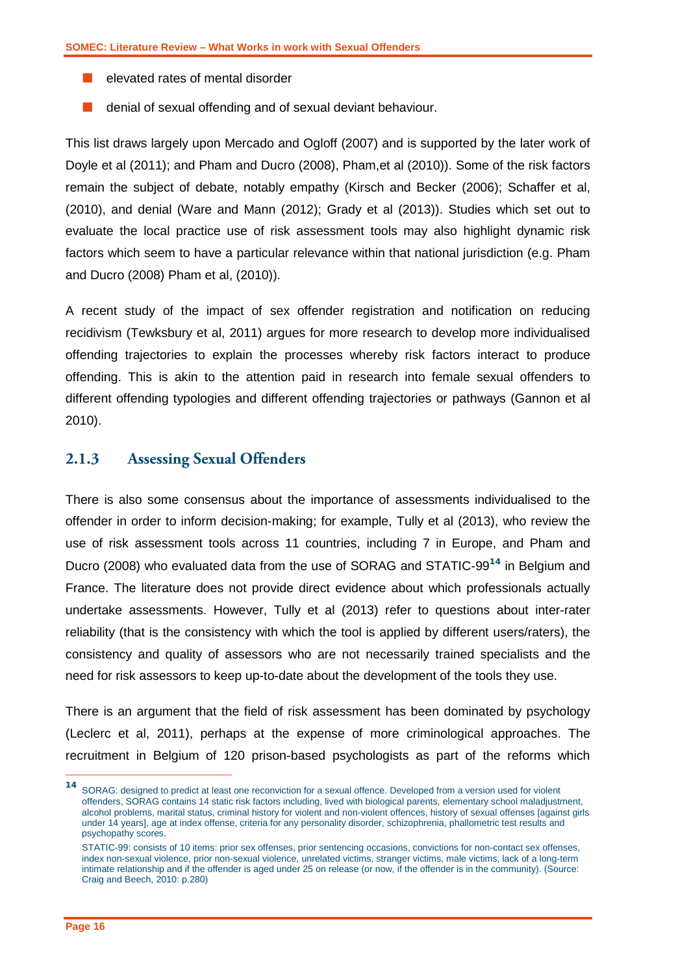- $\blacksquare$  elevated rates of mental disorder
- denial of sexual offending and of sexual deviant behaviour.

This list draws largely upon Mercado and Ogloff (2007) and is supported by the later work of Doyle et al (2011); and Pham and Ducro (2008), Pham,et al (2010)). Some of the risk factors remain the subject of debate, notably empathy (Kirsch and Becker (2006); Schaffer et al, (2010), and denial (Ware and Mann (2012); Grady et al (2013)). Studies which set out to evaluate the local practice use of risk assessment tools may also highlight dynamic risk factors which seem to have a particular relevance within that national jurisdiction (e.g. Pham and Ducro (2008) Pham et al, (2010)).

A recent study of the impact of sex offender registration and notification on reducing recidivism (Tewksbury et al, 2011) argues for more research to develop more individualised offending trajectories to explain the processes whereby risk factors interact to produce offending. This is akin to the attention paid in research into female sexual offenders to different offending typologies and different offending trajectories or pathways (Gannon et al 2010).

#### <span id="page-17-0"></span>**2.1.3 Assessing Sexual Offenders**

There is also some consensus about the importance of assessments individualised to the offender in order to inform decision-making; for example, Tully et al (2013), who review the use of risk assessment tools across 11 countries, including 7 in Europe, and Pham and Ducro (2008) who evaluated data from the use of SORAG and STATIC-99**<sup>14</sup>** in Belgium and France. The literature does not provide direct evidence about which professionals actually undertake assessments. However, Tully et al (2013) refer to questions about inter-rater reliability (that is the consistency with which the tool is applied by different users/raters), the consistency and quality of assessors who are not necessarily trained specialists and the need for risk assessors to keep up-to-date about the development of the tools they use.

There is an argument that the field of risk assessment has been dominated by psychology (Leclerc et al, 2011), perhaps at the expense of more criminological approaches. The recruitment in Belgium of 120 prison-based psychologists as part of the reforms which

-

**<sup>14</sup>** SORAG: designed to predict at least one reconviction for a sexual offence. Developed from a version used for violent offenders, SORAG contains 14 static risk factors including, lived with biological parents, elementary school maladjustment, alcohol problems, marital status, criminal history for violent and non-violent offences, history of sexual offenses [against girls under 14 years], age at index offense, criteria for any personality disorder, schizophrenia, phallometric test results and psychopathy scores.

STATIC-99: consists of 10 items: prior sex offenses, prior sentencing occasions, convictions for non-contact sex offenses, index non-sexual violence, prior non-sexual violence, unrelated victims, stranger victims, male victims, lack of a long-term intimate relationship and if the offender is aged under 25 on release (or now, if the offender is in the community). (Source: Craig and Beech, 2010: p.280)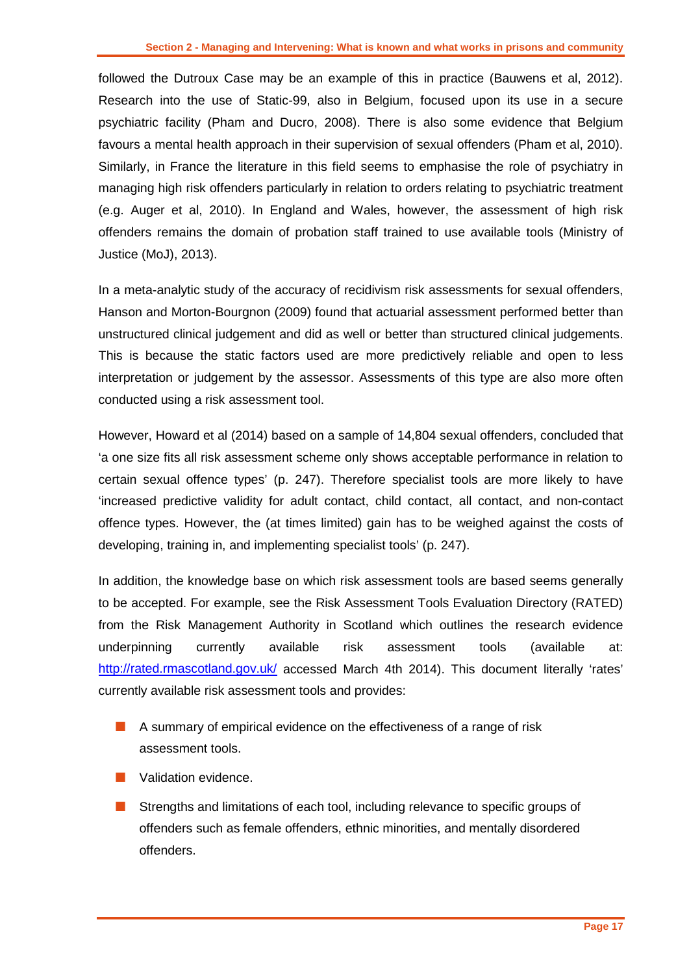followed the Dutroux Case may be an example of this in practice (Bauwens et al, 2012). Research into the use of Static-99, also in Belgium, focused upon its use in a secure psychiatric facility (Pham and Ducro, 2008). There is also some evidence that Belgium favours a mental health approach in their supervision of sexual offenders (Pham et al, 2010). Similarly, in France the literature in this field seems to emphasise the role of psychiatry in managing high risk offenders particularly in relation to orders relating to psychiatric treatment (e.g. Auger et al, 2010). In England and Wales, however, the assessment of high risk offenders remains the domain of probation staff trained to use available tools (Ministry of Justice (MoJ), 2013).

In a meta-analytic study of the accuracy of recidivism risk assessments for sexual offenders, Hanson and Morton-Bourgnon (2009) found that actuarial assessment performed better than unstructured clinical judgement and did as well or better than structured clinical judgements. This is because the static factors used are more predictively reliable and open to less interpretation or judgement by the assessor. Assessments of this type are also more often conducted using a risk assessment tool.

However, Howard et al (2014) based on a sample of 14,804 sexual offenders, concluded that 'a one size fits all risk assessment scheme only shows acceptable performance in relation to certain sexual offence types' (p. 247). Therefore specialist tools are more likely to have 'increased predictive validity for adult contact, child contact, all contact, and non-contact offence types. However, the (at times limited) gain has to be weighed against the costs of developing, training in, and implementing specialist tools' (p. 247).

In addition, the knowledge base on which risk assessment tools are based seems generally to be accepted. For example, see the Risk Assessment Tools Evaluation Directory (RATED) from the Risk Management Authority in Scotland which outlines the research evidence underpinning currently available risk assessment tools (available at: <http://rated.rmascotland.gov.uk/> accessed March 4th 2014). This document literally 'rates' currently available risk assessment tools and provides:

- A summary of empirical evidence on the effectiveness of a range of risk assessment tools.
- **Validation evidence.**
- **Strengths and limitations of each tool, including relevance to specific groups of** offenders such as female offenders, ethnic minorities, and mentally disordered offenders.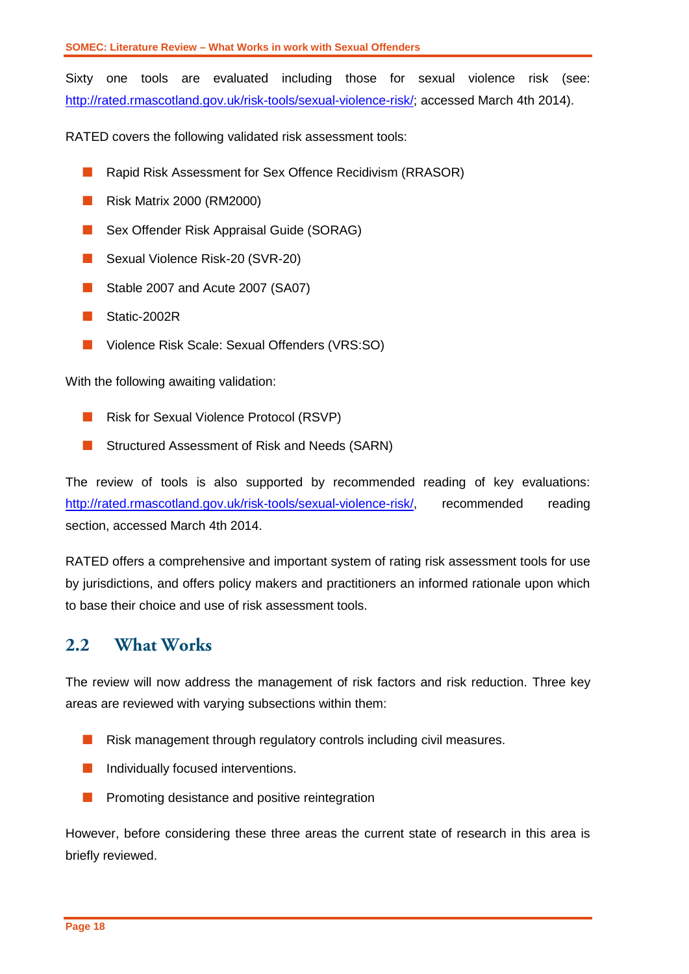Sixty one tools are evaluated including those for sexual violence risk (see: [http://rated.rmascotland.gov.uk/risk-tools/sexual-violence-risk/;](http://rated.rmascotland.gov.uk/risk-tools/sexual-violence-risk/) accessed March 4th 2014).

RATED covers the following validated risk assessment tools:

- Rapid Risk Assessment for Sex Offence Recidivism (RRASOR)
- **Risk Matrix 2000 (RM2000)**
- Sex Offender Risk Appraisal Guide (SORAG)
- Sexual Violence Risk-20 (SVR-20)
- Stable 2007 and Acute 2007 (SA07)
- Static-2002R
- Violence Risk Scale: Sexual Offenders (VRS:SO)

With the following awaiting validation:

- **Risk for Sexual Violence Protocol (RSVP)**
- **E** Structured Assessment of Risk and Needs (SARN)

The review of tools is also supported by recommended reading of key evaluations: [http://rated.rmascotland.gov.uk/risk-tools/sexual-violence-risk/,](http://rated.rmascotland.gov.uk/risk-tools/sexual-violence-risk/) recommended reading section, accessed March 4th 2014.

RATED offers a comprehensive and important system of rating risk assessment tools for use by jurisdictions, and offers policy makers and practitioners an informed rationale upon which to base their choice and use of risk assessment tools.

### <span id="page-19-0"></span>**2.2 What Works**

The review will now address the management of risk factors and risk reduction. Three key areas are reviewed with varying subsections within them:

- **Risk management through regulatory controls including civil measures.**
- **Individually focused interventions.**
- **Promoting desistance and positive reintegration**

However, before considering these three areas the current state of research in this area is briefly reviewed.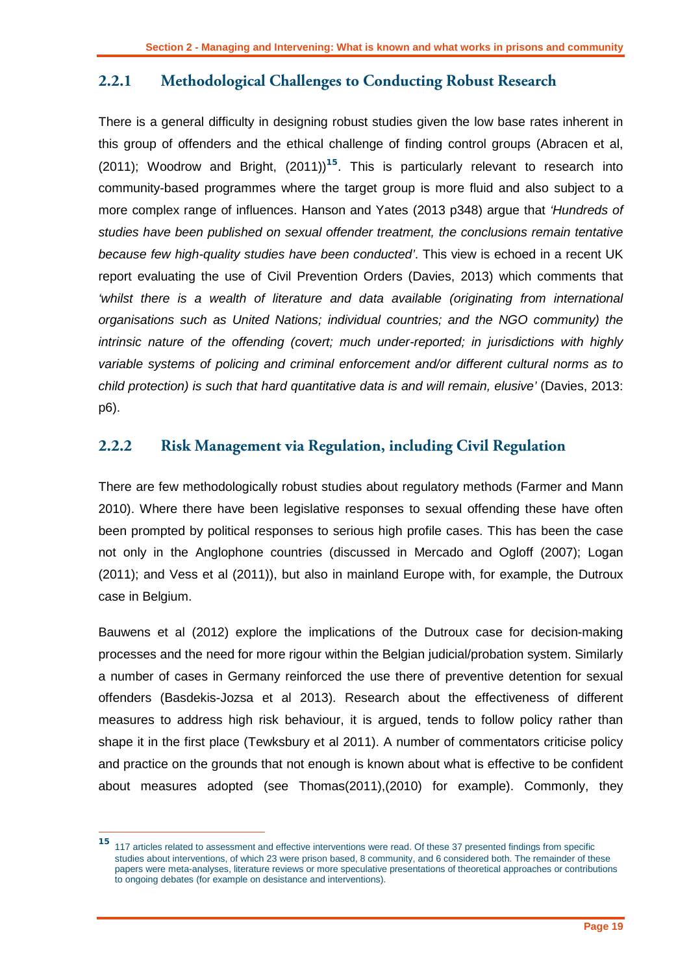### <span id="page-20-0"></span>**2.2.1 Methodological Challenges to Conducting Robust Research**

There is a general difficulty in designing robust studies given the low base rates inherent in this group of offenders and the ethical challenge of finding control groups (Abracen et al, (2011); Woodrow and Bright, (2011)) **<sup>15</sup>**. This is particularly relevant to research into community-based programmes where the target group is more fluid and also subject to a more complex range of influences. Hanson and Yates (2013 p348) argue that *'Hundreds of studies have been published on sexual offender treatment, the conclusions remain tentative because few high-quality studies have been conducted'*. This view is echoed in a recent UK report evaluating the use of Civil Prevention Orders (Davies, 2013) which comments that *'whilst there is a wealth of literature and data available (originating from international organisations such as United Nations; individual countries; and the NGO community) the intrinsic nature of the offending (covert; much under-reported; in jurisdictions with highly variable systems of policing and criminal enforcement and/or different cultural norms as to child protection) is such that hard quantitative data is and will remain, elusive'* (Davies, 2013: p6).

### <span id="page-20-1"></span>**2.2.2 Risk Management via Regulation, including Civil Regulation**

There are few methodologically robust studies about regulatory methods (Farmer and Mann 2010). Where there have been legislative responses to sexual offending these have often been prompted by political responses to serious high profile cases. This has been the case not only in the Anglophone countries (discussed in Mercado and Ogloff (2007); Logan (2011); and Vess et al (2011)), but also in mainland Europe with, for example, the Dutroux case in Belgium.

Bauwens et al (2012) explore the implications of the Dutroux case for decision-making processes and the need for more rigour within the Belgian judicial/probation system. Similarly a number of cases in Germany reinforced the use there of preventive detention for sexual offenders (Basdekis-Jozsa et al 2013). Research about the effectiveness of different measures to address high risk behaviour, it is argued, tends to follow policy rather than shape it in the first place (Tewksbury et al 2011). A number of commentators criticise policy and practice on the grounds that not enough is known about what is effective to be confident about measures adopted (see Thomas(2011),(2010) for example). Commonly, they

 $15<sub>1</sub>$ **<sup>15</sup>** 117 articles related to assessment and effective interventions were read. Of these 37 presented findings from specific studies about interventions, of which 23 were prison based, 8 community, and 6 considered both. The remainder of these papers were meta-analyses, literature reviews or more speculative presentations of theoretical approaches or contributions to ongoing debates (for example on desistance and interventions).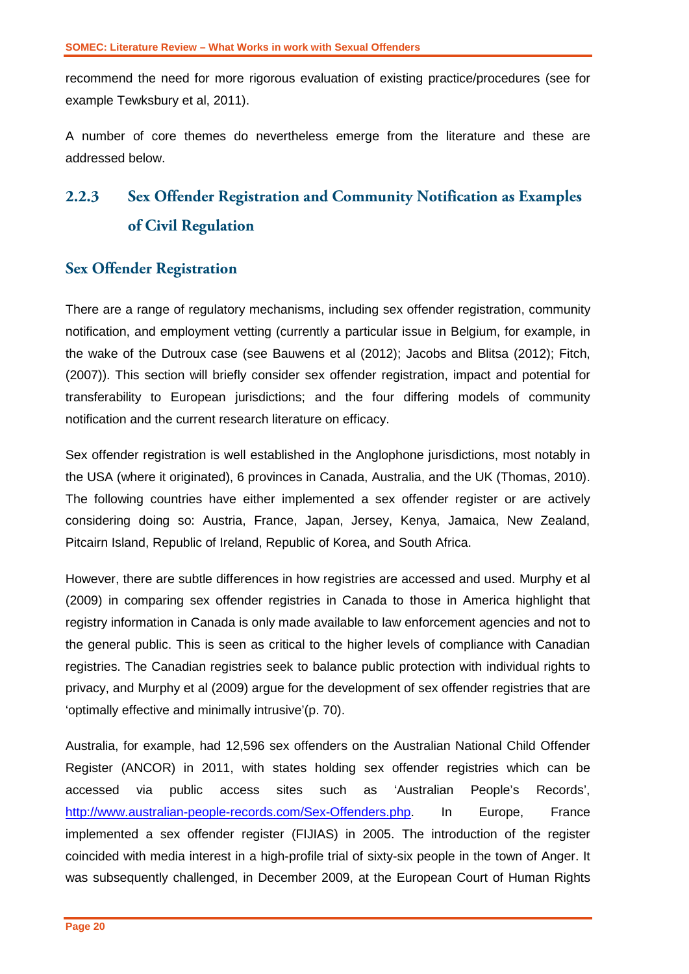recommend the need for more rigorous evaluation of existing practice/procedures (see for example Tewksbury et al, 2011).

A number of core themes do nevertheless emerge from the literature and these are addressed below.

# <span id="page-21-0"></span>**2.2.3 Sex Offender Registration and Community Notification as Examples of Civil Regulation**

### **Sex Offender Registration**

There are a range of regulatory mechanisms, including sex offender registration, community notification, and employment vetting (currently a particular issue in Belgium, for example, in the wake of the Dutroux case (see Bauwens et al (2012); Jacobs and Blitsa (2012); Fitch, (2007)). This section will briefly consider sex offender registration, impact and potential for transferability to European jurisdictions; and the four differing models of community notification and the current research literature on efficacy.

Sex offender registration is well established in the Anglophone jurisdictions, most notably in the USA (where it originated), 6 provinces in Canada, Australia, and the UK (Thomas, 2010). The following countries have either implemented a sex offender register or are actively considering doing so: Austria, France, Japan, Jersey, Kenya, Jamaica, New Zealand, Pitcairn Island, Republic of Ireland, Republic of Korea, and South Africa.

However, there are subtle differences in how registries are accessed and used. Murphy et al (2009) in comparing sex offender registries in Canada to those in America highlight that registry information in Canada is only made available to law enforcement agencies and not to the general public. This is seen as critical to the higher levels of compliance with Canadian registries. The Canadian registries seek to balance public protection with individual rights to privacy, and Murphy et al (2009) argue for the development of sex offender registries that are 'optimally effective and minimally intrusive'(p. 70).

Australia, for example, had 12,596 sex offenders on the Australian National Child Offender Register (ANCOR) in 2011, with states holding sex offender registries which can be accessed via public access sites such as 'Australian People's Records', [http://www.australian-people-records.com/Sex-Offenders.php.](http://www.australian-people-records.com/Sex-Offenders.php) In Europe, France implemented a sex offender register (FIJIAS) in 2005. The introduction of the register coincided with media interest in a high-profile trial of sixty-six people in the town of Anger. It was subsequently challenged, in December 2009, at the European Court of Human Rights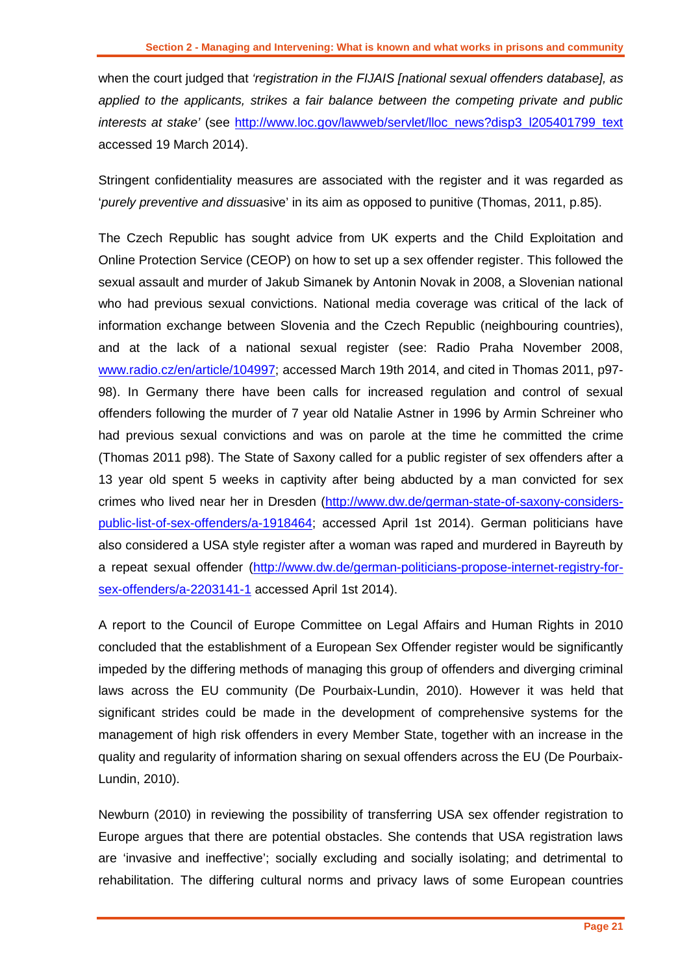when the court judged that *'registration in the FIJAIS [national sexual offenders database], as applied to the applicants, strikes a fair balance between the competing private and public interests at stake'* (see [http://www.loc.gov/lawweb/servlet/lloc\\_news?disp3\\_l205401799\\_text](http://www.loc.gov/lawweb/servlet/lloc_news?disp3_l205401799_text) accessed 19 March 2014).

Stringent confidentiality measures are associated with the register and it was regarded as '*purely preventive and dissua*sive' in its aim as opposed to punitive (Thomas, 2011, p.85).

The Czech Republic has sought advice from UK experts and the Child Exploitation and Online Protection Service (CEOP) on how to set up a sex offender register. This followed the sexual assault and murder of Jakub Simanek by Antonin Novak in 2008, a Slovenian national who had previous sexual convictions. National media coverage was critical of the lack of information exchange between Slovenia and the Czech Republic (neighbouring countries), and at the lack of a national sexual register (see: Radio Praha November 2008, [www.radio.cz/en/article/104997;](http://www.radio.cz/en/article/104997) accessed March 19th 2014, and cited in Thomas 2011, p97- 98). In Germany there have been calls for increased regulation and control of sexual offenders following the murder of 7 year old Natalie Astner in 1996 by Armin Schreiner who had previous sexual convictions and was on parole at the time he committed the crime (Thomas 2011 p98). The State of Saxony called for a public register of sex offenders after a 13 year old spent 5 weeks in captivity after being abducted by a man convicted for sex crimes who lived near her in Dresden [\(http://www.dw.de/german-state-of-saxony-considers](http://www.dw.de/german-state-of-saxony-considers-public-list-of-sex-offenders/a-1918464)[public-list-of-sex-offenders/a-1918464;](http://www.dw.de/german-state-of-saxony-considers-public-list-of-sex-offenders/a-1918464) accessed April 1st 2014). German politicians have also considered a USA style register after a woman was raped and murdered in Bayreuth by a repeat sexual offender [\(http://www.dw.de/german-politicians-propose-internet-registry-for](http://www.dw.de/german-politicians-propose-internet-registry-for-sex-offenders/a-2203141-1)[sex-offenders/a-2203141-1](http://www.dw.de/german-politicians-propose-internet-registry-for-sex-offenders/a-2203141-1) accessed April 1st 2014).

A report to the Council of Europe Committee on Legal Affairs and Human Rights in 2010 concluded that the establishment of a European Sex Offender register would be significantly impeded by the differing methods of managing this group of offenders and diverging criminal laws across the EU community (De Pourbaix-Lundin, 2010). However it was held that significant strides could be made in the development of comprehensive systems for the management of high risk offenders in every Member State, together with an increase in the quality and regularity of information sharing on sexual offenders across the EU (De Pourbaix-Lundin, 2010).

Newburn (2010) in reviewing the possibility of transferring USA sex offender registration to Europe argues that there are potential obstacles. She contends that USA registration laws are 'invasive and ineffective'; socially excluding and socially isolating; and detrimental to rehabilitation. The differing cultural norms and privacy laws of some European countries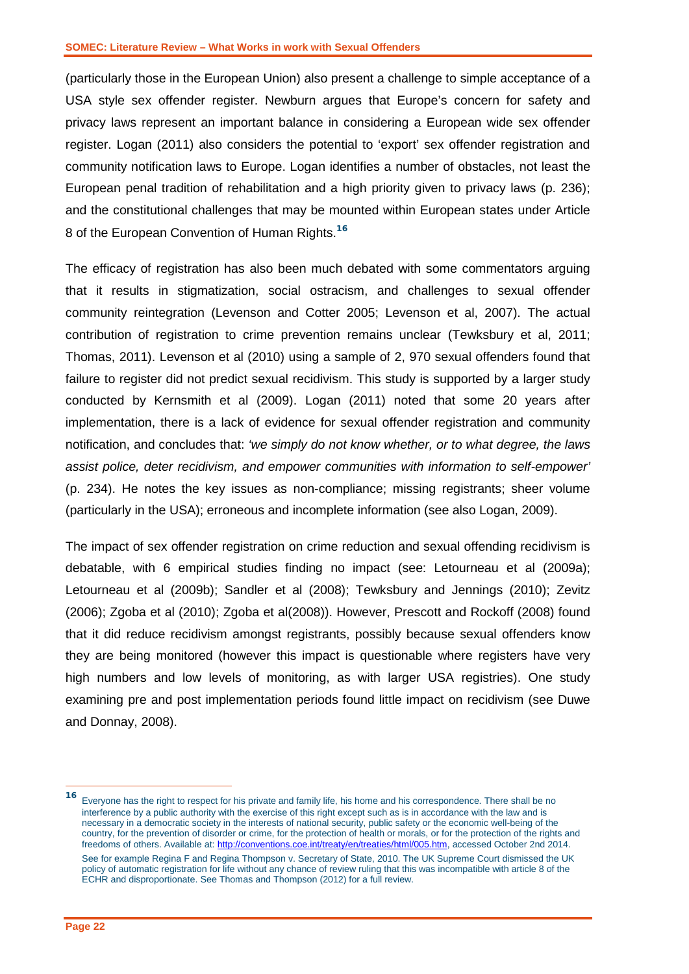(particularly those in the European Union) also present a challenge to simple acceptance of a USA style sex offender register. Newburn argues that Europe's concern for safety and privacy laws represent an important balance in considering a European wide sex offender register. Logan (2011) also considers the potential to 'export' sex offender registration and community notification laws to Europe. Logan identifies a number of obstacles, not least the European penal tradition of rehabilitation and a high priority given to privacy laws (p. 236); and the constitutional challenges that may be mounted within European states under Article 8 of the European Convention of Human Rights.**<sup>16</sup>**

The efficacy of registration has also been much debated with some commentators arguing that it results in stigmatization, social ostracism, and challenges to sexual offender community reintegration (Levenson and Cotter 2005; Levenson et al, 2007). The actual contribution of registration to crime prevention remains unclear (Tewksbury et al, 2011; Thomas, 2011). Levenson et al (2010) using a sample of 2, 970 sexual offenders found that failure to register did not predict sexual recidivism. This study is supported by a larger study conducted by Kernsmith et al (2009). Logan (2011) noted that some 20 years after implementation, there is a lack of evidence for sexual offender registration and community notification, and concludes that: *'we simply do not know whether, or to what degree, the laws assist police, deter recidivism, and empower communities with information to self-empower'*  (p. 234). He notes the key issues as non-compliance; missing registrants; sheer volume (particularly in the USA); erroneous and incomplete information (see also Logan, 2009).

The impact of sex offender registration on crime reduction and sexual offending recidivism is debatable, with 6 empirical studies finding no impact (see: Letourneau et al (2009a); Letourneau et al (2009b); Sandler et al (2008); Tewksbury and Jennings (2010); Zevitz (2006); Zgoba et al (2010); Zgoba et al(2008)). However, Prescott and Rockoff (2008) found that it did reduce recidivism amongst registrants, possibly because sexual offenders know they are being monitored (however this impact is questionable where registers have very high numbers and low levels of monitoring, as with larger USA registries). One study examining pre and post implementation periods found little impact on recidivism (see Duwe and Donnay, 2008).

 $\overline{a}$ 

**<sup>16</sup>** Everyone has the right to respect for his private and family life, his home and his correspondence. There shall be no interference by a public authority with the exercise of this right except such as is in accordance with the law and is necessary in a democratic society in the interests of national security, public safety or the economic well-being of the country, for the prevention of disorder or crime, for the protection of health or morals, or for the protection of the rights and freedoms of others. Available at: [http://conventions.coe.int/treaty/en/treaties/html/005.htm,](http://conventions.coe.int/treaty/en/treaties/html/005.htm) accessed October 2nd 2014. See for example Regina F and Regina Thompson v. Secretary of State, 2010. The UK Supreme Court dismissed the UK policy of automatic registration for life without any chance of review ruling that this was incompatible with article 8 of the ECHR and disproportionate. See Thomas and Thompson (2012) for a full review.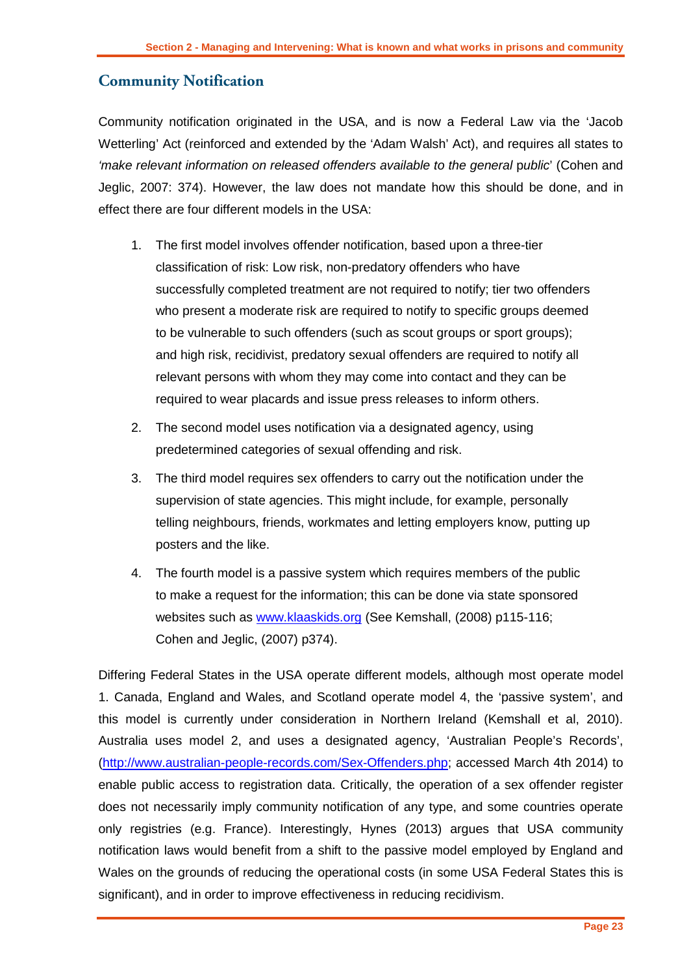### **Community Notification**

Community notification originated in the USA, and is now a Federal Law via the 'Jacob Wetterling' Act (reinforced and extended by the 'Adam Walsh' Act), and requires all states to *'make relevant information on released offenders available to the general public' (Cohen and* Jeglic, 2007: 374). However, the law does not mandate how this should be done, and in effect there are four different models in the USA:

- 1. The first model involves offender notification, based upon a three-tier classification of risk: Low risk, non-predatory offenders who have successfully completed treatment are not required to notify; tier two offenders who present a moderate risk are required to notify to specific groups deemed to be vulnerable to such offenders (such as scout groups or sport groups); and high risk, recidivist, predatory sexual offenders are required to notify all relevant persons with whom they may come into contact and they can be required to wear placards and issue press releases to inform others.
- 2. The second model uses notification via a designated agency, using predetermined categories of sexual offending and risk.
- 3. The third model requires sex offenders to carry out the notification under the supervision of state agencies. This might include, for example, personally telling neighbours, friends, workmates and letting employers know, putting up posters and the like.
- 4. The fourth model is a passive system which requires members of the public to make a request for the information; this can be done via state sponsored websites such as [www.klaaskids.org](http://www.klaaskids.org/) (See Kemshall, (2008) p115-116; Cohen and Jeglic, (2007) p374).

Differing Federal States in the USA operate different models, although most operate model 1. Canada, England and Wales, and Scotland operate model 4, the 'passive system', and this model is currently under consideration in Northern Ireland (Kemshall et al, 2010). Australia uses model 2, and uses a designated agency, 'Australian People's Records', [\(http://www.australian-people-records.com/Sex-Offenders.php;](http://www.australian-people-records.com/Sex-Offenders.php) accessed March 4th 2014) to enable public access to registration data. Critically, the operation of a sex offender register does not necessarily imply community notification of any type, and some countries operate only registries (e.g. France). Interestingly, Hynes (2013) argues that USA community notification laws would benefit from a shift to the passive model employed by England and Wales on the grounds of reducing the operational costs (in some USA Federal States this is significant), and in order to improve effectiveness in reducing recidivism.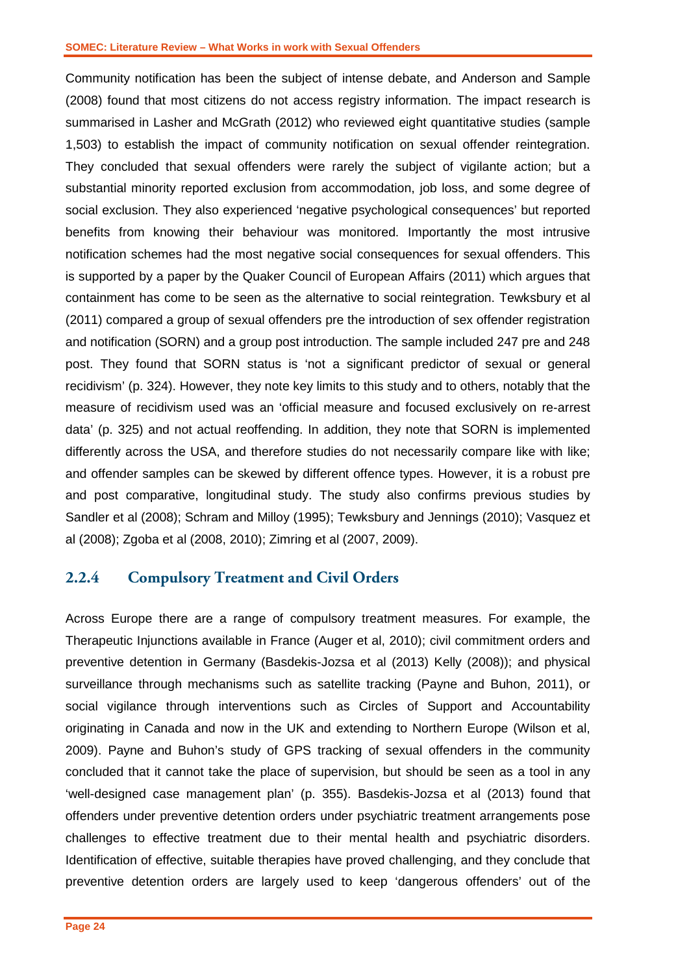Community notification has been the subject of intense debate, and Anderson and Sample (2008) found that most citizens do not access registry information. The impact research is summarised in Lasher and McGrath (2012) who reviewed eight quantitative studies (sample 1,503) to establish the impact of community notification on sexual offender reintegration. They concluded that sexual offenders were rarely the subject of vigilante action; but a substantial minority reported exclusion from accommodation, job loss, and some degree of social exclusion. They also experienced 'negative psychological consequences' but reported benefits from knowing their behaviour was monitored. Importantly the most intrusive notification schemes had the most negative social consequences for sexual offenders. This is supported by a paper by the Quaker Council of European Affairs (2011) which argues that containment has come to be seen as the alternative to social reintegration. Tewksbury et al (2011) compared a group of sexual offenders pre the introduction of sex offender registration and notification (SORN) and a group post introduction. The sample included 247 pre and 248 post. They found that SORN status is 'not a significant predictor of sexual or general recidivism' (p. 324). However, they note key limits to this study and to others, notably that the measure of recidivism used was an 'official measure and focused exclusively on re-arrest data' (p. 325) and not actual reoffending. In addition, they note that SORN is implemented differently across the USA, and therefore studies do not necessarily compare like with like; and offender samples can be skewed by different offence types. However, it is a robust pre and post comparative, longitudinal study. The study also confirms previous studies by Sandler et al (2008); Schram and Milloy (1995); Tewksbury and Jennings (2010); Vasquez et al (2008); Zgoba et al (2008, 2010); Zimring et al (2007, 2009).

### <span id="page-25-0"></span>**2.2.4 Compulsory Treatment and Civil Orders**

Across Europe there are a range of compulsory treatment measures. For example, the Therapeutic Injunctions available in France (Auger et al, 2010); civil commitment orders and preventive detention in Germany (Basdekis-Jozsa et al (2013) Kelly (2008)); and physical surveillance through mechanisms such as satellite tracking (Payne and Buhon, 2011), or social vigilance through interventions such as Circles of Support and Accountability originating in Canada and now in the UK and extending to Northern Europe (Wilson et al, 2009). Payne and Buhon's study of GPS tracking of sexual offenders in the community concluded that it cannot take the place of supervision, but should be seen as a tool in any 'well-designed case management plan' (p. 355). Basdekis-Jozsa et al (2013) found that offenders under preventive detention orders under psychiatric treatment arrangements pose challenges to effective treatment due to their mental health and psychiatric disorders. Identification of effective, suitable therapies have proved challenging, and they conclude that preventive detention orders are largely used to keep 'dangerous offenders' out of the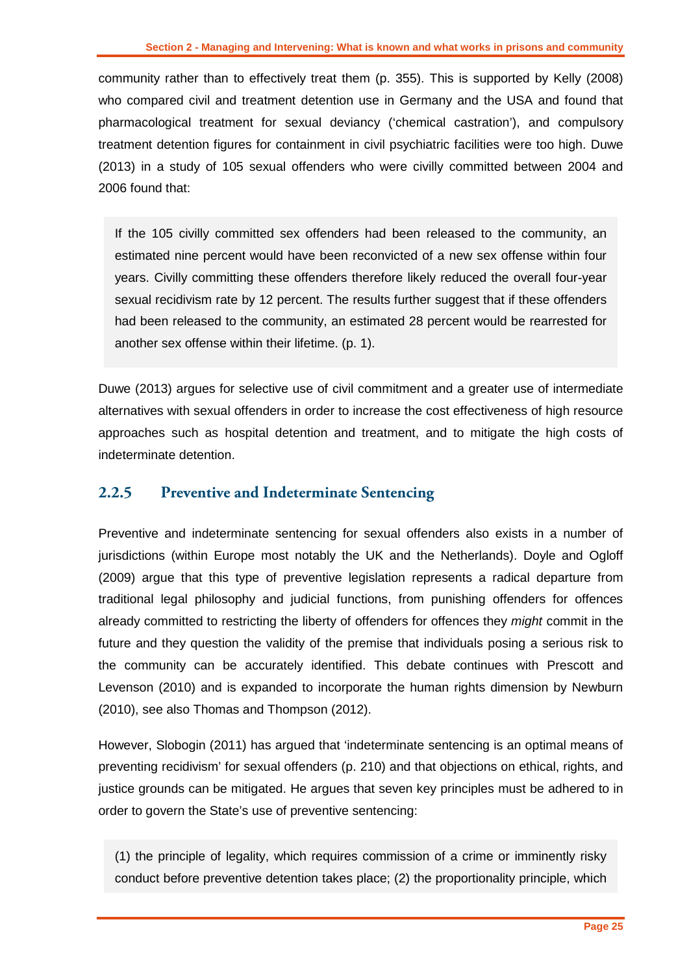community rather than to effectively treat them (p. 355). This is supported by Kelly (2008) who compared civil and treatment detention use in Germany and the USA and found that pharmacological treatment for sexual deviancy ('chemical castration'), and compulsory treatment detention figures for containment in civil psychiatric facilities were too high. Duwe (2013) in a study of 105 sexual offenders who were civilly committed between 2004 and 2006 found that:

If the 105 civilly committed sex offenders had been released to the community, an estimated nine percent would have been reconvicted of a new sex offense within four years. Civilly committing these offenders therefore likely reduced the overall four-year sexual recidivism rate by 12 percent. The results further suggest that if these offenders had been released to the community, an estimated 28 percent would be rearrested for another sex offense within their lifetime. (p. 1).

Duwe (2013) argues for selective use of civil commitment and a greater use of intermediate alternatives with sexual offenders in order to increase the cost effectiveness of high resource approaches such as hospital detention and treatment, and to mitigate the high costs of indeterminate detention.

### <span id="page-26-0"></span>**2.2.5 Preventive and Indeterminate Sentencing**

Preventive and indeterminate sentencing for sexual offenders also exists in a number of jurisdictions (within Europe most notably the UK and the Netherlands). Doyle and Ogloff (2009) argue that this type of preventive legislation represents a radical departure from traditional legal philosophy and judicial functions, from punishing offenders for offences already committed to restricting the liberty of offenders for offences they *might* commit in the future and they question the validity of the premise that individuals posing a serious risk to the community can be accurately identified. This debate continues with Prescott and Levenson (2010) and is expanded to incorporate the human rights dimension by Newburn (2010), see also Thomas and Thompson (2012).

However, Slobogin (2011) has argued that 'indeterminate sentencing is an optimal means of preventing recidivism' for sexual offenders (p. 210) and that objections on ethical, rights, and justice grounds can be mitigated. He argues that seven key principles must be adhered to in order to govern the State's use of preventive sentencing:

(1) the principle of legality, which requires commission of a crime or imminently risky conduct before preventive detention takes place; (2) the proportionality principle, which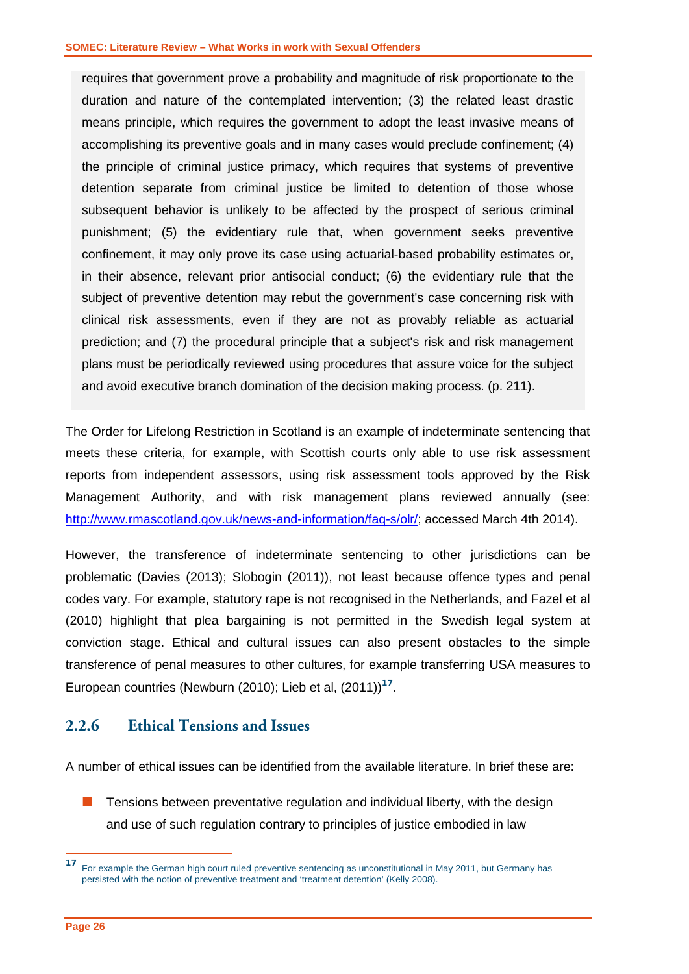requires that government prove a probability and magnitude of risk proportionate to the duration and nature of the contemplated intervention; (3) the related least drastic means principle, which requires the government to adopt the least invasive means of accomplishing its preventive goals and in many cases would preclude confinement; (4) the principle of criminal justice primacy, which requires that systems of preventive detention separate from criminal justice be limited to detention of those whose subsequent behavior is unlikely to be affected by the prospect of serious criminal punishment; (5) the evidentiary rule that, when government seeks preventive confinement, it may only prove its case using actuarial-based probability estimates or, in their absence, relevant prior antisocial conduct; (6) the evidentiary rule that the subject of preventive detention may rebut the government's case concerning risk with clinical risk assessments, even if they are not as provably reliable as actuarial prediction; and (7) the procedural principle that a subject's risk and risk management plans must be periodically reviewed using procedures that assure voice for the subject and avoid executive branch domination of the decision making process. (p. 211).

The Order for Lifelong Restriction in Scotland is an example of indeterminate sentencing that meets these criteria, for example, with Scottish courts only able to use risk assessment reports from independent assessors, using risk assessment tools approved by the Risk Management Authority, and with risk management plans reviewed annually (see: [http://www.rmascotland.gov.uk/news-and-information/faq-s/olr/;](http://www.rmascotland.gov.uk/news-and-information/faq-s/olr/) accessed March 4th 2014).

However, the transference of indeterminate sentencing to other jurisdictions can be problematic (Davies (2013); Slobogin (2011)), not least because offence types and penal codes vary. For example, statutory rape is not recognised in the Netherlands, and Fazel et al (2010) highlight that plea bargaining is not permitted in the Swedish legal system at conviction stage. Ethical and cultural issues can also present obstacles to the simple transference of penal measures to other cultures, for example transferring USA measures to European countries (Newburn (2010); Lieb et al, (2011)) **<sup>17</sup>**.

#### <span id="page-27-0"></span>**2.2.6 Ethical Tensions and Issues**

A number of ethical issues can be identified from the available literature. In brief these are:

 Tensions between preventative regulation and individual liberty, with the design and use of such regulation contrary to principles of justice embodied in law

-

**<sup>17</sup>** For example the German high court ruled preventive sentencing as unconstitutional in May 2011, but Germany has persisted with the notion of preventive treatment and 'treatment detention' (Kelly 2008).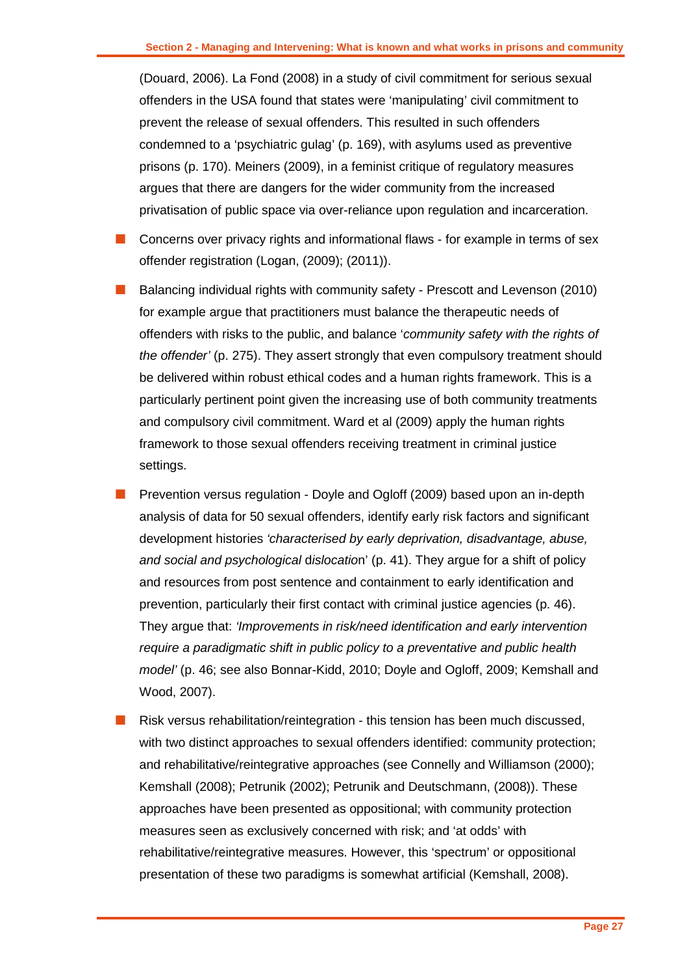(Douard, 2006). La Fond (2008) in a study of civil commitment for serious sexual offenders in the USA found that states were 'manipulating' civil commitment to prevent the release of sexual offenders. This resulted in such offenders condemned to a 'psychiatric gulag' (p. 169), with asylums used as preventive prisons (p. 170). Meiners (2009), in a feminist critique of regulatory measures argues that there are dangers for the wider community from the increased privatisation of public space via over-reliance upon regulation and incarceration.

- $\Box$  Concerns over privacy rights and informational flaws for example in terms of sex offender registration (Logan, (2009); (2011)).
- Balancing individual rights with community safety Prescott and Levenson (2010) for example argue that practitioners must balance the therapeutic needs of offenders with risks to the public, and balance '*community safety with the rights of the offender'* (p. 275). They assert strongly that even compulsory treatment should be delivered within robust ethical codes and a human rights framework. This is a particularly pertinent point given the increasing use of both community treatments and compulsory civil commitment. Ward et al (2009) apply the human rights framework to those sexual offenders receiving treatment in criminal justice settings.
- Prevention versus regulation Doyle and Ogloff (2009) based upon an in-depth analysis of data for 50 sexual offenders, identify early risk factors and significant development histories *'characterised by early deprivation, disadvantage, abuse, and social and psychological* d*islocatio*n' (p. 41). They argue for a shift of policy and resources from post sentence and containment to early identification and prevention, particularly their first contact with criminal justice agencies (p. 46). They argue that: *'Improvements in risk/need identification and early intervention require a paradigmatic shift in public policy to a preventative and public health model'* (p. 46; see also Bonnar-Kidd, 2010; Doyle and Ogloff, 2009; Kemshall and Wood, 2007).
- Risk versus rehabilitation/reintegration this tension has been much discussed, with two distinct approaches to sexual offenders identified: community protection; and rehabilitative/reintegrative approaches (see Connelly and Williamson (2000); Kemshall (2008); Petrunik (2002); Petrunik and Deutschmann, (2008)). These approaches have been presented as oppositional; with community protection measures seen as exclusively concerned with risk; and 'at odds' with rehabilitative/reintegrative measures. However, this 'spectrum' or oppositional presentation of these two paradigms is somewhat artificial (Kemshall, 2008).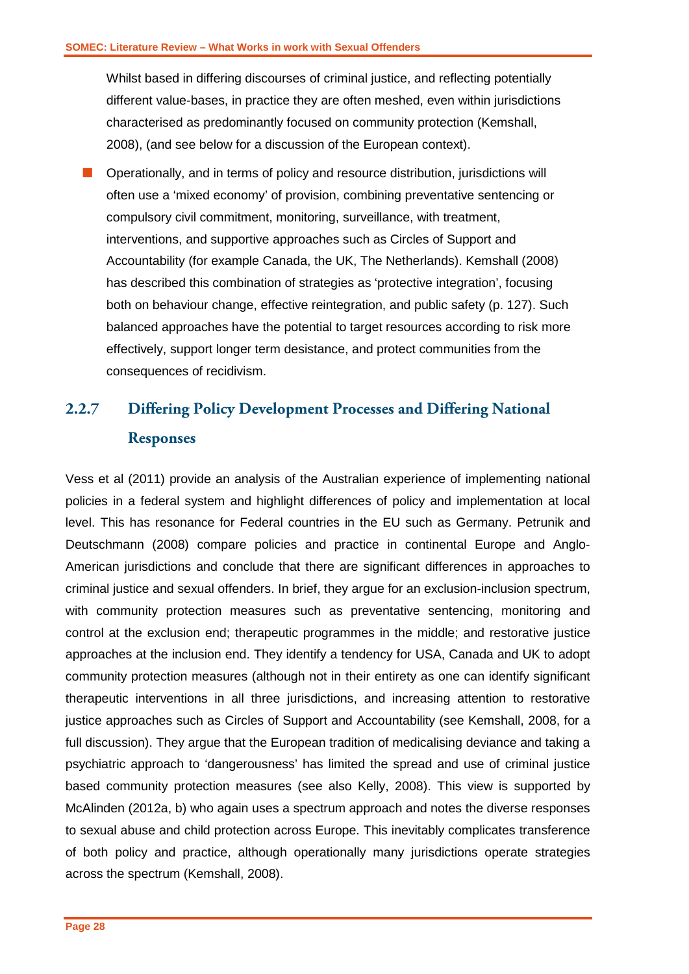Whilst based in differing discourses of criminal justice, and reflecting potentially different value-bases, in practice they are often meshed, even within jurisdictions characterised as predominantly focused on community protection (Kemshall, 2008), (and see below for a discussion of the European context).

■ Operationally, and in terms of policy and resource distribution, jurisdictions will often use a 'mixed economy' of provision, combining preventative sentencing or compulsory civil commitment, monitoring, surveillance, with treatment, interventions, and supportive approaches such as Circles of Support and Accountability (for example Canada, the UK, The Netherlands). Kemshall (2008) has described this combination of strategies as 'protective integration', focusing both on behaviour change, effective reintegration, and public safety (p. 127). Such balanced approaches have the potential to target resources according to risk more effectively, support longer term desistance, and protect communities from the consequences of recidivism.

# <span id="page-29-0"></span>**2.2.7 Differing Policy Development Processes and Differing National Responses**

Vess et al (2011) provide an analysis of the Australian experience of implementing national policies in a federal system and highlight differences of policy and implementation at local level. This has resonance for Federal countries in the EU such as Germany. Petrunik and Deutschmann (2008) compare policies and practice in continental Europe and Anglo-American jurisdictions and conclude that there are significant differences in approaches to criminal justice and sexual offenders. In brief, they argue for an exclusion-inclusion spectrum, with community protection measures such as preventative sentencing, monitoring and control at the exclusion end; therapeutic programmes in the middle; and restorative justice approaches at the inclusion end. They identify a tendency for USA, Canada and UK to adopt community protection measures (although not in their entirety as one can identify significant therapeutic interventions in all three jurisdictions, and increasing attention to restorative justice approaches such as Circles of Support and Accountability (see Kemshall, 2008, for a full discussion). They argue that the European tradition of medicalising deviance and taking a psychiatric approach to 'dangerousness' has limited the spread and use of criminal justice based community protection measures (see also Kelly, 2008). This view is supported by McAlinden (2012a, b) who again uses a spectrum approach and notes the diverse responses to sexual abuse and child protection across Europe. This inevitably complicates transference of both policy and practice, although operationally many jurisdictions operate strategies across the spectrum (Kemshall, 2008).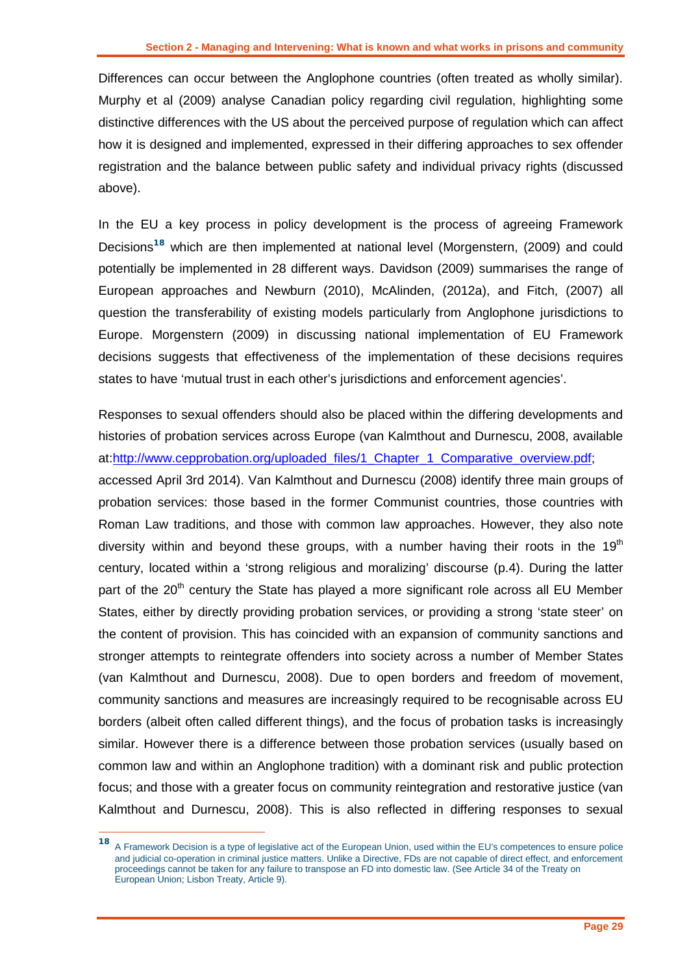Differences can occur between the Anglophone countries (often treated as wholly similar). Murphy et al (2009) analyse Canadian policy regarding civil regulation, highlighting some distinctive differences with the US about the perceived purpose of regulation which can affect how it is designed and implemented, expressed in their differing approaches to sex offender registration and the balance between public safety and individual privacy rights (discussed above).

In the EU a key process in policy development is the process of agreeing Framework Decisions**<sup>18</sup>** which are then implemented at national level (Morgenstern, (2009) and could potentially be implemented in 28 different ways. Davidson (2009) summarises the range of European approaches and Newburn (2010), McAlinden, (2012a), and Fitch, (2007) all question the transferability of existing models particularly from Anglophone jurisdictions to Europe. Morgenstern (2009) in discussing national implementation of EU Framework decisions suggests that effectiveness of the implementation of these decisions requires states to have 'mutual trust in each other's jurisdictions and enforcement agencies'.

Responses to sexual offenders should also be placed within the differing developments and histories of probation services across Europe (van Kalmthout and Durnescu, 2008, available at[:http://www.cepprobation.org/uploaded\\_files/1\\_Chapter\\_1\\_Comparative\\_overview.pdf;](http://www.cepprobation.org/uploaded_files/1_Chapter_1_Comparative_overview.pdf) accessed April 3rd 2014). Van Kalmthout and Durnescu (2008) identify three main groups of probation services: those based in the former Communist countries, those countries with Roman Law traditions, and those with common law approaches. However, they also note diversity within and beyond these groups, with a number having their roots in the 19 $<sup>th</sup>$ </sup> century, located within a 'strong religious and moralizing' discourse (p.4). During the latter part of the  $20<sup>th</sup>$  century the State has played a more significant role across all EU Member States, either by directly providing probation services, or providing a strong 'state steer' on the content of provision. This has coincided with an expansion of community sanctions and stronger attempts to reintegrate offenders into society across a number of Member States (van Kalmthout and Durnescu, 2008). Due to open borders and freedom of movement, community sanctions and measures are increasingly required to be recognisable across EU borders (albeit often called different things), and the focus of probation tasks is increasingly similar. However there is a difference between those probation services (usually based on common law and within an Anglophone tradition) with a dominant risk and public protection focus; and those with a greater focus on community reintegration and restorative justice (van Kalmthout and Durnescu, 2008). This is also reflected in differing responses to sexual

-

**<sup>18</sup>** A Framework Decision is a type of legislative act of the European Union, used within the EU's competences to ensure police and judicial co-operation in criminal justice matters. Unlike a Directive, FDs are not capable of direct effect, and enforcement proceedings cannot be taken for any failure to transpose an FD into domestic law. (See Article 34 of the Treaty on European Union; Lisbon Treaty, Article 9).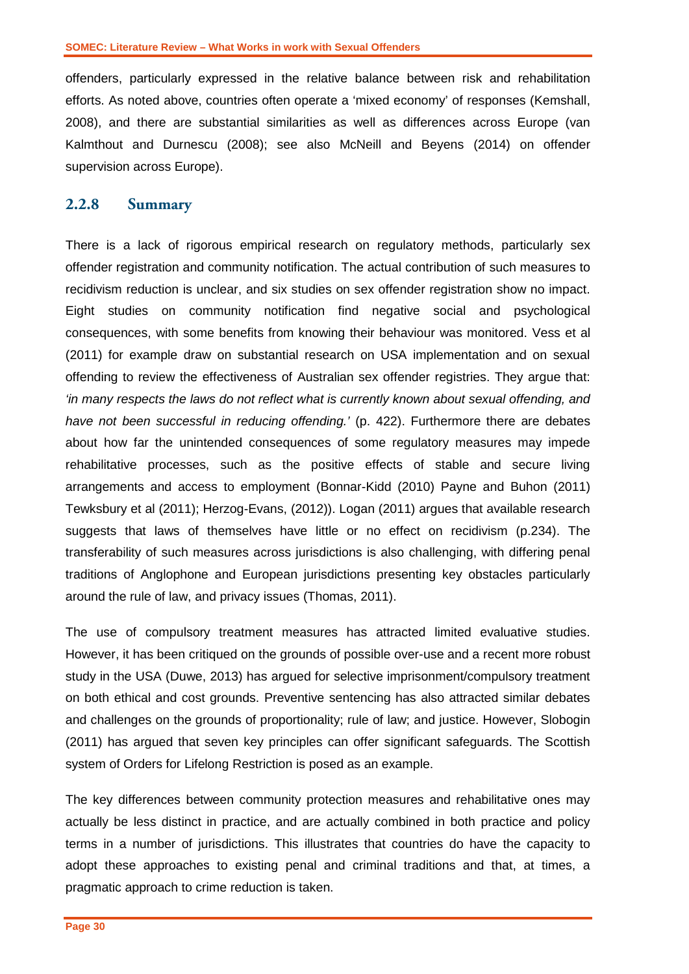offenders, particularly expressed in the relative balance between risk and rehabilitation efforts. As noted above, countries often operate a 'mixed economy' of responses (Kemshall, 2008), and there are substantial similarities as well as differences across Europe (van Kalmthout and Durnescu (2008); see also McNeill and Beyens (2014) on offender supervision across Europe).

#### <span id="page-31-0"></span>**2.2.8 Summary**

There is a lack of rigorous empirical research on regulatory methods, particularly sex offender registration and community notification. The actual contribution of such measures to recidivism reduction is unclear, and six studies on sex offender registration show no impact. Eight studies on community notification find negative social and psychological consequences, with some benefits from knowing their behaviour was monitored. Vess et al (2011) for example draw on substantial research on USA implementation and on sexual offending to review the effectiveness of Australian sex offender registries. They argue that: *'in many respects the laws do not reflect what is currently known about sexual offending, and have not been successful in reducing offending.'* (p. 422). Furthermore there are debates about how far the unintended consequences of some regulatory measures may impede rehabilitative processes, such as the positive effects of stable and secure living arrangements and access to employment (Bonnar-Kidd (2010) Payne and Buhon (2011) Tewksbury et al (2011); Herzog-Evans, (2012)). Logan (2011) argues that available research suggests that laws of themselves have little or no effect on recidivism (p.234). The transferability of such measures across jurisdictions is also challenging, with differing penal traditions of Anglophone and European jurisdictions presenting key obstacles particularly around the rule of law, and privacy issues (Thomas, 2011).

The use of compulsory treatment measures has attracted limited evaluative studies. However, it has been critiqued on the grounds of possible over-use and a recent more robust study in the USA (Duwe, 2013) has argued for selective imprisonment/compulsory treatment on both ethical and cost grounds. Preventive sentencing has also attracted similar debates and challenges on the grounds of proportionality; rule of law; and justice. However, Slobogin (2011) has argued that seven key principles can offer significant safeguards. The Scottish system of Orders for Lifelong Restriction is posed as an example.

The key differences between community protection measures and rehabilitative ones may actually be less distinct in practice, and are actually combined in both practice and policy terms in a number of jurisdictions. This illustrates that countries do have the capacity to adopt these approaches to existing penal and criminal traditions and that, at times, a pragmatic approach to crime reduction is taken.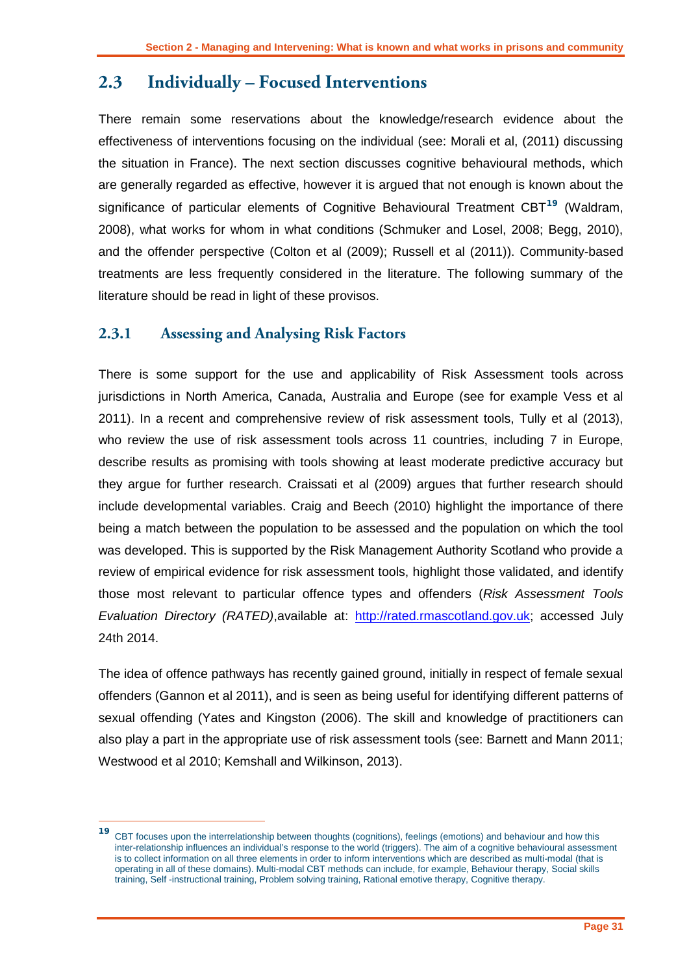# <span id="page-32-0"></span>**2.3 Individually – Focused Interventions**

There remain some reservations about the knowledge/research evidence about the effectiveness of interventions focusing on the individual (see: Morali et al, (2011) discussing the situation in France). The next section discusses cognitive behavioural methods, which are generally regarded as effective, however it is argued that not enough is known about the significance of particular elements of Cognitive Behavioural Treatment CBT**<sup>19</sup>** (Waldram, 2008), what works for whom in what conditions (Schmuker and Losel, 2008; Begg, 2010), and the offender perspective (Colton et al (2009); Russell et al (2011)). Community-based treatments are less frequently considered in the literature. The following summary of the literature should be read in light of these provisos.

### <span id="page-32-1"></span>**2.3.1 Assessing and Analysing Risk Factors**

-

There is some support for the use and applicability of Risk Assessment tools across jurisdictions in North America, Canada, Australia and Europe (see for example Vess et al 2011). In a recent and comprehensive review of risk assessment tools, Tully et al (2013), who review the use of risk assessment tools across 11 countries, including 7 in Europe, describe results as promising with tools showing at least moderate predictive accuracy but they argue for further research. Craissati et al (2009) argues that further research should include developmental variables. Craig and Beech (2010) highlight the importance of there being a match between the population to be assessed and the population on which the tool was developed. This is supported by the Risk Management Authority Scotland who provide a review of empirical evidence for risk assessment tools, highlight those validated, and identify those most relevant to particular offence types and offenders (*Risk Assessment Tools Evaluation Directory (RATED)*,available at: [http://rated.rmascotland.gov.uk;](http://rated.rmascotland.gov.uk/) accessed July 24th 2014.

The idea of offence pathways has recently gained ground, initially in respect of female sexual offenders (Gannon et al 2011), and is seen as being useful for identifying different patterns of sexual offending (Yates and Kingston (2006). The skill and knowledge of practitioners can also play a part in the appropriate use of risk assessment tools (see: Barnett and Mann 2011; Westwood et al 2010; Kemshall and Wilkinson, 2013).

**<sup>19</sup>** CBT focuses upon the interrelationship between thoughts (cognitions), feelings (emotions) and behaviour and how this inter-relationship influences an individual's response to the world (triggers). The aim of a cognitive behavioural assessment is to collect information on all three elements in order to inform interventions which are described as multi-modal (that is operating in all of these domains). Multi-modal CBT methods can include, for example, Behaviour therapy, Social skills training, Self -instructional training, Problem solving training, Rational emotive therapy, Cognitive therapy.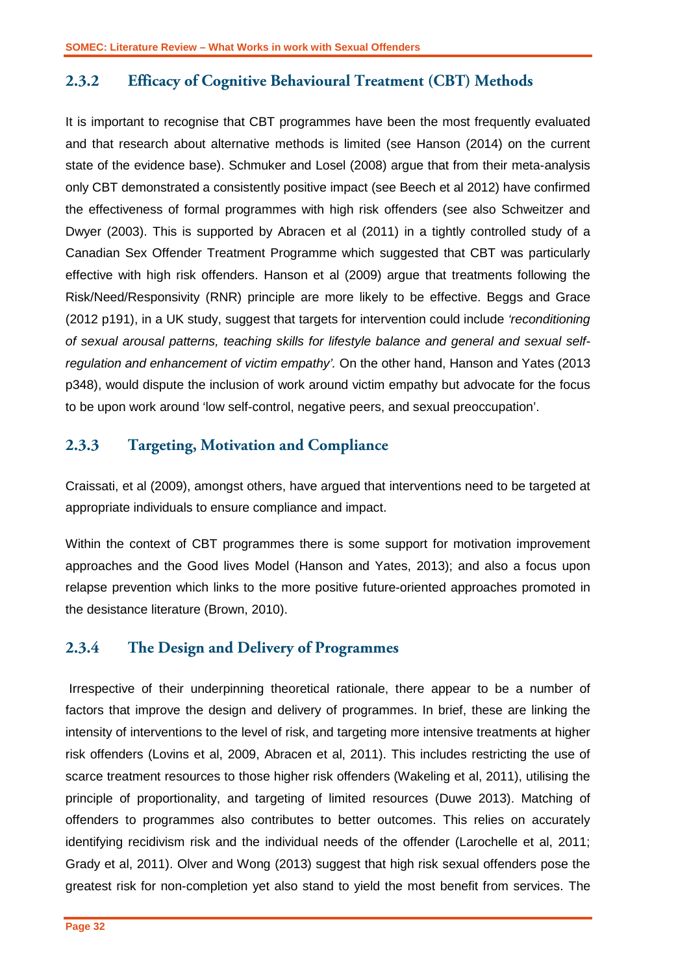### <span id="page-33-0"></span>**2.3.2 Efficacy of Cognitive Behavioural Treatment (CBT) Methods**

It is important to recognise that CBT programmes have been the most frequently evaluated and that research about alternative methods is limited (see Hanson (2014) on the current state of the evidence base). Schmuker and Losel (2008) argue that from their meta-analysis only CBT demonstrated a consistently positive impact (see Beech et al 2012) have confirmed the effectiveness of formal programmes with high risk offenders (see also Schweitzer and Dwyer (2003). This is supported by Abracen et al (2011) in a tightly controlled study of a Canadian Sex Offender Treatment Programme which suggested that CBT was particularly effective with high risk offenders. Hanson et al (2009) argue that treatments following the Risk/Need/Responsivity (RNR) principle are more likely to be effective. Beggs and Grace (2012 p191), in a UK study, suggest that targets for intervention could include *'reconditioning of sexual arousal patterns, teaching skills for lifestyle balance and general and sexual selfregulation and enhancement of victim empathy'.* On the other hand, Hanson and Yates (2013 p348), would dispute the inclusion of work around victim empathy but advocate for the focus to be upon work around 'low self-control, negative peers, and sexual preoccupation'.

### <span id="page-33-1"></span>**2.3.3 Targeting, Motivation and Compliance**

Craissati, et al (2009), amongst others, have argued that interventions need to be targeted at appropriate individuals to ensure compliance and impact.

Within the context of CBT programmes there is some support for motivation improvement approaches and the Good lives Model (Hanson and Yates, 2013); and also a focus upon relapse prevention which links to the more positive future-oriented approaches promoted in the desistance literature (Brown, 2010).

### <span id="page-33-2"></span>**2.3.4 The Design and Delivery of Programmes**

Irrespective of their underpinning theoretical rationale, there appear to be a number of factors that improve the design and delivery of programmes. In brief, these are linking the intensity of interventions to the level of risk, and targeting more intensive treatments at higher risk offenders (Lovins et al, 2009, Abracen et al, 2011). This includes restricting the use of scarce treatment resources to those higher risk offenders (Wakeling et al, 2011), utilising the principle of proportionality, and targeting of limited resources (Duwe 2013). Matching of offenders to programmes also contributes to better outcomes. This relies on accurately identifying recidivism risk and the individual needs of the offender (Larochelle et al, 2011; Grady et al, 2011). Olver and Wong (2013) suggest that high risk sexual offenders pose the greatest risk for non-completion yet also stand to yield the most benefit from services. The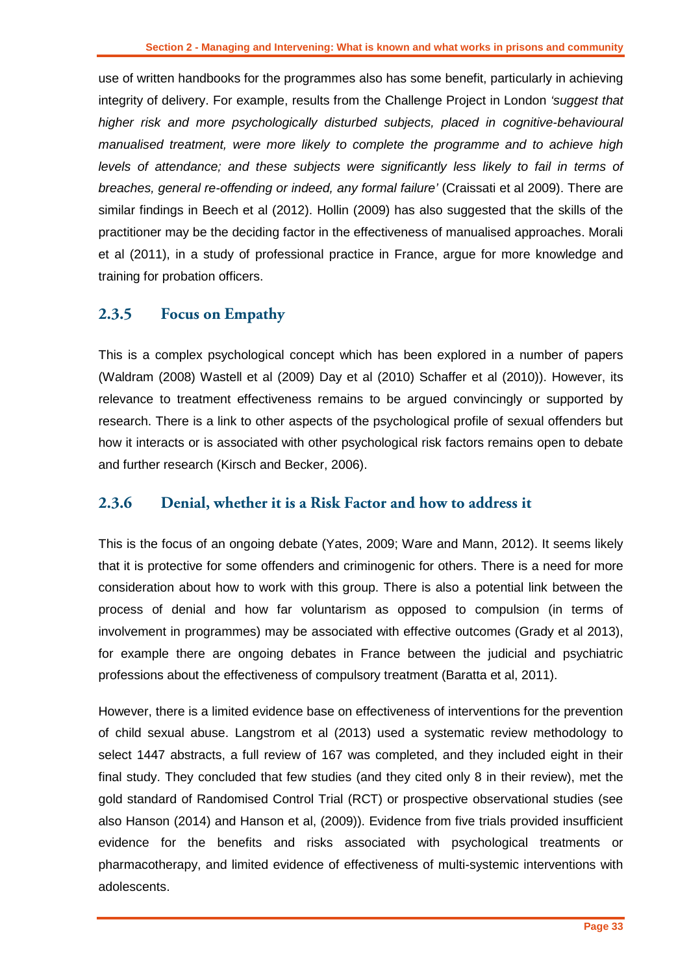use of written handbooks for the programmes also has some benefit, particularly in achieving integrity of delivery. For example, results from the Challenge Project in London *'suggest that higher risk and more psychologically disturbed subjects, placed in cognitive-behavioural manualised treatment, were more likely to complete the programme and to achieve high levels of attendance; and these subjects were significantly less likely to fail in terms of breaches, general re-offending or indeed, any formal failure'* (Craissati et al 2009). There are similar findings in Beech et al (2012). Hollin (2009) has also suggested that the skills of the practitioner may be the deciding factor in the effectiveness of manualised approaches. Morali et al (2011), in a study of professional practice in France, argue for more knowledge and training for probation officers.

### <span id="page-34-0"></span>**2.3.5 Focus on Empathy**

This is a complex psychological concept which has been explored in a number of papers (Waldram (2008) Wastell et al (2009) Day et al (2010) Schaffer et al (2010)). However, its relevance to treatment effectiveness remains to be argued convincingly or supported by research. There is a link to other aspects of the psychological profile of sexual offenders but how it interacts or is associated with other psychological risk factors remains open to debate and further research (Kirsch and Becker, 2006).

### <span id="page-34-1"></span>**2.3.6 Denial, whether it is a Risk Factor and how to address it**

This is the focus of an ongoing debate (Yates, 2009; Ware and Mann, 2012). It seems likely that it is protective for some offenders and criminogenic for others. There is a need for more consideration about how to work with this group. There is also a potential link between the process of denial and how far voluntarism as opposed to compulsion (in terms of involvement in programmes) may be associated with effective outcomes (Grady et al 2013), for example there are ongoing debates in France between the judicial and psychiatric professions about the effectiveness of compulsory treatment (Baratta et al, 2011).

However, there is a limited evidence base on effectiveness of interventions for the prevention of child sexual abuse. Langstrom et al (2013) used a systematic review methodology to select 1447 abstracts, a full review of 167 was completed, and they included eight in their final study. They concluded that few studies (and they cited only 8 in their review), met the gold standard of Randomised Control Trial (RCT) or prospective observational studies (see also Hanson (2014) and Hanson et al, (2009)). Evidence from five trials provided insufficient evidence for the benefits and risks associated with psychological treatments or pharmacotherapy, and limited evidence of effectiveness of multi-systemic interventions with adolescents.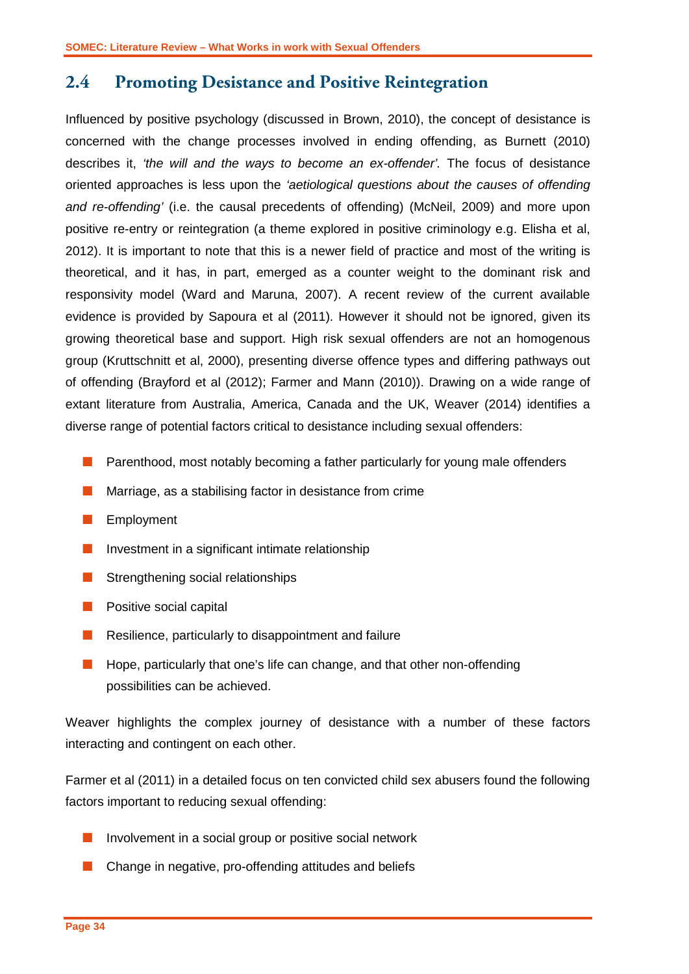### <span id="page-35-0"></span>**2.4 Promoting Desistance and Positive Reintegration**

Influenced by positive psychology (discussed in Brown, 2010), the concept of desistance is concerned with the change processes involved in ending offending, as Burnett (2010) describes it, *'the will and the ways to become an ex-offender'.* The focus of desistance oriented approaches is less upon the *'aetiological questions about the causes of offending and re-offending'* (i.e. the causal precedents of offending) (McNeil, 2009) and more upon positive re-entry or reintegration (a theme explored in positive criminology e.g. Elisha et al, 2012). It is important to note that this is a newer field of practice and most of the writing is theoretical, and it has, in part, emerged as a counter weight to the dominant risk and responsivity model (Ward and Maruna, 2007). A recent review of the current available evidence is provided by Sapoura et al (2011). However it should not be ignored, given its growing theoretical base and support. High risk sexual offenders are not an homogenous group (Kruttschnitt et al, 2000), presenting diverse offence types and differing pathways out of offending (Brayford et al (2012); Farmer and Mann (2010)). Drawing on a wide range of extant literature from Australia, America, Canada and the UK, Weaver (2014) identifies a diverse range of potential factors critical to desistance including sexual offenders:

- **Parenthood, most notably becoming a father particularly for young male offenders**
- **Marriage, as a stabilising factor in desistance from crime**
- **Employment**
- **Investment in a significant intimate relationship**
- Strengthening social relationships
- $\blacksquare$  Positive social capital
- $\blacksquare$  Resilience, particularly to disappointment and failure
- $\blacksquare$  Hope, particularly that one's life can change, and that other non-offending possibilities can be achieved.

Weaver highlights the complex journey of desistance with a number of these factors interacting and contingent on each other.

Farmer et al (2011) in a detailed focus on ten convicted child sex abusers found the following factors important to reducing sexual offending:

- Involvement in a social group or positive social network
- **Change in negative, pro-offending attitudes and beliefs**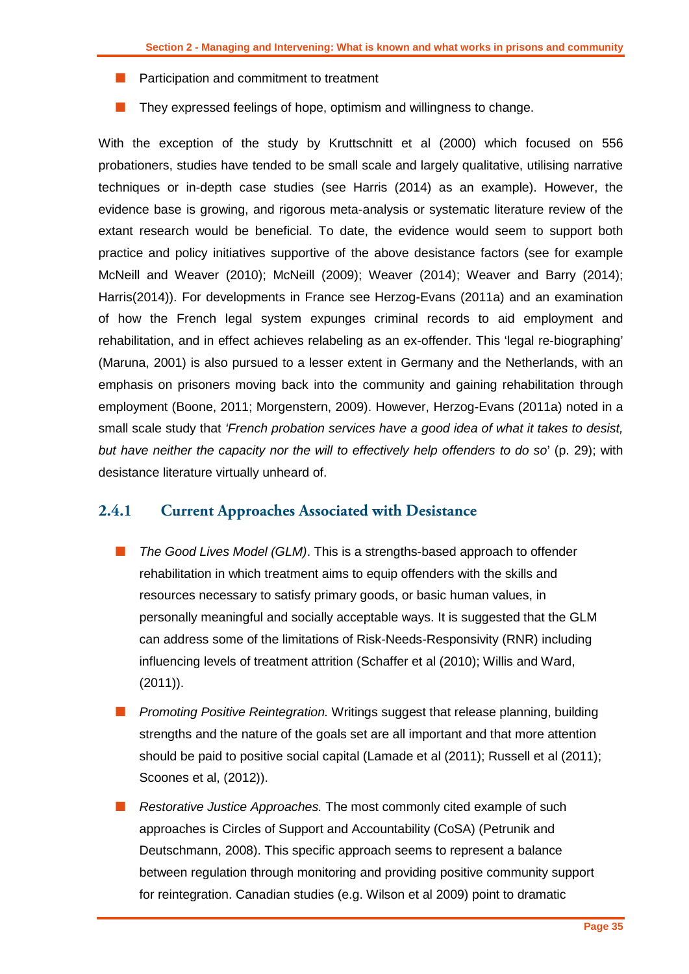- **Participation and commitment to treatment**
- They expressed feelings of hope, optimism and willingness to change.

With the exception of the study by Kruttschnitt et al (2000) which focused on 556 probationers, studies have tended to be small scale and largely qualitative, utilising narrative techniques or in-depth case studies (see Harris (2014) as an example). However, the evidence base is growing, and rigorous meta-analysis or systematic literature review of the extant research would be beneficial. To date, the evidence would seem to support both practice and policy initiatives supportive of the above desistance factors (see for example McNeill and Weaver (2010); McNeill (2009); Weaver (2014); Weaver and Barry (2014); Harris(2014)). For developments in France see Herzog-Evans (2011a) and an examination of how the French legal system expunges criminal records to aid employment and rehabilitation, and in effect achieves relabeling as an ex-offender. This 'legal re-biographing' (Maruna, 2001) is also pursued to a lesser extent in Germany and the Netherlands, with an emphasis on prisoners moving back into the community and gaining rehabilitation through employment (Boone, 2011; Morgenstern, 2009). However, Herzog-Evans (2011a) noted in a small scale study that *'French probation services have a good idea of what it takes to desist, but have neither the capacity nor the will to effectively help offenders to do so*' (p. 29); with desistance literature virtually unheard of.

#### <span id="page-36-0"></span>**2.4.1 Current Approaches Associated with Desistance**

- **The Good Lives Model (GLM). This is a strengths-based approach to offender** rehabilitation in which treatment aims to equip offenders with the skills and resources necessary to satisfy primary goods, or basic human values, in personally meaningful and socially acceptable ways. It is suggested that the GLM can address some of the limitations of Risk-Needs-Responsivity (RNR) including influencing levels of treatment attrition (Schaffer et al (2010); Willis and Ward, (2011)).
- **Promoting Positive Reintegration.** Writings suggest that release planning, building strengths and the nature of the goals set are all important and that more attention should be paid to positive social capital (Lamade et al (2011); Russell et al (2011); Scoones et al, (2012)).
- Restorative Justice Approaches. The most commonly cited example of such approaches is Circles of Support and Accountability (CoSA) (Petrunik and Deutschmann, 2008). This specific approach seems to represent a balance between regulation through monitoring and providing positive community support for reintegration. Canadian studies (e.g. Wilson et al 2009) point to dramatic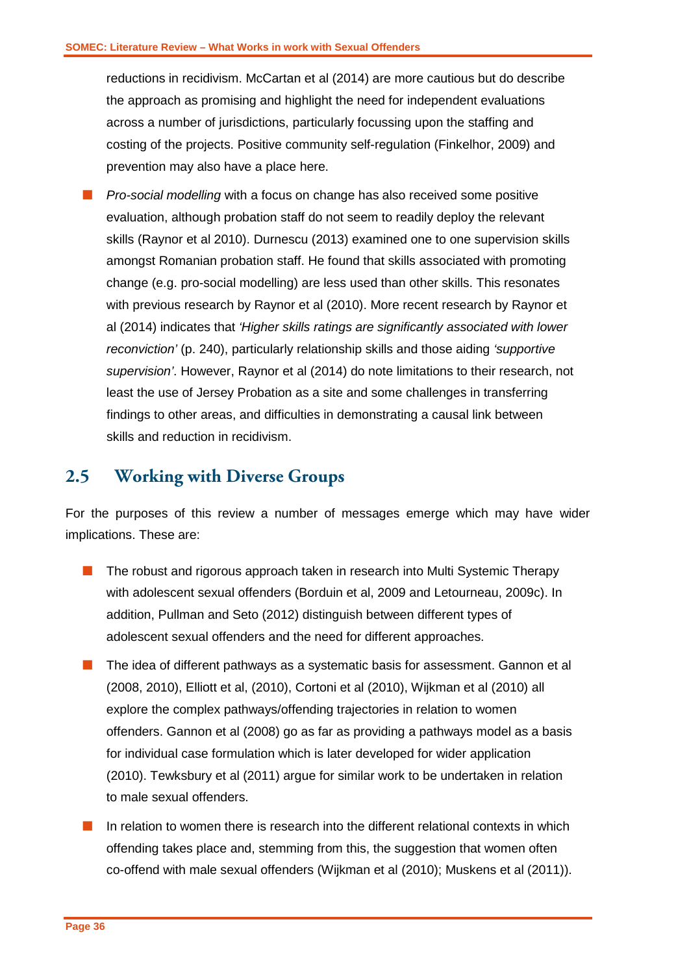reductions in recidivism. McCartan et al (2014) are more cautious but do describe the approach as promising and highlight the need for independent evaluations across a number of jurisdictions, particularly focussing upon the staffing and costing of the projects. Positive community self-regulation (Finkelhor, 2009) and prevention may also have a place here.

*Pro-social modelling* with a focus on change has also received some positive evaluation, although probation staff do not seem to readily deploy the relevant skills (Raynor et al 2010). Durnescu (2013) examined one to one supervision skills amongst Romanian probation staff. He found that skills associated with promoting change (e.g. pro-social modelling) are less used than other skills. This resonates with previous research by Raynor et al (2010). More recent research by Raynor et al (2014) indicates that *'Higher skills ratings are significantly associated with lower reconviction'* (p. 240), particularly relationship skills and those aiding *'supportive supervision'*. However, Raynor et al (2014) do note limitations to their research, not least the use of Jersey Probation as a site and some challenges in transferring findings to other areas, and difficulties in demonstrating a causal link between skills and reduction in recidivism.

### <span id="page-37-0"></span>**2.5 Working with Diverse Groups**

For the purposes of this review a number of messages emerge which may have wider implications. These are:

- **The robust and rigorous approach taken in research into Multi Systemic Therapy** with adolescent sexual offenders (Borduin et al, 2009 and Letourneau, 2009c). In addition, Pullman and Seto (2012) distinguish between different types of adolescent sexual offenders and the need for different approaches.
- **The idea of different pathways as a systematic basis for assessment. Gannon et all** (2008, 2010), Elliott et al, (2010), Cortoni et al (2010), Wijkman et al (2010) all explore the complex pathways/offending trajectories in relation to women offenders. Gannon et al (2008) go as far as providing a pathways model as a basis for individual case formulation which is later developed for wider application (2010). Tewksbury et al (2011) argue for similar work to be undertaken in relation to male sexual offenders.
- $\blacksquare$  In relation to women there is research into the different relational contexts in which offending takes place and, stemming from this, the suggestion that women often co-offend with male sexual offenders (Wijkman et al (2010); Muskens et al (2011)).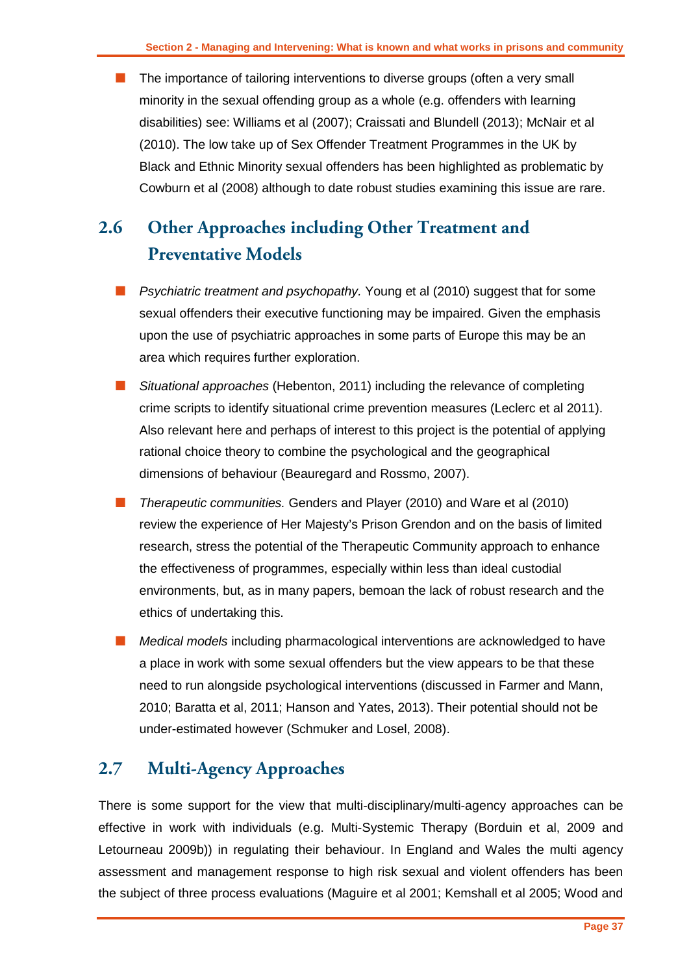**The importance of tailoring interventions to diverse groups (often a very small** minority in the sexual offending group as a whole (e.g. offenders with learning disabilities) see: Williams et al (2007); Craissati and Blundell (2013); McNair et al (2010). The low take up of Sex Offender Treatment Programmes in the UK by Black and Ethnic Minority sexual offenders has been highlighted as problematic by Cowburn et al (2008) although to date robust studies examining this issue are rare.

# <span id="page-38-0"></span>**2.6 Other Approaches including Other Treatment and Preventative Models**

- **Psychiatric treatment and psychopathy.** Young et al (2010) suggest that for some sexual offenders their executive functioning may be impaired. Given the emphasis upon the use of psychiatric approaches in some parts of Europe this may be an area which requires further exploration.
- *Situational approaches* (Hebenton, 2011) including the relevance of completing crime scripts to identify situational crime prevention measures (Leclerc et al 2011). Also relevant here and perhaps of interest to this project is the potential of applying rational choice theory to combine the psychological and the geographical dimensions of behaviour (Beauregard and Rossmo, 2007).
- *Therapeutic communities.* Genders and Player (2010) and Ware et al (2010) review the experience of Her Majesty's Prison Grendon and on the basis of limited research, stress the potential of the Therapeutic Community approach to enhance the effectiveness of programmes, especially within less than ideal custodial environments, but, as in many papers, bemoan the lack of robust research and the ethics of undertaking this.
- *Medical models* including pharmacological interventions are acknowledged to have a place in work with some sexual offenders but the view appears to be that these need to run alongside psychological interventions (discussed in Farmer and Mann, 2010; Baratta et al, 2011; Hanson and Yates, 2013). Their potential should not be under-estimated however (Schmuker and Losel, 2008).

# <span id="page-38-1"></span>**2.7 Multi-Agency Approaches**

There is some support for the view that multi-disciplinary/multi-agency approaches can be effective in work with individuals (e.g. Multi-Systemic Therapy (Borduin et al, 2009 and Letourneau 2009b)) in regulating their behaviour. In England and Wales the multi agency assessment and management response to high risk sexual and violent offenders has been the subject of three process evaluations (Maguire et al 2001; Kemshall et al 2005; Wood and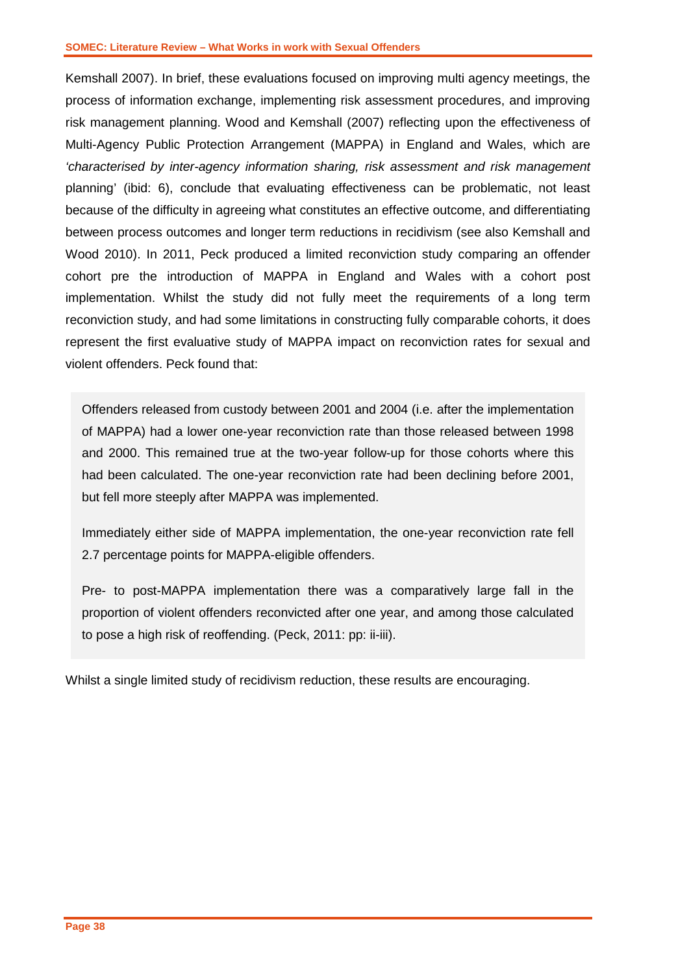Kemshall 2007). In brief, these evaluations focused on improving multi agency meetings, the process of information exchange, implementing risk assessment procedures, and improving risk management planning. Wood and Kemshall (2007) reflecting upon the effectiveness of Multi-Agency Public Protection Arrangement (MAPPA) in England and Wales, which are *'characterised by inter-agency information sharing, risk assessment and risk management*  planning' (ibid: 6), conclude that evaluating effectiveness can be problematic, not least because of the difficulty in agreeing what constitutes an effective outcome, and differentiating between process outcomes and longer term reductions in recidivism (see also Kemshall and Wood 2010). In 2011, Peck produced a limited reconviction study comparing an offender cohort pre the introduction of MAPPA in England and Wales with a cohort post implementation. Whilst the study did not fully meet the requirements of a long term reconviction study, and had some limitations in constructing fully comparable cohorts, it does represent the first evaluative study of MAPPA impact on reconviction rates for sexual and violent offenders. Peck found that:

Offenders released from custody between 2001 and 2004 (i.e. after the implementation of MAPPA) had a lower one-year reconviction rate than those released between 1998 and 2000. This remained true at the two-year follow-up for those cohorts where this had been calculated. The one-year reconviction rate had been declining before 2001, but fell more steeply after MAPPA was implemented.

Immediately either side of MAPPA implementation, the one-year reconviction rate fell 2.7 percentage points for MAPPA-eligible offenders.

Pre- to post-MAPPA implementation there was a comparatively large fall in the proportion of violent offenders reconvicted after one year, and among those calculated to pose a high risk of reoffending. (Peck, 2011: pp: ii-iii).

Whilst a single limited study of recidivism reduction, these results are encouraging.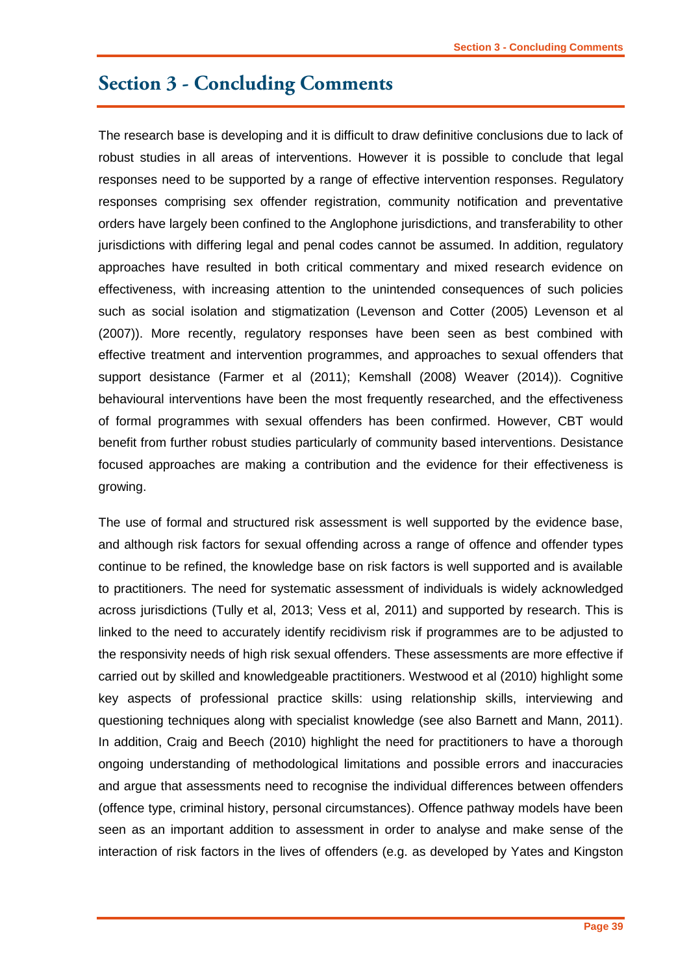## <span id="page-40-0"></span>**Section 3 - Concluding Comments**

The research base is developing and it is difficult to draw definitive conclusions due to lack of robust studies in all areas of interventions. However it is possible to conclude that legal responses need to be supported by a range of effective intervention responses. Regulatory responses comprising sex offender registration, community notification and preventative orders have largely been confined to the Anglophone jurisdictions, and transferability to other jurisdictions with differing legal and penal codes cannot be assumed. In addition, regulatory approaches have resulted in both critical commentary and mixed research evidence on effectiveness, with increasing attention to the unintended consequences of such policies such as social isolation and stigmatization (Levenson and Cotter (2005) Levenson et al (2007)). More recently, regulatory responses have been seen as best combined with effective treatment and intervention programmes, and approaches to sexual offenders that support desistance (Farmer et al (2011); Kemshall (2008) Weaver (2014)). Cognitive behavioural interventions have been the most frequently researched, and the effectiveness of formal programmes with sexual offenders has been confirmed. However, CBT would benefit from further robust studies particularly of community based interventions. Desistance focused approaches are making a contribution and the evidence for their effectiveness is growing.

The use of formal and structured risk assessment is well supported by the evidence base, and although risk factors for sexual offending across a range of offence and offender types continue to be refined, the knowledge base on risk factors is well supported and is available to practitioners. The need for systematic assessment of individuals is widely acknowledged across jurisdictions (Tully et al, 2013; Vess et al, 2011) and supported by research. This is linked to the need to accurately identify recidivism risk if programmes are to be adjusted to the responsivity needs of high risk sexual offenders. These assessments are more effective if carried out by skilled and knowledgeable practitioners. Westwood et al (2010) highlight some key aspects of professional practice skills: using relationship skills, interviewing and questioning techniques along with specialist knowledge (see also Barnett and Mann, 2011). In addition, Craig and Beech (2010) highlight the need for practitioners to have a thorough ongoing understanding of methodological limitations and possible errors and inaccuracies and argue that assessments need to recognise the individual differences between offenders (offence type, criminal history, personal circumstances). Offence pathway models have been seen as an important addition to assessment in order to analyse and make sense of the interaction of risk factors in the lives of offenders (e.g. as developed by Yates and Kingston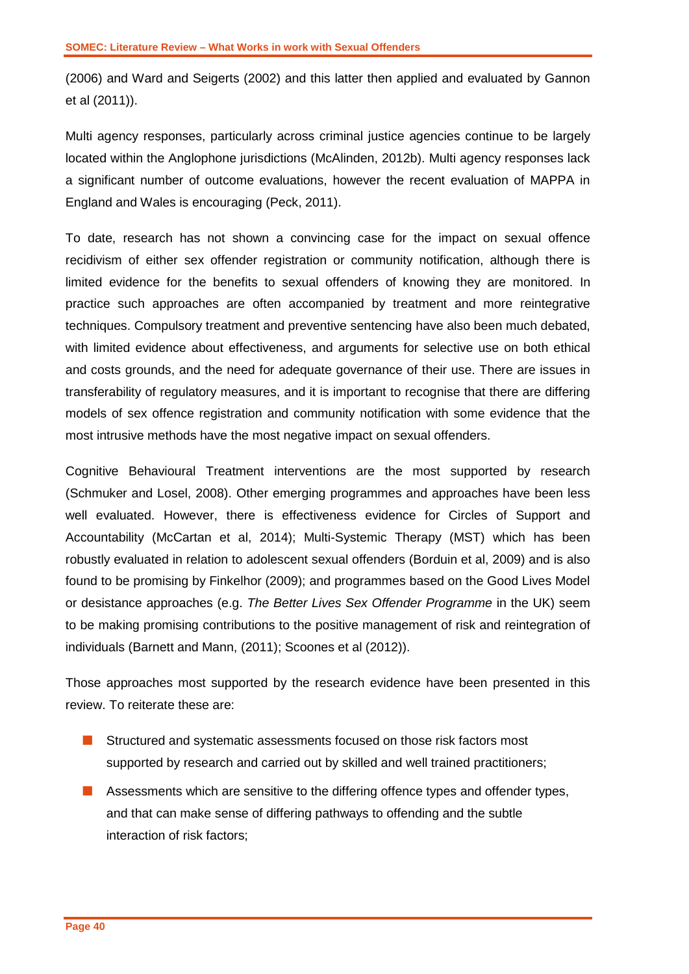(2006) and Ward and Seigerts (2002) and this latter then applied and evaluated by Gannon et al (2011)).

Multi agency responses, particularly across criminal justice agencies continue to be largely located within the Anglophone jurisdictions (McAlinden, 2012b). Multi agency responses lack a significant number of outcome evaluations, however the recent evaluation of MAPPA in England and Wales is encouraging (Peck, 2011).

To date, research has not shown a convincing case for the impact on sexual offence recidivism of either sex offender registration or community notification, although there is limited evidence for the benefits to sexual offenders of knowing they are monitored. In practice such approaches are often accompanied by treatment and more reintegrative techniques. Compulsory treatment and preventive sentencing have also been much debated, with limited evidence about effectiveness, and arguments for selective use on both ethical and costs grounds, and the need for adequate governance of their use. There are issues in transferability of regulatory measures, and it is important to recognise that there are differing models of sex offence registration and community notification with some evidence that the most intrusive methods have the most negative impact on sexual offenders.

Cognitive Behavioural Treatment interventions are the most supported by research (Schmuker and Losel, 2008). Other emerging programmes and approaches have been less well evaluated. However, there is effectiveness evidence for Circles of Support and Accountability (McCartan et al, 2014); Multi-Systemic Therapy (MST) which has been robustly evaluated in relation to adolescent sexual offenders (Borduin et al, 2009) and is also found to be promising by Finkelhor (2009); and programmes based on the Good Lives Model or desistance approaches (e.g. *The Better Lives Sex Offender Programme* in the UK) seem to be making promising contributions to the positive management of risk and reintegration of individuals (Barnett and Mann, (2011); Scoones et al (2012)).

Those approaches most supported by the research evidence have been presented in this review. To reiterate these are:

- **E** Structured and systematic assessments focused on those risk factors most supported by research and carried out by skilled and well trained practitioners;
- **Assessments which are sensitive to the differing offence types and offender types,** and that can make sense of differing pathways to offending and the subtle interaction of risk factors;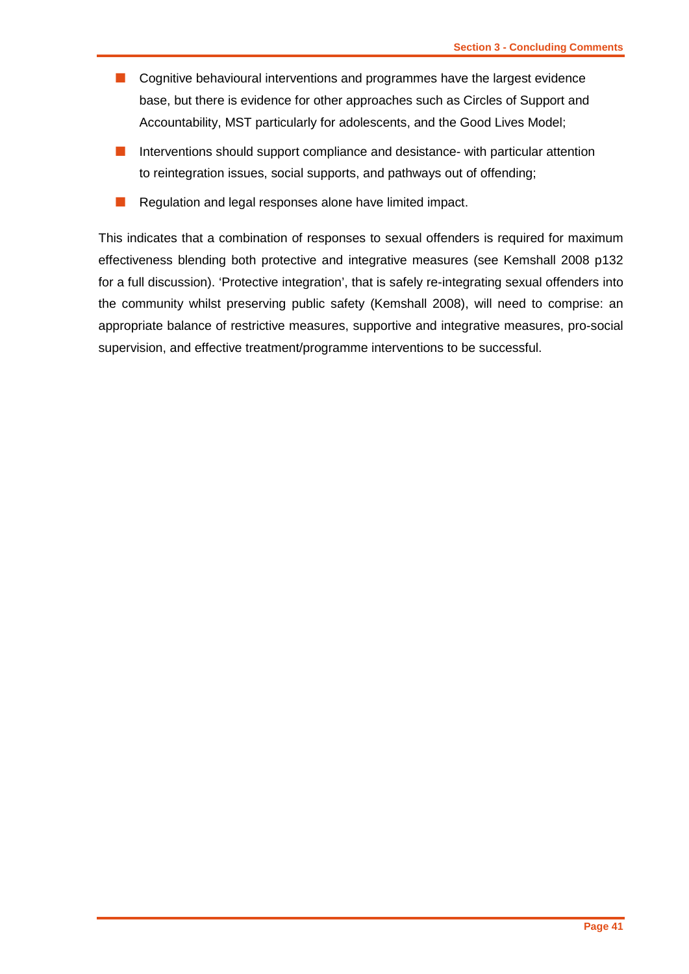- **Cognitive behavioural interventions and programmes have the largest evidence** base, but there is evidence for other approaches such as Circles of Support and Accountability, MST particularly for adolescents, and the Good Lives Model;
- Interventions should support compliance and desistance- with particular attention to reintegration issues, social supports, and pathways out of offending;
- Regulation and legal responses alone have limited impact.

This indicates that a combination of responses to sexual offenders is required for maximum effectiveness blending both protective and integrative measures (see Kemshall 2008 p132 for a full discussion). 'Protective integration', that is safely re-integrating sexual offenders into the community whilst preserving public safety (Kemshall 2008), will need to comprise: an appropriate balance of restrictive measures, supportive and integrative measures, pro-social supervision, and effective treatment/programme interventions to be successful.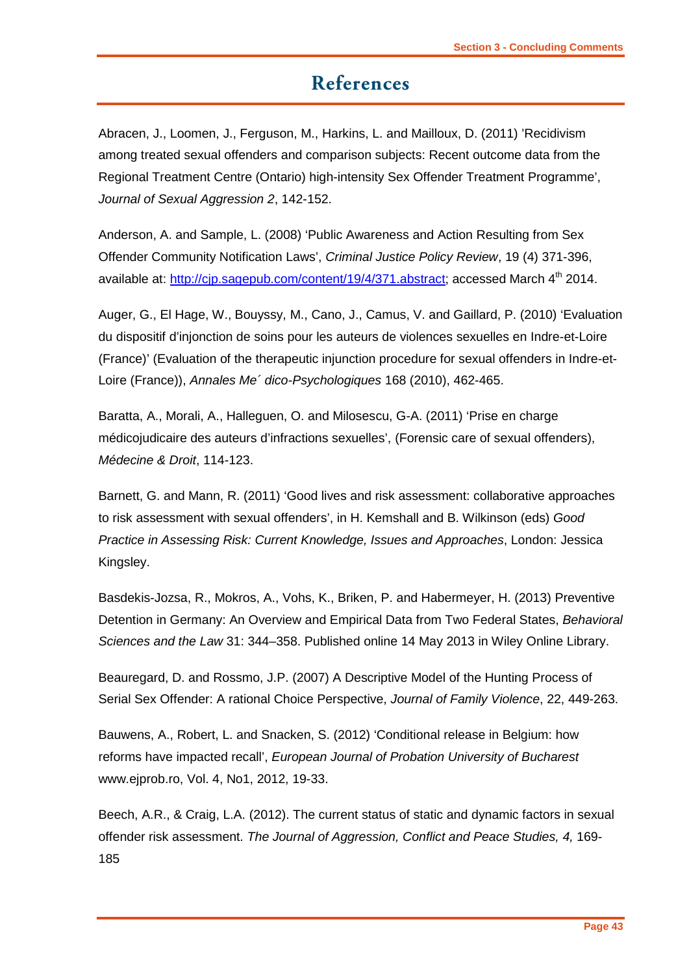# **References**

<span id="page-44-0"></span>Abracen, J., Loomen, J., Ferguson, M., Harkins, L. and Mailloux, D. (2011) 'Recidivism among treated sexual offenders and comparison subjects: Recent outcome data from the Regional Treatment Centre (Ontario) high-intensity Sex Offender Treatment Programme', *Journal of Sexual Aggression 2*, 142-152.

Anderson, A. and Sample, L. (2008) 'Public Awareness and Action Resulting from Sex Offender Community Notification Laws', *Criminal Justice Policy Review*, 19 (4) 371-396, available at: http://cip.sagepub.com/content/19/4/371.abstract: accessed March 4<sup>th</sup> 2014.

Auger, G., El Hage, W., Bouyssy, M., Cano, J., Camus, V. and Gaillard, P. (2010) 'Evaluation du dispositif d'injonction de soins pour les auteurs de violences sexuelles en Indre-et-Loire (France)' (Evaluation of the therapeutic injunction procedure for sexual offenders in Indre-et-Loire (France)), *Annales Me´ dico-Psychologiques* 168 (2010), 462-465.

Baratta, A., Morali, A., Halleguen, O. and Milosescu, G-A. (2011) 'Prise en charge médicojudicaire des auteurs d'infractions sexuelles', (Forensic care of sexual offenders), *Médecine & Droit*, 114-123.

Barnett, G. and Mann, R. (2011) 'Good lives and risk assessment: collaborative approaches to risk assessment with sexual offenders', in H. Kemshall and B. Wilkinson (eds) *Good Practice in Assessing Risk: Current Knowledge, Issues and Approaches*, London: Jessica Kingsley.

Basdekis-Jozsa, R., Mokros, A., Vohs, K., Briken, P. and Habermeyer, H. (2013) Preventive Detention in Germany: An Overview and Empirical Data from Two Federal States, *Behavioral Sciences and the Law* 31: 344–358. Published online 14 May 2013 in Wiley Online Library.

Beauregard, D. and Rossmo, J.P. (2007) A Descriptive Model of the Hunting Process of Serial Sex Offender: A rational Choice Perspective, *Journal of Family Violence*, 22, 449-263.

Bauwens, A., Robert, L. and Snacken, S. (2012) 'Conditional release in Belgium: how reforms have impacted recall', *European Journal of Probation University of Bucharest* www.ejprob.ro, Vol. 4, No1, 2012, 19-33.

Beech, A.R., & Craig, L.A. (2012). The current status of static and dynamic factors in sexual offender risk assessment. *The Journal of Aggression, Conflict and Peace Studies, 4,* 169- 185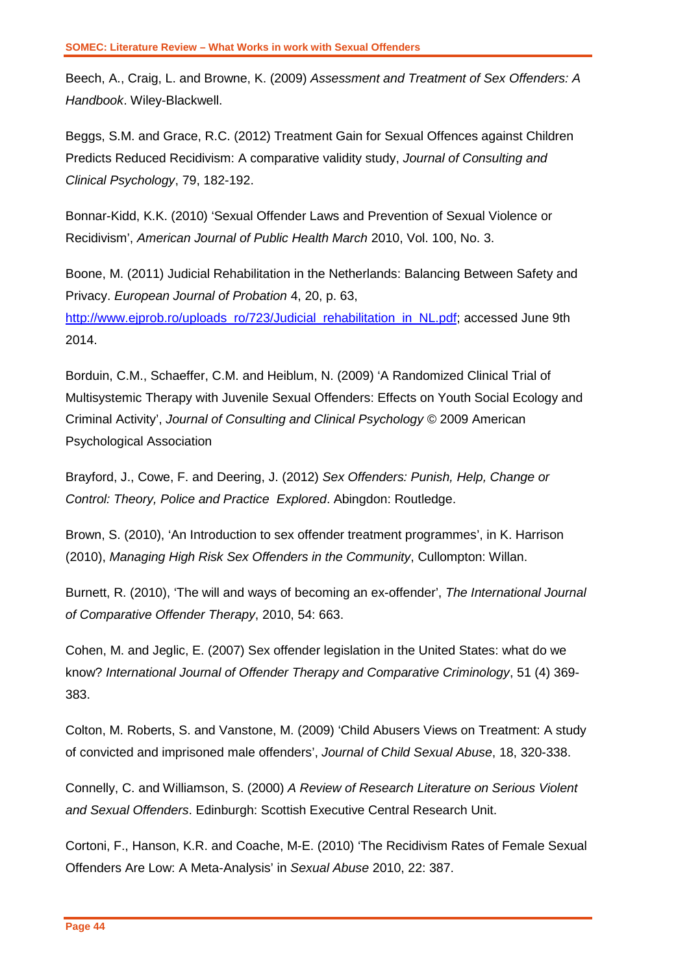Beech, A., Craig, L. and Browne, K. (2009) *Assessment and Treatment of Sex Offenders: A Handbook*. Wiley-Blackwell.

Beggs, S.M. and Grace, R.C. (2012) Treatment Gain for Sexual Offences against Children Predicts Reduced Recidivism: A comparative validity study, *Journal of Consulting and Clinical Psychology*, 79, 182-192.

Bonnar-Kidd, K.K. (2010) 'Sexual Offender Laws and Prevention of Sexual Violence or Recidivism', *American Journal of Public Health March* 2010, Vol. 100, No. 3.

Boone, M. (2011) Judicial Rehabilitation in the Netherlands: Balancing Between Safety and Privacy. *European Journal of Probation* 4, 20, p. 63, [http://www.ejprob.ro/uploads\\_ro/723/Judicial\\_rehabilitation\\_in\\_NL.pdf;](http://www.ejprob.ro/uploads_ro/723/Judicial_rehabilitation_in_NL.pdf) accessed June 9th 2014.

Borduin, C.M., Schaeffer, C.M. and Heiblum, N. (2009) 'A Randomized Clinical Trial of Multisystemic Therapy with Juvenile Sexual Offenders: Effects on Youth Social Ecology and Criminal Activity', *Journal of Consulting and Clinical Psychology* © 2009 American Psychological Association

Brayford, J., Cowe, F. and Deering, J. (2012) *Sex Offenders: Punish, Help, Change or Control: Theory, Police and Practice Explored*. Abingdon: Routledge.

Brown, S. (2010), 'An Introduction to sex offender treatment programmes', in K. Harrison (2010), *Managing High Risk Sex Offenders in the Community*, Cullompton: Willan.

Burnett, R. (2010), 'The will and ways of becoming an ex-offender', *The International Journal of Comparative Offender Therapy*, 2010, 54: 663.

Cohen, M. and Jeglic, E. (2007) Sex offender legislation in the United States: what do we know? *International Journal of Offender Therapy and Comparative Criminology*, 51 (4) 369- 383.

Colton, M. Roberts, S. and Vanstone, M. (2009) 'Child Abusers Views on Treatment: A study of convicted and imprisoned male offenders', *Journal of Child Sexual Abuse*, 18, 320-338.

Connelly, C. and Williamson, S. (2000) *A Review of Research Literature on Serious Violent and Sexual Offenders*. Edinburgh: Scottish Executive Central Research Unit.

Cortoni, F., Hanson, K.R. and Coache, M-E. (2010) 'The Recidivism Rates of Female Sexual Offenders Are Low: A Meta-Analysis' in *Sexual Abuse* 2010, 22: 387.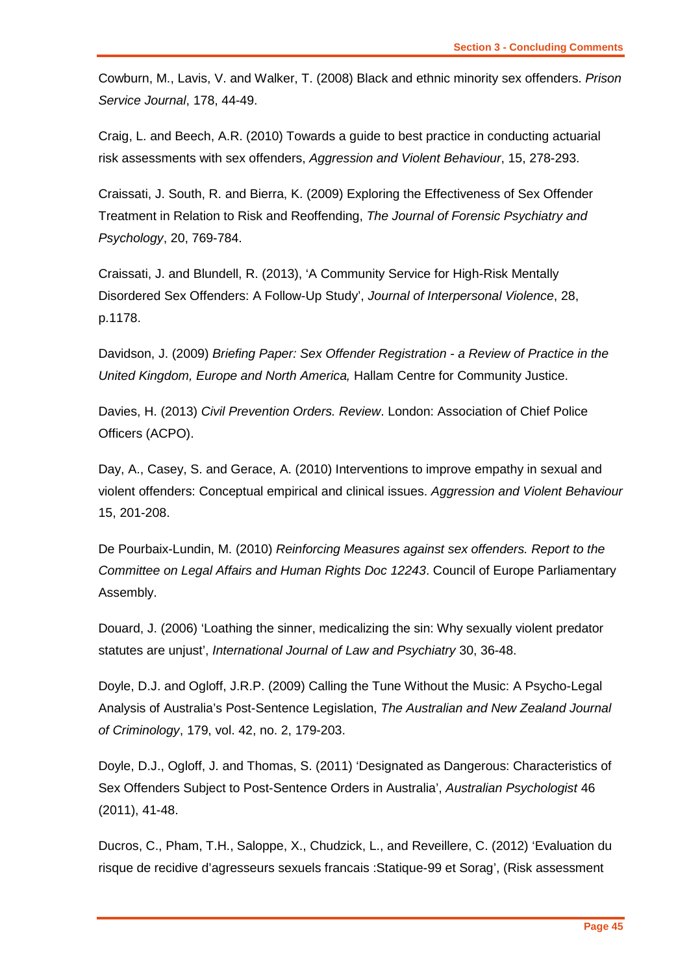Cowburn, M., Lavis, V. and Walker, T. (2008) Black and ethnic minority sex offenders. *Prison Service Journal*, 178, 44-49.

Craig, L. and Beech, A.R. (2010) Towards a guide to best practice in conducting actuarial risk assessments with sex offenders, *Aggression and Violent Behaviour*, 15, 278-293.

Craissati, J. South, R. and Bierra, K. (2009) Exploring the Effectiveness of Sex Offender Treatment in Relation to Risk and Reoffending, *The Journal of Forensic Psychiatry and Psychology*, 20, 769-784.

Craissati, J. and Blundell, R. (2013), 'A Community Service for High-Risk Mentally Disordered Sex Offenders: A Follow-Up Study', *Journal of Interpersonal Violence*, 28, p.1178.

Davidson, J. (2009) *Briefing Paper: Sex Offender Registration - a Review of Practice in the United Kingdom, Europe and North America,* Hallam Centre for Community Justice.

Davies, H. (2013) *Civil Prevention Orders. Review*. London: Association of Chief Police Officers (ACPO).

Day, A., Casey, S. and Gerace, A. (2010) Interventions to improve empathy in sexual and violent offenders: Conceptual empirical and clinical issues. *Aggression and Violent Behaviour* 15, 201-208.

De Pourbaix-Lundin, M. (2010) *Reinforcing Measures against sex offenders. Report to the Committee on Legal Affairs and Human Rights Doc 12243*. Council of Europe Parliamentary Assembly.

Douard, J. (2006) 'Loathing the sinner, medicalizing the sin: Why sexually violent predator statutes are unjust', *International Journal of Law and Psychiatry* 30, 36-48.

Doyle, D.J. and Ogloff, J.R.P. (2009) Calling the Tune Without the Music: A Psycho-Legal Analysis of Australia's Post-Sentence Legislation, *The Australian and New Zealand Journal of Criminology*, 179, vol. 42, no. 2, 179-203.

Doyle, D.J., Ogloff, J. and Thomas, S. (2011) 'Designated as Dangerous: Characteristics of Sex Offenders Subject to Post-Sentence Orders in Australia', *Australian Psychologist* 46 (2011), 41-48.

Ducros, C., Pham, T.H., Saloppe, X., Chudzick, L., and Reveillere, C. (2012) 'Evaluation du risque de recidive d'agresseurs sexuels francais :Statique-99 et Sorag', (Risk assessment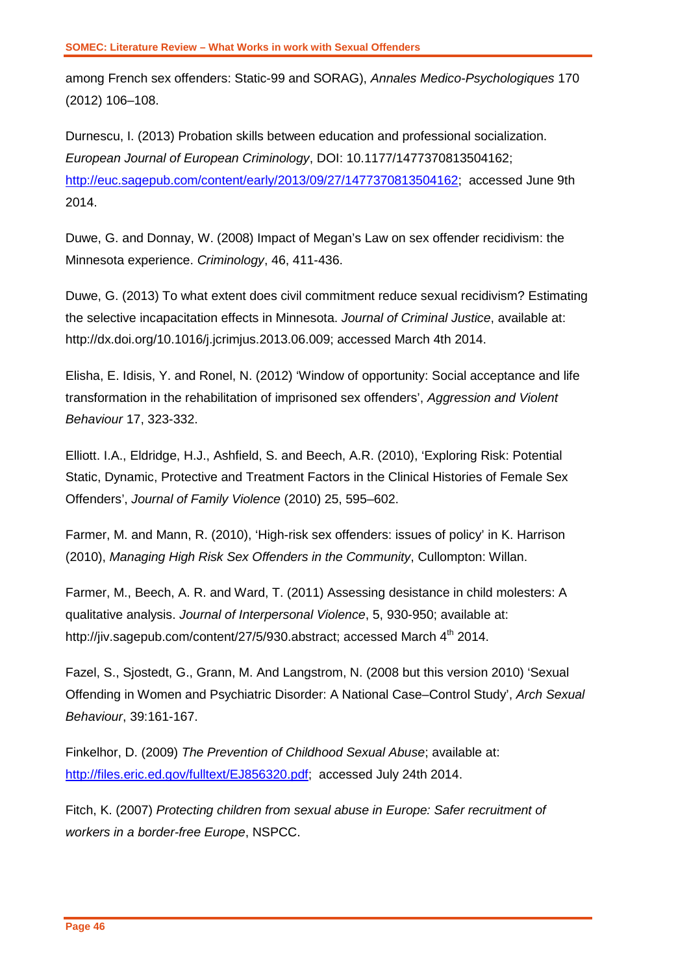among French sex offenders: Static-99 and SORAG), *Annales Medico-Psychologiques* 170 (2012) 106–108.

Durnescu, I. (2013) Probation skills between education and professional socialization. *European Journal of European Criminology*, DOI: 10.1177/1477370813504162; [http://euc.sagepub.com/content/early/2013/09/27/1477370813504162;](http://euc.sagepub.com/content/early/2013/09/27/1477370813504162) accessed June 9th 2014.

Duwe, G. and Donnay, W. (2008) Impact of Megan's Law on sex offender recidivism: the Minnesota experience. *Criminology*, 46, 411-436.

Duwe, G. (2013) To what extent does civil commitment reduce sexual recidivism? Estimating the selective incapacitation effects in Minnesota. *Journal of Criminal Justice*, available at: http://dx.doi.org/10.1016/j.jcrimjus.2013.06.009; accessed March 4th 2014.

Elisha, E. Idisis, Y. and Ronel, N. (2012) 'Window of opportunity: Social acceptance and life transformation in the rehabilitation of imprisoned sex offenders', *Aggression and Violent Behaviour* 17, 323-332.

Elliott. I.A., Eldridge, H.J., Ashfield, S. and Beech, A.R. (2010), 'Exploring Risk: Potential Static, Dynamic, Protective and Treatment Factors in the Clinical Histories of Female Sex Offenders', *Journal of Family Violence* (2010) 25, 595–602.

Farmer, M. and Mann, R. (2010), 'High-risk sex offenders: issues of policy' in K. Harrison (2010), *Managing High Risk Sex Offenders in the Community*, Cullompton: Willan.

Farmer, M., Beech, A. R. and Ward, T. (2011) Assessing desistance in child molesters: A qualitative analysis. *Journal of Interpersonal Violence*, 5, 930-950; available at: http://jiv.sagepub.com/content/27/5/930.abstract; accessed March 4<sup>th</sup> 2014.

Fazel, S., Sjostedt, G., Grann, M. And Langstrom, N. (2008 but this version 2010) 'Sexual Offending in Women and Psychiatric Disorder: A National Case–Control Study', *Arch Sexual Behaviour*, 39:161-167.

Finkelhor, D. (2009) *The Prevention of Childhood Sexual Abuse*; available at: [http://files.eric.ed.gov/fulltext/EJ856320.pdf;](http://files.eric.ed.gov/fulltext/EJ856320.pdf) accessed July 24th 2014.

Fitch, K. (2007) *Protecting children from sexual abuse in Europe: Safer recruitment of workers in a border-free Europe*, NSPCC.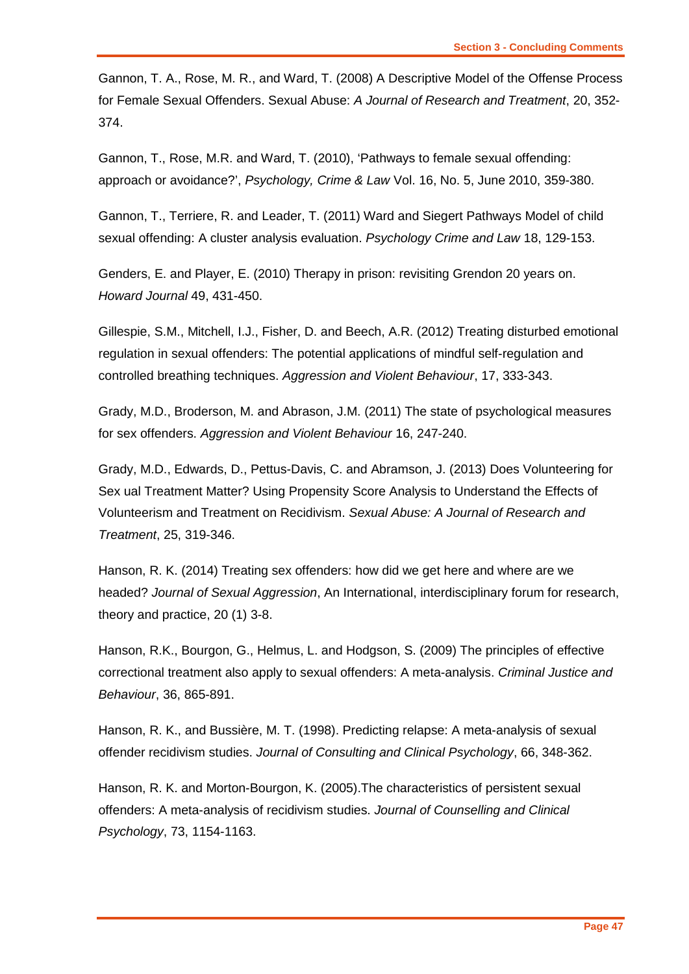Gannon, T. A., Rose, M. R., and Ward, T. (2008) A Descriptive Model of the Offense Process for Female Sexual Offenders. Sexual Abuse: *A Journal of Research and Treatment*, 20, 352- 374.

Gannon, T., Rose, M.R. and Ward, T. (2010), 'Pathways to female sexual offending: approach or avoidance?', *Psychology, Crime & Law* Vol. 16, No. 5, June 2010, 359-380.

Gannon, T., Terriere, R. and Leader, T. (2011) Ward and Siegert Pathways Model of child sexual offending: A cluster analysis evaluation. *Psychology Crime and Law* 18, 129-153.

Genders, E. and Player, E. (2010) Therapy in prison: revisiting Grendon 20 years on. *Howard Journal* 49, 431-450.

Gillespie, S.M., Mitchell, I.J., Fisher, D. and Beech, A.R. (2012) Treating disturbed emotional regulation in sexual offenders: The potential applications of mindful self-regulation and controlled breathing techniques. *Aggression and Violent Behaviour*, 17, 333-343.

Grady, M.D., Broderson, M. and Abrason, J.M. (2011) The state of psychological measures for sex offenders. *Aggression and Violent Behaviour* 16, 247-240.

Grady, M.D., Edwards, D., Pettus-Davis, C. and Abramson, J. (2013) Does Volunteering for Sex ual Treatment Matter? Using Propensity Score Analysis to Understand the Effects of Volunteerism and Treatment on Recidivism. *Sexual Abuse: A Journal of Research and Treatment*, 25, 319-346.

Hanson, R. K. (2014) Treating sex offenders: how did we get here and where are we headed? *Journal of Sexual Aggression*, An International, interdisciplinary forum for research, theory and practice, 20 (1) 3-8.

Hanson, R.K., Bourgon, G., Helmus, L. and Hodgson, S. (2009) The principles of effective correctional treatment also apply to sexual offenders: A meta-analysis. *Criminal Justice and Behaviour*, 36, 865-891.

Hanson, R. K., and Bussière, M. T. (1998). Predicting relapse: A meta-analysis of sexual offender recidivism studies. *Journal of Consulting and Clinical Psychology*, 66, 348-362.

Hanson, R. K. and Morton-Bourgon, K. (2005).The characteristics of persistent sexual offenders: A meta-analysis of recidivism studies. *Journal of Counselling and Clinical Psychology*, 73, 1154-1163.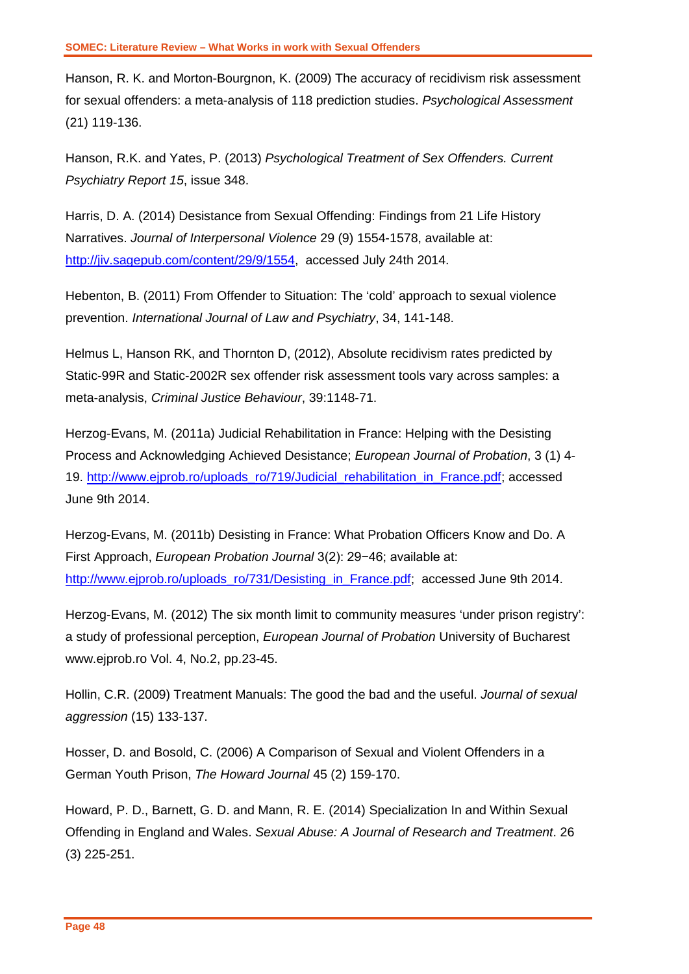Hanson, R. K. and Morton-Bourgnon, K. (2009) The accuracy of recidivism risk assessment for sexual offenders: a meta-analysis of 118 prediction studies. *Psychological Assessment*  (21) 119-136.

Hanson, R.K. and Yates, P. (2013) *Psychological Treatment of Sex Offenders. Current Psychiatry Report 15*, issue 348.

Harris, D. A. (2014) Desistance from Sexual Offending: Findings from 21 Life History Narratives. *Journal of Interpersonal Violence* 29 (9) 1554-1578, available at: [http://jiv.sagepub.com/content/29/9/1554,](http://jiv.sagepub.com/content/29/9/1554) accessed July 24th 2014.

Hebenton, B. (2011) From Offender to Situation: The 'cold' approach to sexual violence prevention. *International Journal of Law and Psychiatry*, 34, 141-148.

Helmus L, Hanson RK, and Thornton D, (2012), Absolute recidivism rates predicted by Static-99R and Static-2002R sex offender risk assessment tools vary across samples: a meta-analysis, *Criminal Justice Behaviour*, 39:1148-71.

Herzog-Evans, M. (2011a) Judicial Rehabilitation in France: Helping with the Desisting Process and Acknowledging Achieved Desistance; *European Journal of Probation*, 3 (1) 4- 19. [http://www.ejprob.ro/uploads\\_ro/719/Judicial\\_rehabilitation\\_in\\_France.pdf;](http://www.ejprob.ro/uploads_ro/719/Judicial_rehabilitation_in_France.pdf) accessed June 9th 2014.

Herzog-Evans, M. (2011b) Desisting in France: What Probation Officers Know and Do. A First Approach, *European Probation Journal* 3(2): 29−46; available at: [http://www.ejprob.ro/uploads\\_ro/731/Desisting\\_in\\_France.pdf;](http://www.ejprob.ro/uploads_ro/731/Desisting_in_France.pdf) accessed June 9th 2014.

Herzog-Evans, M. (2012) The six month limit to community measures 'under prison registry': a study of professional perception, *European Journal of Probation* University of Bucharest www.ejprob.ro Vol. 4, No.2, pp.23-45.

Hollin, C.R. (2009) Treatment Manuals: The good the bad and the useful. *Journal of sexual aggression* (15) 133-137.

Hosser, D. and Bosold, C. (2006) A Comparison of Sexual and Violent Offenders in a German Youth Prison, *The Howard Journal* 45 (2) 159-170.

Howard, P. D., Barnett, G. D. and Mann, R. E. (2014) Specialization In and Within Sexual Offending in England and Wales. *Sexual Abuse: A Journal of Research and Treatment*. 26 (3) 225-251.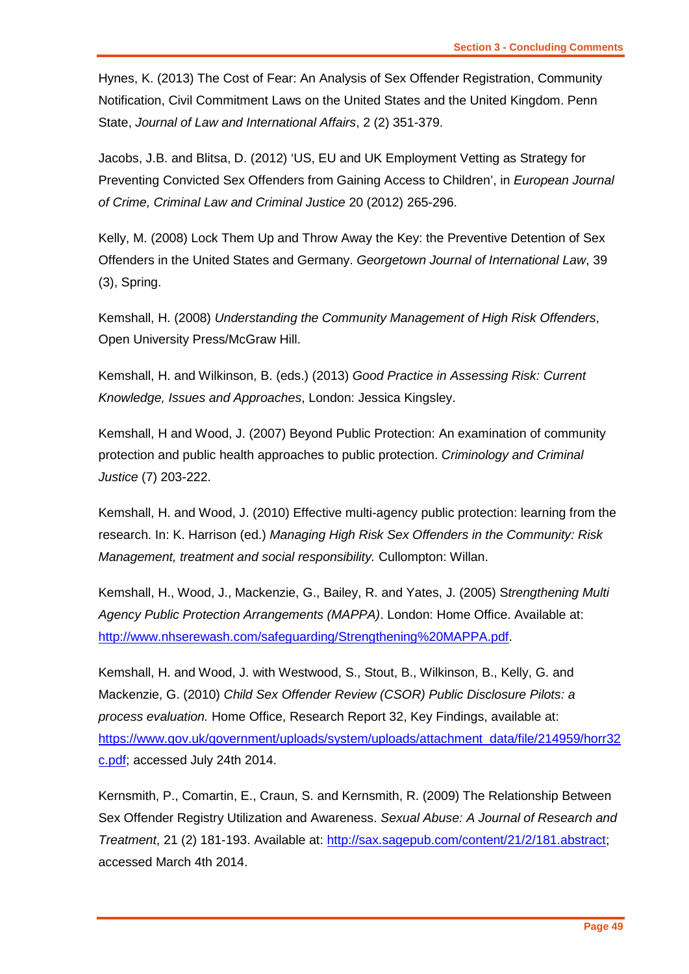Hynes, K. (2013) The Cost of Fear: An Analysis of Sex Offender Registration, Community Notification, Civil Commitment Laws on the United States and the United Kingdom. Penn State, *Journal of Law and International Affairs*, 2 (2) 351-379.

Jacobs, J.B. and Blitsa, D. (2012) 'US, EU and UK Employment Vetting as Strategy for Preventing Convicted Sex Offenders from Gaining Access to Children', in *European Journal of Crime, Criminal Law and Criminal Justice* 20 (2012) 265-296.

Kelly, M. (2008) Lock Them Up and Throw Away the Key: the Preventive Detention of Sex Offenders in the United States and Germany. *Georgetown Journal of International Law*, 39 (3), Spring.

Kemshall, H. (2008) *Understanding the Community Management of High Risk Offenders*, Open University Press/McGraw Hill.

Kemshall, H. and Wilkinson, B. (eds.) (2013) *Good Practice in Assessing Risk: Current Knowledge, Issues and Approaches*, London: Jessica Kingsley.

Kemshall, H and Wood, J. (2007) Beyond Public Protection: An examination of community protection and public health approaches to public protection. *Criminology and Criminal Justice* (7) 203-222.

Kemshall, H. and Wood, J. (2010) Effective multi-agency public protection: learning from the research. In: K. Harrison (ed.) *Managing High Risk Sex Offenders in the Community: Risk Management, treatment and social responsibility.* Cullompton: Willan.

Kemshall, H., Wood, J., Mackenzie, G., Bailey, R. and Yates, J. (2005) S*trengthening Multi Agency Public Protection Arrangements (MAPPA)*. London: Home Office. Available at: [http://www.nhserewash.com/safeguarding/Strengthening%20MAPPA.pdf.](http://www.nhserewash.com/safeguarding/Strengthening%20MAPPA.pdf)

Kemshall, H. and Wood, J. with Westwood, S., Stout, B., Wilkinson, B., Kelly, G. and Mackenzie, G. (2010) *Child Sex Offender Review (CSOR) Public Disclosure Pilots: a process evaluation.* Home Office, Research Report 32, Key Findings, available at: [https://www.gov.uk/government/uploads/system/uploads/attachment\\_data/file/214959/horr32](https://www.gov.uk/government/uploads/system/uploads/attachment_data/file/214959/horr32c.pdf) [c.pdf;](https://www.gov.uk/government/uploads/system/uploads/attachment_data/file/214959/horr32c.pdf) accessed July 24th 2014.

Kernsmith, P., Comartin, E., Craun, S. and Kernsmith, R. (2009) The Relationship Between Sex Offender Registry Utilization and Awareness. *Sexual Abuse: A Journal of Research and Treatment*, 21 (2) 181-193. Available at: [http://sax.sagepub.com/content/21/2/181.abstract;](http://sax.sagepub.com/content/21/2/181.abstract) accessed March 4th 2014.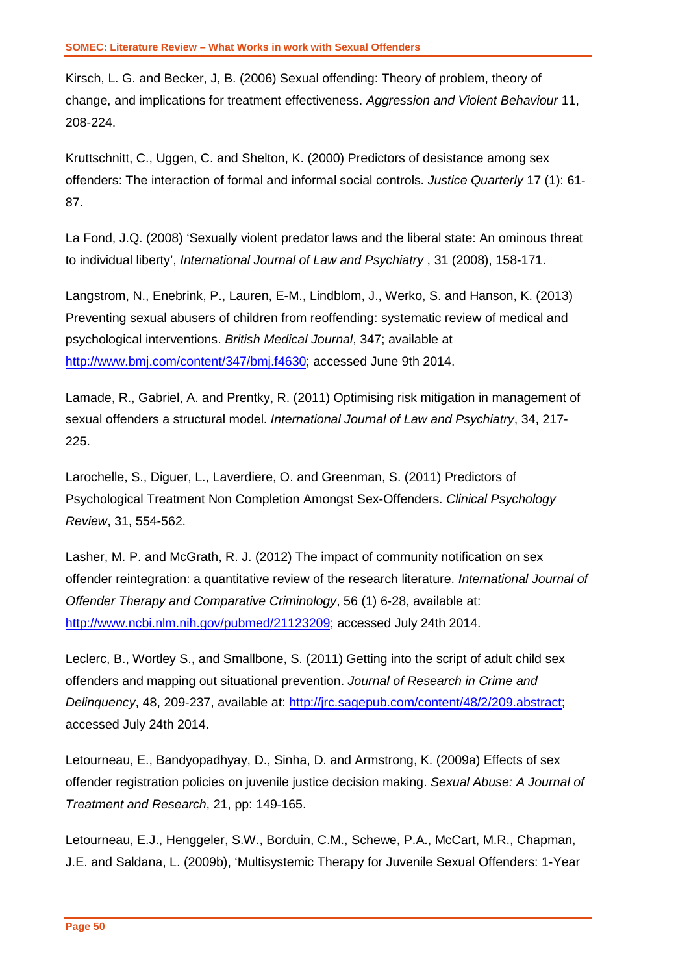Kirsch, L. G. and Becker, J, B. (2006) Sexual offending: Theory of problem, theory of change, and implications for treatment effectiveness. *Aggression and Violent Behaviour* 11, 208-224.

Kruttschnitt, C., Uggen, C. and Shelton, K. (2000) Predictors of desistance among sex offenders: The interaction of formal and informal social controls. *Justice Quarterly* 17 (1): 61- 87.

La Fond, J.Q. (2008) 'Sexually violent predator laws and the liberal state: An ominous threat to individual liberty', *International Journal of Law and Psychiatry* , 31 (2008), 158-171.

Langstrom, N., Enebrink, P., Lauren, E-M., Lindblom, J., Werko, S. and Hanson, K. (2013) Preventing sexual abusers of children from reoffending: systematic review of medical and psychological interventions. *British Medical Journal*, 347; available at [http://www.bmj.com/content/347/bmj.f4630;](http://www.bmj.com/content/347/bmj.f4630) accessed June 9th 2014.

Lamade, R., Gabriel, A. and Prentky, R. (2011) Optimising risk mitigation in management of sexual offenders a structural model. *International Journal of Law and Psychiatry*, 34, 217- 225.

Larochelle, S., Diguer, L., Laverdiere, O. and Greenman, S. (2011) Predictors of Psychological Treatment Non Completion Amongst Sex-Offenders. *Clinical Psychology Review*, 31, 554-562.

Lasher, M. P. and McGrath, R. J. (2012) The impact of community notification on sex offender reintegration: a quantitative review of the research literature. *International Journal of Offender Therapy and Comparative Criminology*, 56 (1) 6-28, available at: [http://www.ncbi.nlm.nih.gov/pubmed/21123209;](http://www.ncbi.nlm.nih.gov/pubmed/21123209) accessed July 24th 2014.

Leclerc, B., Wortley S., and Smallbone, S. (2011) Getting into the script of adult child sex offenders and mapping out situational prevention. *Journal of Research in Crime and Delinquency*, 48, 209-237, available at: [http://jrc.sagepub.com/content/48/2/209.abstract;](http://jrc.sagepub.com/content/48/2/209.abstract) accessed July 24th 2014.

Letourneau, E., Bandyopadhyay, D., Sinha, D. and Armstrong, K. (2009a) Effects of sex offender registration policies on juvenile justice decision making. *Sexual Abuse: A Journal of Treatment and Research*, 21, pp: 149-165.

Letourneau, E.J., Henggeler, S.W., Borduin, C.M., Schewe, P.A., McCart, M.R., Chapman, J.E. and Saldana, L. (2009b), 'Multisystemic Therapy for Juvenile Sexual Offenders: 1-Year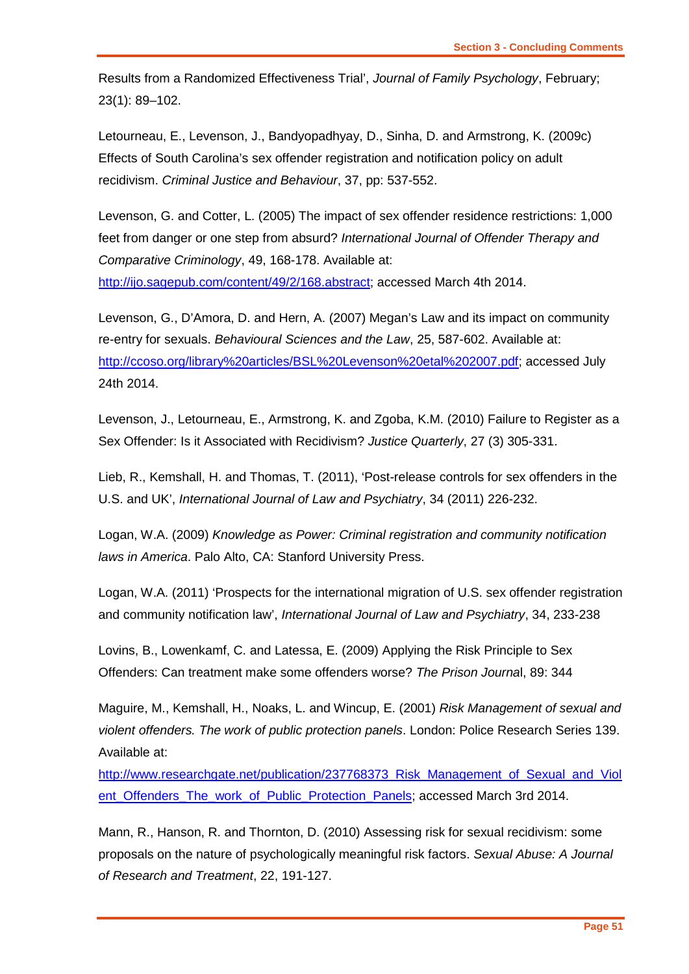Results from a Randomized Effectiveness Trial', *Journal of Family Psychology*, February; 23(1): 89–102.

Letourneau, E., Levenson, J., Bandyopadhyay, D., Sinha, D. and Armstrong, K. (2009c) Effects of South Carolina's sex offender registration and notification policy on adult recidivism. *Criminal Justice and Behaviour*, 37, pp: 537-552.

Levenson, G. and Cotter, L. (2005) The impact of sex offender residence restrictions: 1,000 feet from danger or one step from absurd? *International Journal of Offender Therapy and Comparative Criminology*, 49, 168-178. Available at: [http://ijo.sagepub.com/content/49/2/168.abstract;](http://ijo.sagepub.com/content/49/2/168.abstract) accessed March 4th 2014.

Levenson, G., D'Amora, D. and Hern, A. (2007) Megan's Law and its impact on community re-entry for sexuals. *Behavioural Sciences and the Law*, 25, 587-602. Available at: [http://ccoso.org/library%20articles/BSL%20Levenson%20etal%202007.pdf;](http://ccoso.org/library%20articles/BSL%20Levenson%20etal%202007.pdf) accessed July 24th 2014.

Levenson, J., Letourneau, E., Armstrong, K. and Zgoba, K.M. (2010) Failure to Register as a Sex Offender: Is it Associated with Recidivism? *Justice Quarterly*, 27 (3) 305-331.

Lieb, R., Kemshall, H. and Thomas, T. (2011), 'Post-release controls for sex offenders in the U.S. and UK', *International Journal of Law and Psychiatry*, 34 (2011) 226-232.

Logan, W.A. (2009) *Knowledge as Power: Criminal registration and community notification laws in America*. Palo Alto, CA: Stanford University Press.

Logan, W.A. (2011) 'Prospects for the international migration of U.S. sex offender registration and community notification law', *International Journal of Law and Psychiatry*, 34, 233-238

Lovins, B., Lowenkamf, C. and Latessa, E. (2009) Applying the Risk Principle to Sex Offenders: Can treatment make some offenders worse? *The Prison Journa*l, 89: 344

Maguire, M., Kemshall, H., Noaks, L. and Wincup, E. (2001) *Risk Management of sexual and violent offenders. The work of public protection panels*. London: Police Research Series 139. Available at:

[http://www.researchgate.net/publication/237768373\\_Risk\\_Management\\_of\\_Sexual\\_and\\_Viol](http://www.researchgate.net/publication/237768373_Risk_Management_of_Sexual_and_Violent_Offenders_The_work_of_Public_Protection_Panels) [ent\\_Offenders\\_The\\_work\\_of\\_Public\\_Protection\\_Panels;](http://www.researchgate.net/publication/237768373_Risk_Management_of_Sexual_and_Violent_Offenders_The_work_of_Public_Protection_Panels) accessed March 3rd 2014.

Mann, R., Hanson, R. and Thornton, D. (2010) Assessing risk for sexual recidivism: some proposals on the nature of psychologically meaningful risk factors. *Sexual Abuse: A Journal of Research and Treatment*, 22, 191-127.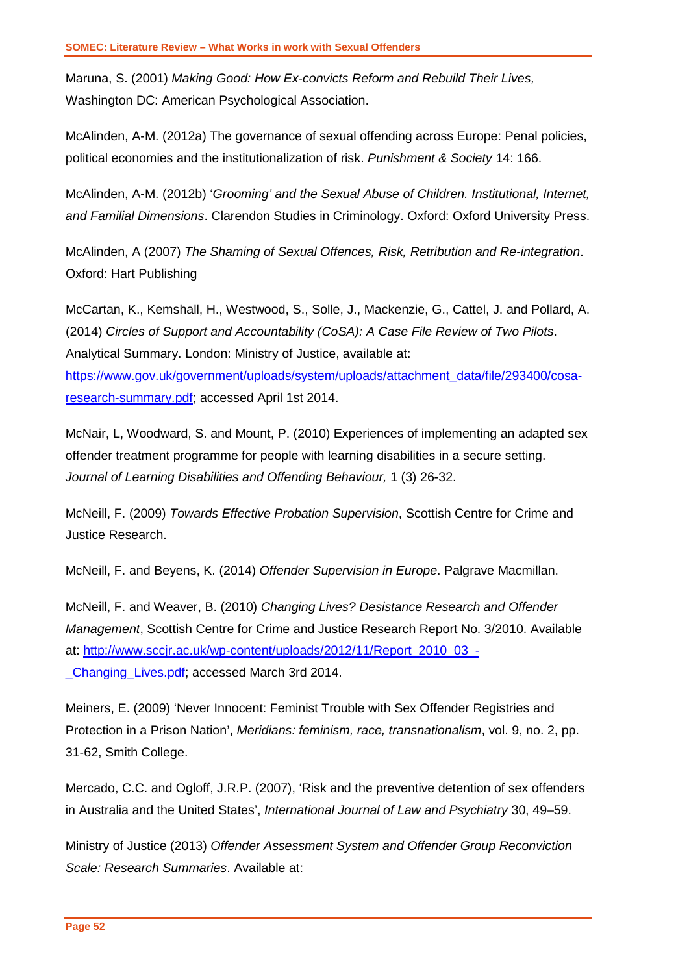Maruna, S. (2001) *Making Good: How Ex-convicts Reform and Rebuild Their Lives,* Washington DC: American Psychological Association.

McAlinden, A-M. (2012a) The governance of sexual offending across Europe: Penal policies, political economies and the institutionalization of risk. *Punishment & Society* 14: 166.

McAlinden, A-M. (2012b) '*Grooming' and the Sexual Abuse of Children. Institutional, Internet, and Familial Dimensions*. Clarendon Studies in Criminology. Oxford: Oxford University Press.

McAlinden, A (2007) *The Shaming of Sexual Offences, Risk, Retribution and Re-integration*. Oxford: Hart Publishing

McCartan, K., Kemshall, H., Westwood, S., Solle, J., Mackenzie, G., Cattel, J. and Pollard, A. (2014) *Circles of Support and Accountability (CoSA): A Case File Review of Two Pilots*. Analytical Summary. London: Ministry of Justice, available at: [https://www.gov.uk/government/uploads/system/uploads/attachment\\_data/file/293400/cosa](https://www.gov.uk/government/uploads/system/uploads/attachment_data/file/293400/cosa-research-summary.pdf)[research-summary.pdf;](https://www.gov.uk/government/uploads/system/uploads/attachment_data/file/293400/cosa-research-summary.pdf) accessed April 1st 2014.

McNair, L, Woodward, S. and Mount, P. (2010) Experiences of implementing an adapted sex offender treatment programme for people with learning disabilities in a secure setting. *Journal of Learning Disabilities and Offending Behaviour,* 1 (3) 26-32.

McNeill, F. (2009) *Towards Effective Probation Supervision*, Scottish Centre for Crime and Justice Research.

McNeill, F. and Beyens, K. (2014) *Offender Supervision in Europe*. Palgrave Macmillan.

McNeill, F. and Weaver, B. (2010) *Changing Lives? Desistance Research and Offender Management*, Scottish Centre for Crime and Justice Research Report No. 3/2010. Available at: [http://www.sccjr.ac.uk/wp-content/uploads/2012/11/Report\\_2010\\_03\\_-](http://www.sccjr.ac.uk/wp-content/uploads/2012/11/Report_2010_03_-_Changing_Lives.pdf) **Changing Lives.pdf; accessed March 3rd 2014.** 

Meiners, E. (2009) 'Never Innocent: Feminist Trouble with Sex Offender Registries and Protection in a Prison Nation', *Meridians: feminism, race, transnationalism*, vol. 9, no. 2, pp. 31-62, Smith College.

Mercado, C.C. and Ogloff, J.R.P. (2007), 'Risk and the preventive detention of sex offenders in Australia and the United States', *International Journal of Law and Psychiatry* 30, 49–59.

Ministry of Justice (2013) *Offender Assessment System and Offender Group Reconviction Scale: Research Summaries*. Available at: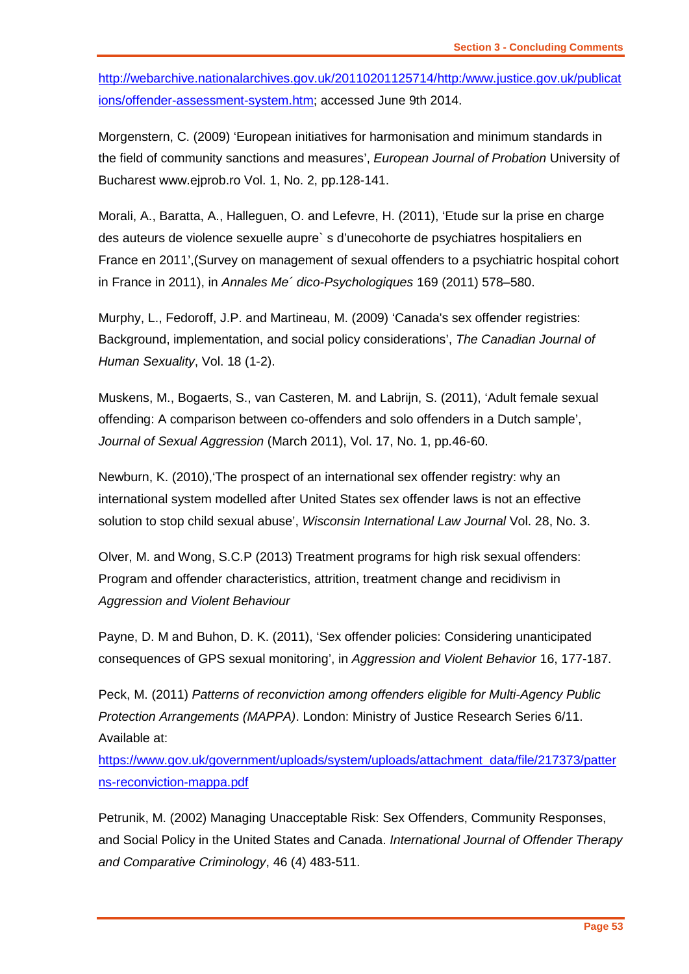[http://webarchive.nationalarchives.gov.uk/20110201125714/http:/www.justice.gov.uk/publicat](http://webarchive.nationalarchives.gov.uk/20110201125714/http:/www.justice.gov.uk/publications/offender-assessment-system.htm) [ions/offender-assessment-system.htm;](http://webarchive.nationalarchives.gov.uk/20110201125714/http:/www.justice.gov.uk/publications/offender-assessment-system.htm) accessed June 9th 2014.

Morgenstern, C. (2009) 'European initiatives for harmonisation and minimum standards in the field of community sanctions and measures', *European Journal of Probation* University of Bucharest www.ejprob.ro Vol. 1, No. 2, pp.128-141.

Morali, A., Baratta, A., Halleguen, O. and Lefevre, H. (2011), 'Etude sur la prise en charge des auteurs de violence sexuelle aupre` s d'unecohorte de psychiatres hospitaliers en France en 2011',(Survey on management of sexual offenders to a psychiatric hospital cohort in France in 2011), in *Annales Me´ dico-Psychologiques* 169 (2011) 578–580.

Murphy, L., Fedoroff, J.P. and Martineau, M. (2009) 'Canada's sex offender registries: Background, implementation, and social policy considerations', *The Canadian Journal of Human Sexuality*, Vol. 18 (1-2).

Muskens, M., Bogaerts, S., van Casteren, M. and Labrijn, S. (2011), 'Adult female sexual offending: A comparison between co-offenders and solo offenders in a Dutch sample', *Journal of Sexual Aggression* (March 2011), Vol. 17, No. 1, pp.46-60.

Newburn, K. (2010),'The prospect of an international sex offender registry: why an international system modelled after United States sex offender laws is not an effective solution to stop child sexual abuse', *Wisconsin International Law Journal* Vol. 28, No. 3.

Olver, M. and Wong, S.C.P (2013) Treatment programs for high risk sexual offenders: Program and offender characteristics, attrition, treatment change and recidivism in *Aggression and Violent Behaviour*

Payne, D. M and Buhon, D. K. (2011), 'Sex offender policies: Considering unanticipated consequences of GPS sexual monitoring', in *Aggression and Violent Behavior* 16, 177-187.

Peck, M. (2011) *Patterns of reconviction among offenders eligible for Multi-Agency Public Protection Arrangements (MAPPA)*. London: Ministry of Justice Research Series 6/11. Available at:

[https://www.gov.uk/government/uploads/system/uploads/attachment\\_data/file/217373/patter](https://www.gov.uk/government/uploads/system/uploads/attachment_data/file/217373/patterns-reconviction-mappa.pdf) [ns-reconviction-mappa.pdf](https://www.gov.uk/government/uploads/system/uploads/attachment_data/file/217373/patterns-reconviction-mappa.pdf)

Petrunik, M. (2002) Managing Unacceptable Risk: Sex Offenders, Community Responses, and Social Policy in the United States and Canada. *International Journal of Offender Therapy and Comparative Criminology*, 46 (4) 483-511.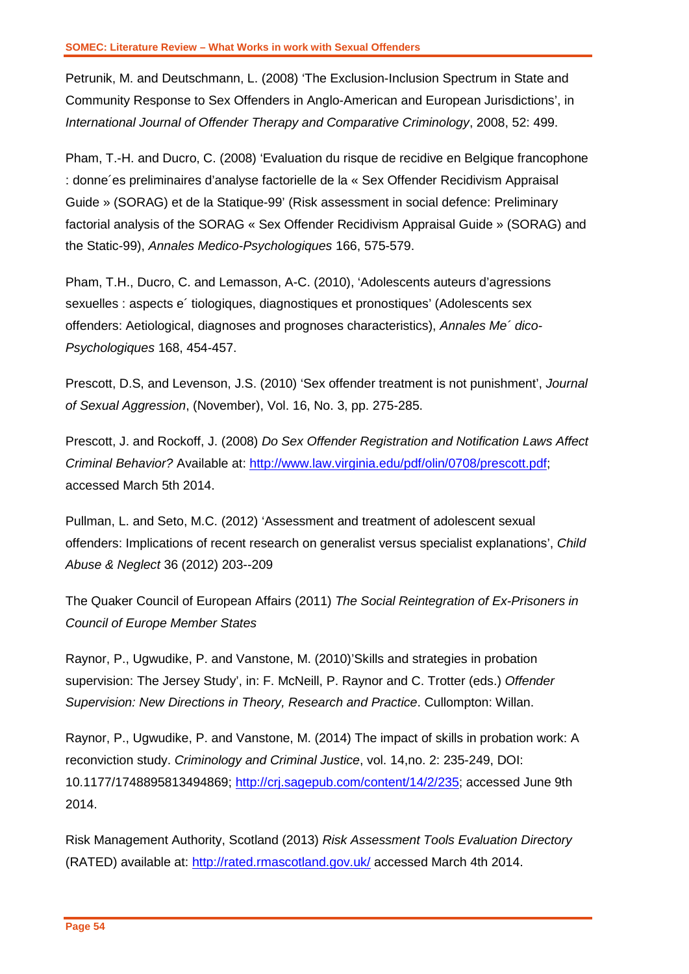Petrunik, M. and Deutschmann, L. (2008) 'The Exclusion-Inclusion Spectrum in State and Community Response to Sex Offenders in Anglo-American and European Jurisdictions', in *International Journal of Offender Therapy and Comparative Criminology*, 2008, 52: 499.

Pham, T.-H. and Ducro, C. (2008) 'Evaluation du risque de recidive en Belgique francophone : donne´es preliminaires d'analyse factorielle de la « Sex Offender Recidivism Appraisal Guide » (SORAG) et de la Statique-99' (Risk assessment in social defence: Preliminary factorial analysis of the SORAG « Sex Offender Recidivism Appraisal Guide » (SORAG) and the Static-99), *Annales Medico-Psychologiques* 166, 575-579.

Pham, T.H., Ducro, C. and Lemasson, A-C. (2010), 'Adolescents auteurs d'agressions sexuelles : aspects e´ tiologiques, diagnostiques et pronostiques' (Adolescents sex offenders: Aetiological, diagnoses and prognoses characteristics), *Annales Me´ dico-Psychologiques* 168, 454-457.

Prescott, D.S, and Levenson, J.S. (2010) 'Sex offender treatment is not punishment', *Journal of Sexual Aggression*, (November), Vol. 16, No. 3, pp. 275-285.

Prescott, J. and Rockoff, J. (2008) *Do Sex Offender Registration and Notification Laws Affect Criminal Behavior?* Available at: [http://www.law.virginia.edu/pdf/olin/0708/prescott.pdf;](http://www.law.virginia.edu/pdf/olin/0708/prescott.pdf) accessed March 5th 2014.

Pullman, L. and Seto, M.C. (2012) 'Assessment and treatment of adolescent sexual offenders: Implications of recent research on generalist versus specialist explanations', *Child Abuse & Neglect* 36 (2012) 203--209

The Quaker Council of European Affairs (2011) *The Social Reintegration of Ex-Prisoners in Council of Europe Member States*

Raynor, P., Ugwudike, P. and Vanstone, M. (2010)'Skills and strategies in probation supervision: The Jersey Study', in: F. McNeill, P. Raynor and C. Trotter (eds.) *Offender Supervision: New Directions in Theory, Research and Practice*. Cullompton: Willan.

Raynor, P., Ugwudike, P. and Vanstone, M. (2014) The impact of skills in probation work: A reconviction study. *Criminology and Criminal Justice*, vol. 14,no. 2: 235-249, DOI: 10.1177/1748895813494869; [http://crj.sagepub.com/content/14/2/235;](http://crj.sagepub.com/content/14/2/235) accessed June 9th 2014.

Risk Management Authority, Scotland (2013) *Risk Assessment Tools Evaluation Directory*  (RATED) available at:<http://rated.rmascotland.gov.uk/> accessed March 4th 2014.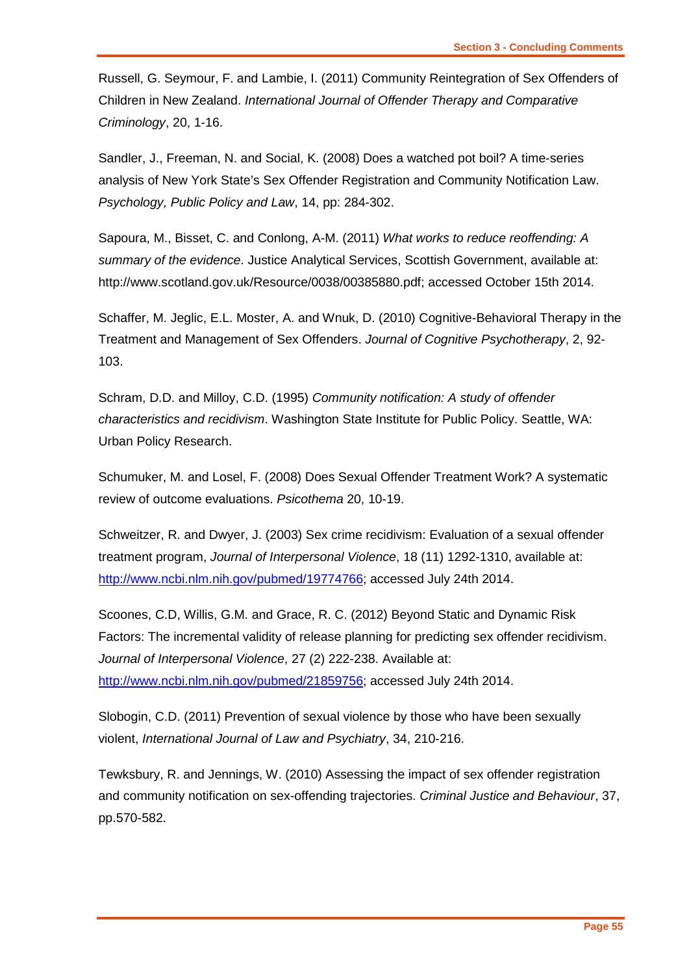Russell, G. Seymour, F. and Lambie, I. (2011) Community Reintegration of Sex Offenders of Children in New Zealand. *International Journal of Offender Therapy and Comparative Criminology*, 20, 1-16.

Sandler, J., Freeman, N. and Social, K. (2008) Does a watched pot boil? A time-series analysis of New York State's Sex Offender Registration and Community Notification Law. *Psychology, Public Policy and Law*, 14, pp: 284-302.

Sapoura, M., Bisset, C. and Conlong, A-M. (2011) *What works to reduce reoffending: A summary of the evidence*. Justice Analytical Services, Scottish Government, available at: http://www.scotland.gov.uk/Resource/0038/00385880.pdf; accessed October 15th 2014.

Schaffer, M. Jeglic, E.L. Moster, A. and Wnuk, D. (2010) Cognitive-Behavioral Therapy in the Treatment and Management of Sex Offenders. *Journal of Cognitive Psychotherapy*, 2, 92- 103.

Schram, D.D. and Milloy, C.D. (1995) *Community notification: A study of offender characteristics and recidivism*. Washington State Institute for Public Policy. Seattle, WA: Urban Policy Research.

Schumuker, M. and Losel, F. (2008) Does Sexual Offender Treatment Work? A systematic review of outcome evaluations. *Psicothema* 20, 10-19.

Schweitzer, R. and Dwyer, J. (2003) Sex crime recidivism: Evaluation of a sexual offender treatment program, *Journal of Interpersonal Violence*, 18 (11) 1292-1310, available at: [http://www.ncbi.nlm.nih.gov/pubmed/19774766;](http://www.ncbi.nlm.nih.gov/pubmed/19774766) accessed July 24th 2014.

Scoones, C.D, Willis, G.M. and Grace, R. C. (2012) Beyond Static and Dynamic Risk Factors: The incremental validity of release planning for predicting sex offender recidivism. *Journal of Interpersonal Violence*, 27 (2) 222-238. Available at: [http://www.ncbi.nlm.nih.gov/pubmed/21859756;](http://www.ncbi.nlm.nih.gov/pubmed/21859756) accessed July 24th 2014.

Slobogin, C.D. (2011) Prevention of sexual violence by those who have been sexually violent, *International Journal of Law and Psychiatry*, 34, 210-216.

Tewksbury, R. and Jennings, W. (2010) Assessing the impact of sex offender registration and community notification on sex-offending trajectories. *Criminal Justice and Behaviour*, 37, pp.570-582.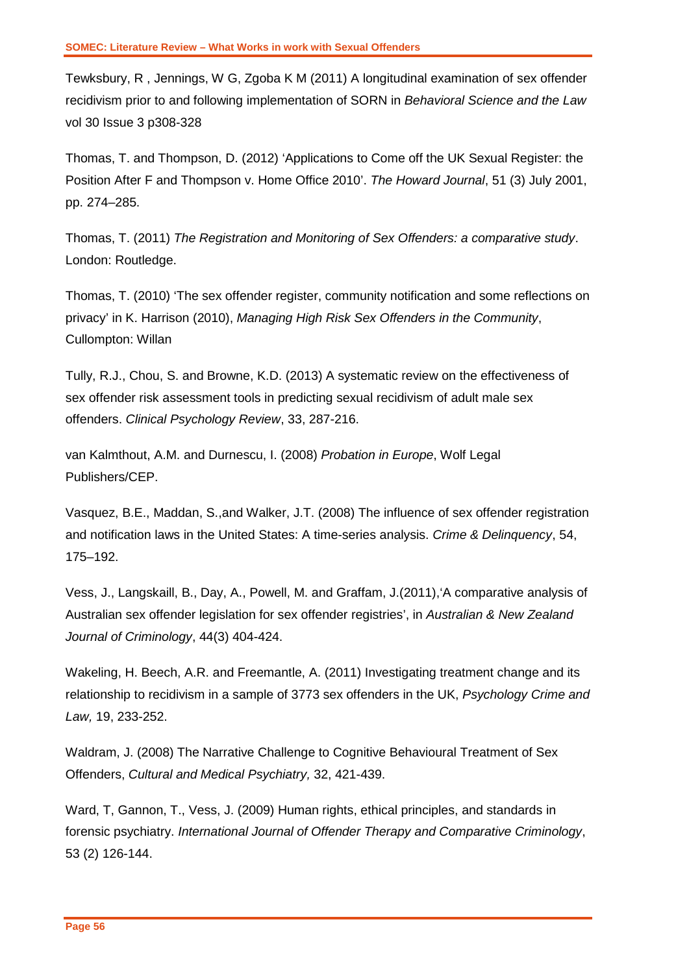Tewksbury, R , Jennings, W G, Zgoba K M (2011) A longitudinal examination of sex offender recidivism prior to and following implementation of SORN in *Behavioral Science and the Law* vol 30 Issue 3 p308-328

Thomas, T. and Thompson, D. (2012) 'Applications to Come off the UK Sexual Register: the Position After F and Thompson v. Home Office 2010'. *The Howard Journal*, 51 (3) July 2001, pp. 274–285.

Thomas, T. (2011) *The Registration and Monitoring of Sex Offenders: a comparative study*. London: Routledge.

Thomas, T. (2010) 'The sex offender register, community notification and some reflections on privacy' in K. Harrison (2010), *Managing High Risk Sex Offenders in the Community*, Cullompton: Willan

Tully, R.J., Chou, S. and Browne, K.D. (2013) A systematic review on the effectiveness of sex offender risk assessment tools in predicting sexual recidivism of adult male sex offenders. *Clinical Psychology Review*, 33, 287-216.

van Kalmthout, A.M. and Durnescu, I. (2008) *Probation in Europe*, Wolf Legal Publishers/CEP.

Vasquez, B.E., Maddan, S.,and Walker, J.T. (2008) The influence of sex offender registration and notification laws in the United States: A time-series analysis. *Crime & Delinquency*, 54, 175–192.

Vess, J., Langskaill, B., Day, A., Powell, M. and Graffam, J.(2011),'A comparative analysis of Australian sex offender legislation for sex offender registries', in *Australian & New Zealand Journal of Criminology*, 44(3) 404-424.

Wakeling, H. Beech, A.R. and Freemantle, A. (2011) Investigating treatment change and its relationship to recidivism in a sample of 3773 sex offenders in the UK, *Psychology Crime and Law,* 19, 233-252.

Waldram, J. (2008) The Narrative Challenge to Cognitive Behavioural Treatment of Sex Offenders, *Cultural and Medical Psychiatry,* 32, 421-439.

Ward, T, Gannon, T., Vess, J. (2009) Human rights, ethical principles, and standards in forensic psychiatry. *International Journal of Offender Therapy and Comparative Criminology*, 53 (2) 126-144.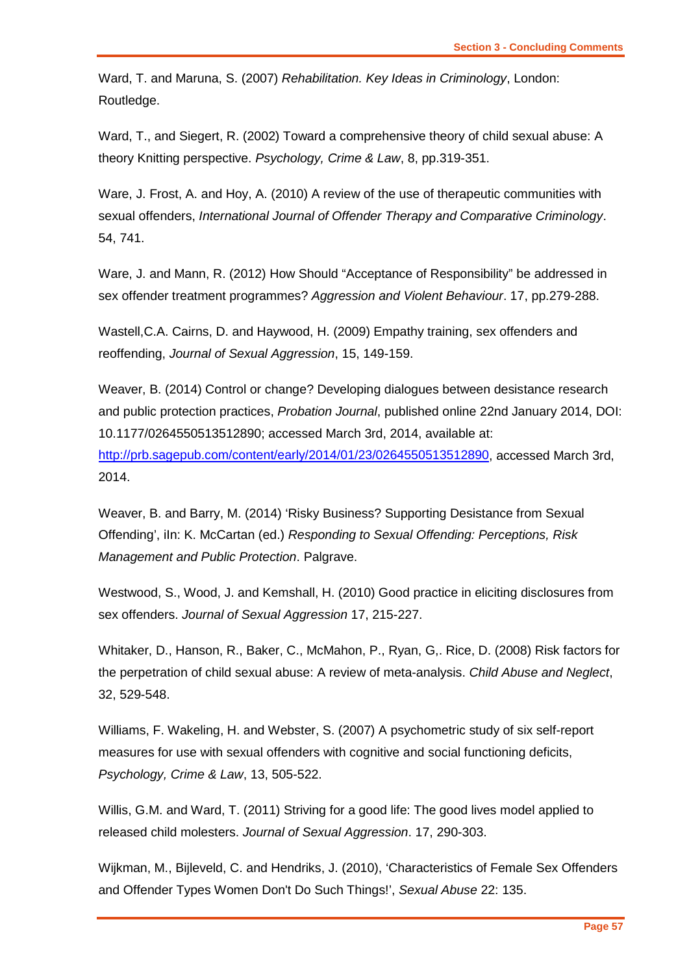Ward, T. and Maruna, S. (2007) *Rehabilitation. Key Ideas in Criminology*, London: Routledge.

Ward, T., and Siegert, R. (2002) Toward a comprehensive theory of child sexual abuse: A theory Knitting perspective. *Psychology, Crime & Law*, 8, pp.319-351.

Ware, J. Frost, A. and Hoy, A. (2010) A review of the use of therapeutic communities with sexual offenders, *International Journal of Offender Therapy and Comparative Criminology*. 54, 741.

Ware, J. and Mann, R. (2012) How Should "Acceptance of Responsibility" be addressed in sex offender treatment programmes? *Aggression and Violent Behaviour*. 17, pp.279-288.

Wastell,C.A. Cairns, D. and Haywood, H. (2009) Empathy training, sex offenders and reoffending, *Journal of Sexual Aggression*, 15, 149-159.

Weaver, B. (2014) Control or change? Developing dialogues between desistance research and public protection practices, *Probation Journal*, published online 22nd January 2014, DOI: 10.1177/0264550513512890; accessed March 3rd, 2014, available at: [http://prb.sagepub.com/content/early/2014/01/23/0264550513512890,](http://prb.sagepub.com/content/early/2014/01/23/0264550513512890) accessed March 3rd, 2014.

Weaver, B. and Barry, M. (2014) 'Risky Business? Supporting Desistance from Sexual Offending', iIn: K. McCartan (ed.) *Responding to Sexual Offending: Perceptions, Risk Management and Public Protection*. Palgrave.

Westwood, S., Wood, J. and Kemshall, H. (2010) Good practice in eliciting disclosures from sex offenders. *Journal of Sexual Aggression* 17, 215-227.

Whitaker, D., Hanson, R., Baker, C., McMahon, P., Ryan, G,. Rice, D. (2008) Risk factors for the perpetration of child sexual abuse: A review of meta-analysis. *Child Abuse and Neglect*, 32, 529-548.

Williams, F. Wakeling, H. and Webster, S. (2007) A psychometric study of six self-report measures for use with sexual offenders with cognitive and social functioning deficits, *Psychology, Crime & Law*, 13, 505-522.

Willis, G.M. and Ward, T. (2011) Striving for a good life: The good lives model applied to released child molesters. *Journal of Sexual Aggression*. 17, 290-303.

Wijkman, M., Bijleveld, C. and Hendriks, J. (2010), 'Characteristics of Female Sex Offenders and Offender Types Women Don't Do Such Things!', *Sexual Abuse* 22: 135.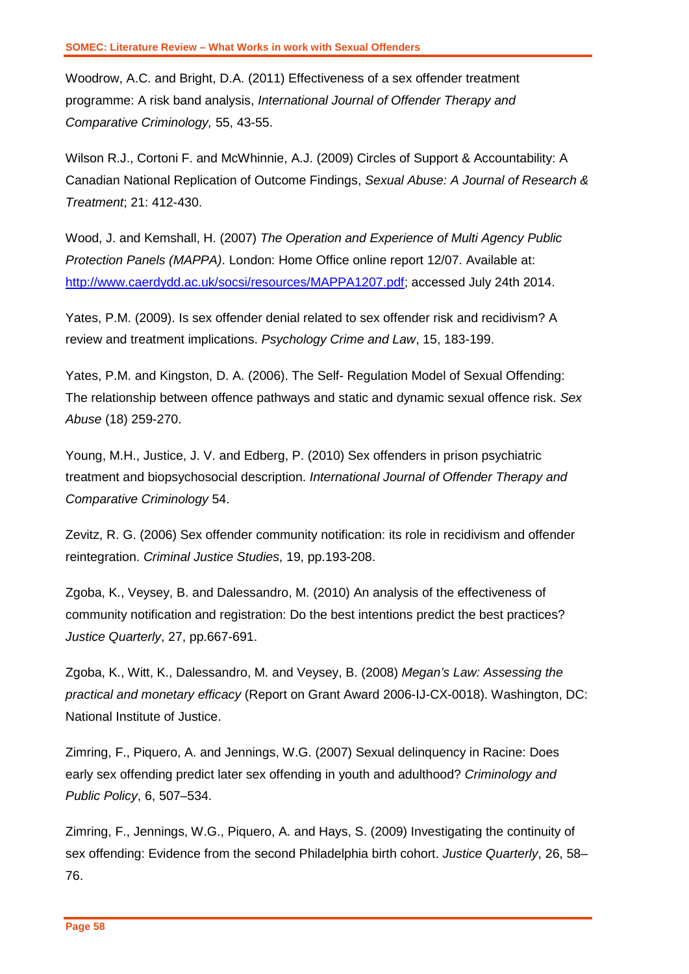Woodrow, A.C. and Bright, D.A. (2011) Effectiveness of a sex offender treatment programme: A risk band analysis, *International Journal of Offender Therapy and Comparative Criminology,* 55, 43-55.

Wilson R.J., Cortoni F. and McWhinnie, A.J. (2009) Circles of Support & Accountability: A Canadian National Replication of Outcome Findings, *Sexual Abuse: A Journal of Research & Treatment*; 21: 412-430.

Wood, J. and Kemshall, H. (2007) *The Operation and Experience of Multi Agency Public Protection Panels (MAPPA)*. London: Home Office online report 12/07. Available at: [http://www.caerdydd.ac.uk/socsi/resources/MAPPA1207.pdf;](http://www.caerdydd.ac.uk/socsi/resources/MAPPA1207.pdf) accessed July 24th 2014.

Yates, P.M. (2009). Is sex offender denial related to sex offender risk and recidivism? A review and treatment implications. *Psychology Crime and Law*, 15, 183-199.

Yates, P.M. and Kingston, D. A. (2006). The Self- Regulation Model of Sexual Offending: The relationship between offence pathways and static and dynamic sexual offence risk. *Sex Abuse* (18) 259-270.

Young, M.H., Justice, J. V. and Edberg, P. (2010) Sex offenders in prison psychiatric treatment and biopsychosocial description. *International Journal of Offender Therapy and Comparative Criminology* 54.

Zevitz, R. G. (2006) Sex offender community notification: its role in recidivism and offender reintegration. *Criminal Justice Studies*, 19, pp.193-208.

Zgoba, K., Veysey, B. and Dalessandro, M. (2010) An analysis of the effectiveness of community notification and registration: Do the best intentions predict the best practices? *Justice Quarterly*, 27, pp.667-691.

Zgoba, K., Witt, K., Dalessandro, M. and Veysey, B. (2008) *Megan's Law: Assessing the practical and monetary efficacy* (Report on Grant Award 2006-IJ-CX-0018). Washington, DC: National Institute of Justice.

Zimring, F., Piquero, A. and Jennings, W.G. (2007) Sexual delinquency in Racine: Does early sex offending predict later sex offending in youth and adulthood? *Criminology and Public Policy*, 6, 507–534.

Zimring, F., Jennings, W.G., Piquero, A. and Hays, S. (2009) Investigating the continuity of sex offending: Evidence from the second Philadelphia birth cohort. *Justice Quarterly*, 26, 58– 76.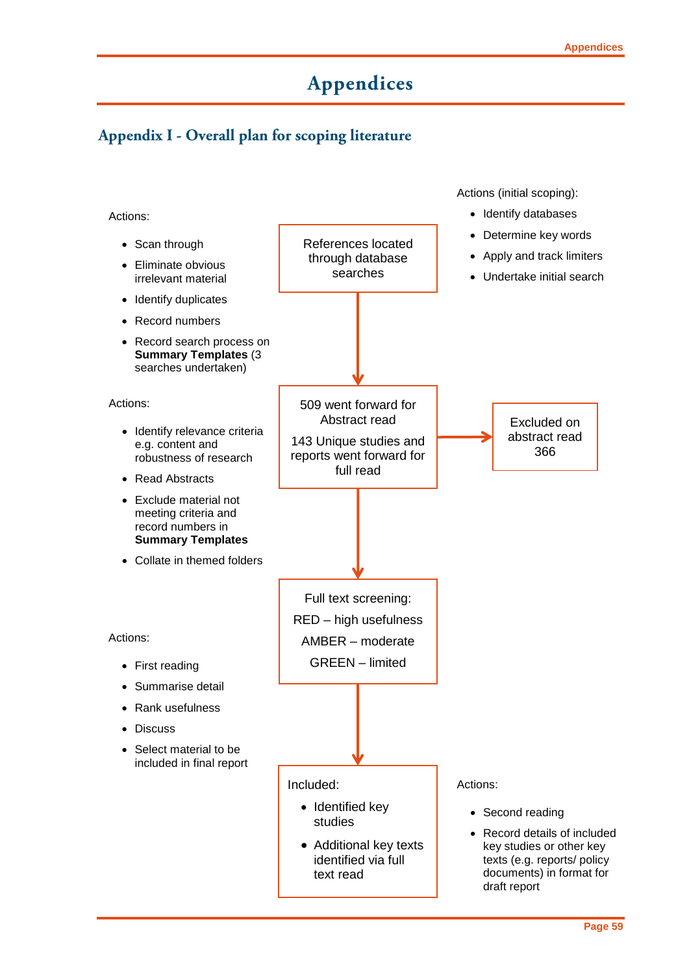# **Appendices**

### <span id="page-60-0"></span>**Appendix I - Overall plan for scoping literature**

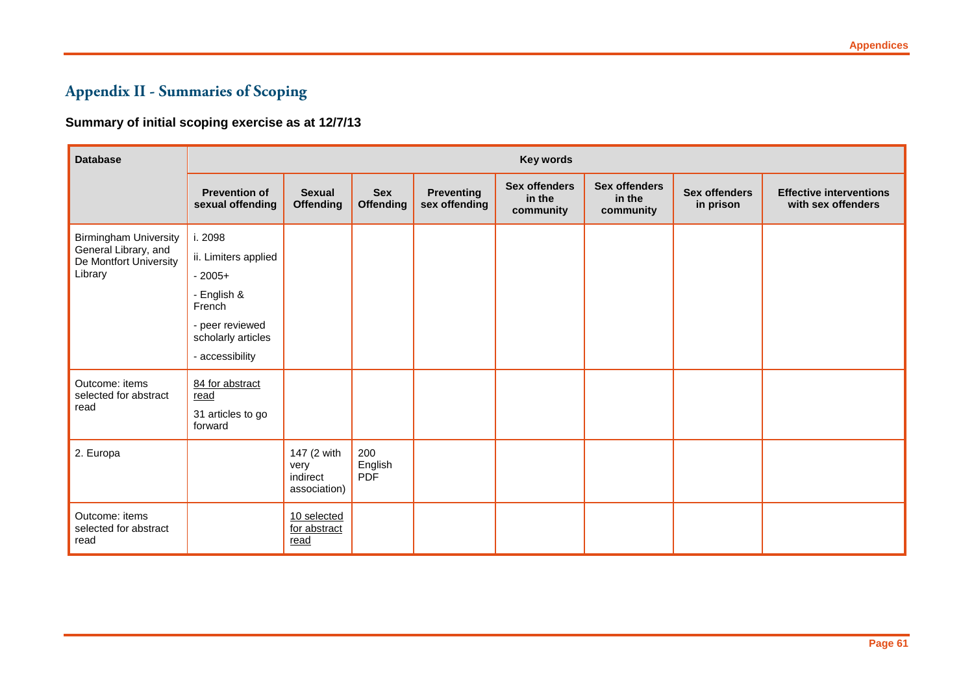# **Appendix II - Summaries of Scoping**

### **Summary of initial scoping exercise as at 12/7/13**

| <b>Database</b>                                 | <b>Key words</b>                         |                                                 |                                |                                    |                                             |                                             |                                   |                                                      |
|-------------------------------------------------|------------------------------------------|-------------------------------------------------|--------------------------------|------------------------------------|---------------------------------------------|---------------------------------------------|-----------------------------------|------------------------------------------------------|
|                                                 | <b>Prevention of</b><br>sexual offending | <b>Sexual</b><br><b>Offending</b>               | <b>Sex</b><br><b>Offending</b> | <b>Preventing</b><br>sex offending | <b>Sex offenders</b><br>in the<br>community | <b>Sex offenders</b><br>in the<br>community | <b>Sex offenders</b><br>in prison | <b>Effective interventions</b><br>with sex offenders |
| <b>Birmingham University</b>                    | i. 2098                                  |                                                 |                                |                                    |                                             |                                             |                                   |                                                      |
| General Library, and<br>De Montfort University  | ii. Limiters applied                     |                                                 |                                |                                    |                                             |                                             |                                   |                                                      |
| Library                                         | $-2005+$                                 |                                                 |                                |                                    |                                             |                                             |                                   |                                                      |
|                                                 | - English &<br>French                    |                                                 |                                |                                    |                                             |                                             |                                   |                                                      |
|                                                 | - peer reviewed<br>scholarly articles    |                                                 |                                |                                    |                                             |                                             |                                   |                                                      |
|                                                 | - accessibility                          |                                                 |                                |                                    |                                             |                                             |                                   |                                                      |
| Outcome: items<br>selected for abstract         | 84 for abstract<br>read                  |                                                 |                                |                                    |                                             |                                             |                                   |                                                      |
| read                                            | 31 articles to go<br>forward             |                                                 |                                |                                    |                                             |                                             |                                   |                                                      |
| 2. Europa                                       |                                          | 147 (2 with<br>very<br>indirect<br>association) | 200<br>English<br><b>PDF</b>   |                                    |                                             |                                             |                                   |                                                      |
| Outcome: items<br>selected for abstract<br>read |                                          | 10 selected<br>for abstract<br>read             |                                |                                    |                                             |                                             |                                   |                                                      |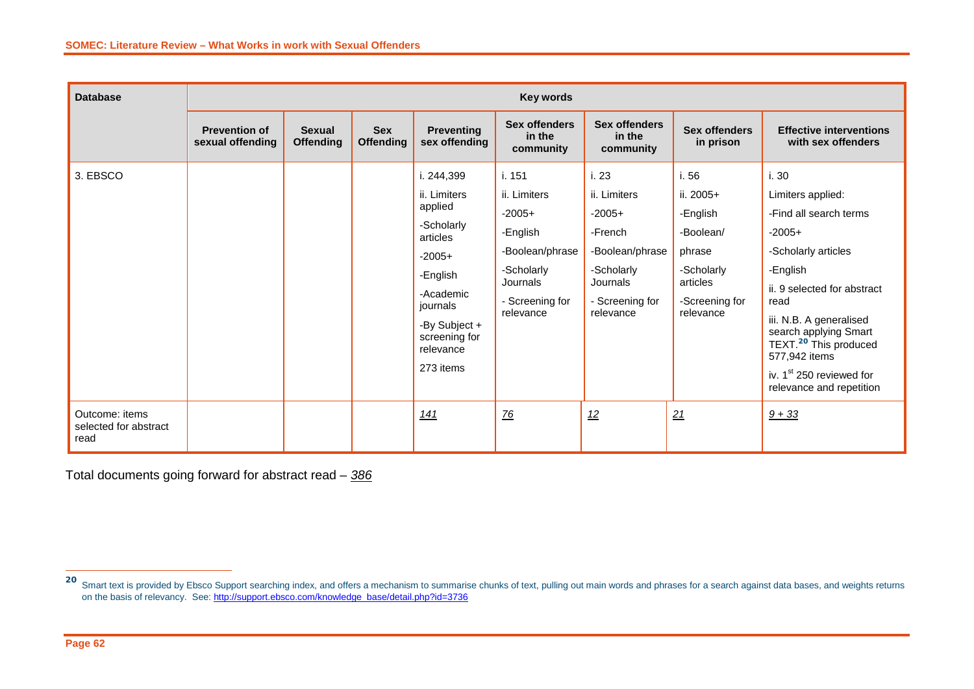| <b>Database</b>                                 | <b>Key words</b>                         |                                   |                                |                                             |                                             |                                          |                                     |                                                                                                        |
|-------------------------------------------------|------------------------------------------|-----------------------------------|--------------------------------|---------------------------------------------|---------------------------------------------|------------------------------------------|-------------------------------------|--------------------------------------------------------------------------------------------------------|
|                                                 | <b>Prevention of</b><br>sexual offending | <b>Sexual</b><br><b>Offending</b> | <b>Sex</b><br><b>Offending</b> | <b>Preventing</b><br>sex offending          | <b>Sex offenders</b><br>in the<br>community | Sex offenders<br>in the<br>community     | <b>Sex offenders</b><br>in prison   | <b>Effective interventions</b><br>with sex offenders                                                   |
| 3. EBSCO                                        |                                          |                                   |                                | i. 244,399                                  | i. 151                                      | i. 23                                    | i. 56                               | i. 30                                                                                                  |
|                                                 |                                          |                                   |                                | ii. Limiters                                | ii. Limiters                                | ii. Limiters                             | ii. 2005+                           | Limiters applied:                                                                                      |
|                                                 |                                          |                                   |                                | applied                                     | $-2005+$                                    | $-2005+$                                 | -English                            | -Find all search terms                                                                                 |
|                                                 |                                          |                                   |                                | -Scholarly<br>articles                      | -English                                    | -French                                  | -Boolean/                           | $-2005+$                                                                                               |
|                                                 |                                          |                                   |                                | $-2005+$                                    | -Boolean/phrase                             | -Boolean/phrase                          | phrase                              | -Scholarly articles                                                                                    |
|                                                 |                                          |                                   | -English                       | -Scholarly<br>Journals                      | -Scholarly<br>Journals                      | -Scholarly<br>articles<br>-Screening for | -English                            |                                                                                                        |
|                                                 |                                          |                                   |                                | -Academic<br>journals                       | - Screening for<br>- Screening for          |                                          | ii. 9 selected for abstract<br>read |                                                                                                        |
|                                                 |                                          |                                   |                                | -By Subject +<br>screening for<br>relevance | relevance                                   | relevance                                | relevance                           | iii. N.B. A generalised<br>search applying Smart<br>TEXT. <sup>20</sup> This produced<br>577,942 items |
|                                                 |                                          |                                   |                                | 273 items                                   |                                             |                                          |                                     | iv. 1 <sup>st</sup> 250 reviewed for<br>relevance and repetition                                       |
| Outcome: items<br>selected for abstract<br>read |                                          |                                   |                                | 141                                         | $\overline{76}$                             | 12                                       | 21                                  | $9 + 33$                                                                                               |

Total documents going forward for abstract read – *386*

 $\overline{a}$ 

<sup>20</sup> Smart text is provided by Ebsco Support searching index, and offers a mechanism to summarise chunks of text, pulling out main words and phrases for a search against data bases, and weights returns on the basis of relevancy. See[: http://support.ebsco.com/knowledge\\_base/detail.php?id=3736](http://support.ebsco.com/knowledge_base/detail.php?id=3736)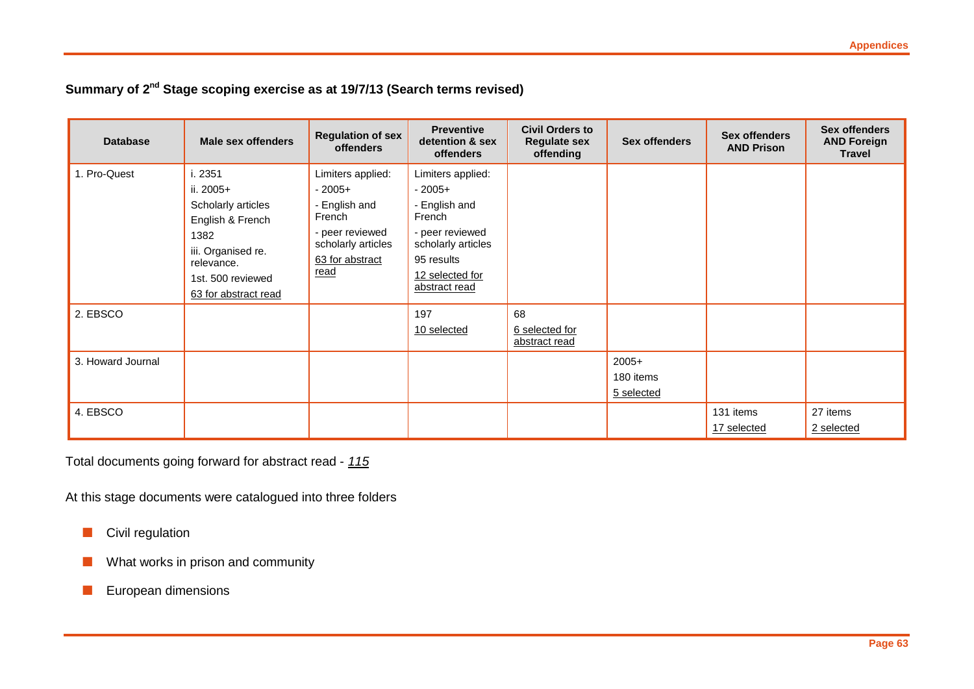### **Summary of 2nd Stage scoping exercise as at 19/7/13 (Search terms revised)**

| <b>Database</b>   | Male sex offenders                                                                                                                                      | <b>Regulation of sex</b><br><b>offenders</b>                                                                                 | <b>Preventive</b><br>detention & sex<br><b>offenders</b>                                                                                            | <b>Civil Orders to</b><br><b>Regulate sex</b><br>offending | <b>Sex offenders</b>               | <b>Sex offenders</b><br><b>AND Prison</b> | <b>Sex offenders</b><br><b>AND Foreign</b><br><b>Travel</b> |
|-------------------|---------------------------------------------------------------------------------------------------------------------------------------------------------|------------------------------------------------------------------------------------------------------------------------------|-----------------------------------------------------------------------------------------------------------------------------------------------------|------------------------------------------------------------|------------------------------------|-------------------------------------------|-------------------------------------------------------------|
| 1. Pro-Quest      | i. 2351<br>ii. 2005+<br>Scholarly articles<br>English & French<br>1382<br>iii. Organised re.<br>relevance.<br>1st. 500 reviewed<br>63 for abstract read | Limiters applied:<br>$-2005+$<br>- English and<br>French<br>- peer reviewed<br>scholarly articles<br>63 for abstract<br>read | Limiters applied:<br>$-2005+$<br>- English and<br>French<br>- peer reviewed<br>scholarly articles<br>95 results<br>12 selected for<br>abstract read |                                                            |                                    |                                           |                                                             |
| 2. EBSCO          |                                                                                                                                                         |                                                                                                                              | 197<br>10 selected                                                                                                                                  | 68<br>6 selected for<br>abstract read                      |                                    |                                           |                                                             |
| 3. Howard Journal |                                                                                                                                                         |                                                                                                                              |                                                                                                                                                     |                                                            | $2005+$<br>180 items<br>5 selected |                                           |                                                             |
| 4. EBSCO          |                                                                                                                                                         |                                                                                                                              |                                                                                                                                                     |                                                            |                                    | 131 items<br>17 selected                  | 27 items<br>2 selected                                      |

Total documents going forward for abstract read - *115*

At this stage documents were catalogued into three folders

**Civil regulation** 

**Now What works in prison and community** 

**European dimensions**